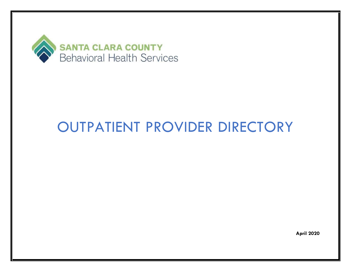

## OUTPATIENT PROVIDER DIRECTORY

**April 2020**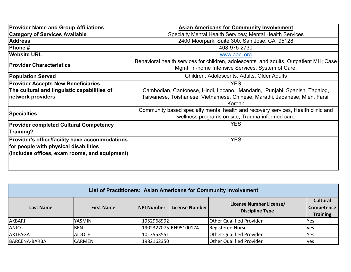| <b>Provider Name and Group Affiliations</b>                                                                                                     | <b>Asian Americans for Community Involvement</b>                                                                                                                    |
|-------------------------------------------------------------------------------------------------------------------------------------------------|---------------------------------------------------------------------------------------------------------------------------------------------------------------------|
| <b>Category of Services Available</b>                                                                                                           | Specialty Mental Health Services; Mental Health Services                                                                                                            |
| <b>Address</b>                                                                                                                                  | 2400 Moorpark, Suite 300, San Jose, CA 95128                                                                                                                        |
| Phone #                                                                                                                                         | 408-975-2730                                                                                                                                                        |
| <b>Website URL</b>                                                                                                                              | www.aaci.org                                                                                                                                                        |
| <b>Provider Characteristics</b>                                                                                                                 | Behavioral health services for children, adolescents, and adults. Outpatient MH; Case<br>Mgmt; In-home Intensive Services, System of Care.                          |
| <b>Population Served</b>                                                                                                                        | Children, Adolescents, Adults, Older Adults                                                                                                                         |
| <b>Provider Accepts New Beneficiaries</b>                                                                                                       | <b>YES</b>                                                                                                                                                          |
| The cultural and linguistic capabilities of<br>network providers                                                                                | Cambodian, Cantonese, Hindi, Ilocano, Mandarin, Punjabi, Spanish, Tagalog,<br>Taiwanese, Toishanese, Vietnamese, Chinese, Marathi, Japanese, Mien, Farsi,<br>Korean |
| <b>Specialties</b>                                                                                                                              | Community based specialty mental health and recovery services, Health clinic and<br>wellness programs on site, Trauma-informed care                                 |
| <b>Provider completed Cultural Competency</b><br>Training?                                                                                      | <b>YES</b>                                                                                                                                                          |
| <b>Provider's office/facility have accommodations</b><br>for people with physical disabilities<br>(includes offices, exam rooms, and equipment) | <b>YES</b>                                                                                                                                                          |

| List of Practitioners: Asian Americans for Community Involvement |                   |                   |                       |                                                   |                                                  |
|------------------------------------------------------------------|-------------------|-------------------|-----------------------|---------------------------------------------------|--------------------------------------------------|
| Last Name                                                        | <b>First Name</b> | <b>NPI Number</b> | l License Number l    | License Number License/<br><b>Discipline Type</b> | <b>Cultural</b><br>Competence<br><b>Training</b> |
| <b>AKBARI</b>                                                    | YASMIN            | 1952968992        |                       | <b>Other Qualified Provider</b>                   | IYes                                             |
| <b>ANJO</b>                                                      | IBEN              |                   | 1902327075 RN95100174 | <b>Registered Nurse</b>                           | lyes                                             |
| ARTEAGA                                                          | <b>AIDOLE</b>     | 1013553551        |                       | <b>Other Qualified Provider</b>                   | Yes                                              |
| BARCENA-BARBA                                                    | <b>CARMEN</b>     | 1982162350        |                       | <b>Other Qualified Provider</b>                   | <b>lyes</b>                                      |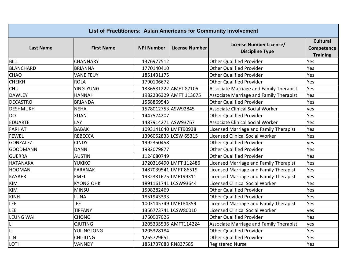| List of Practitioners: Asian Americans for Community Involvement |                   |                      |                        |                                                   |                                                  |
|------------------------------------------------------------------|-------------------|----------------------|------------------------|---------------------------------------------------|--------------------------------------------------|
| <b>Last Name</b>                                                 | <b>First Name</b> | <b>NPI Number</b>    | <b>License Number</b>  | License Number License/<br><b>Discipline Type</b> | <b>Cultural</b><br>Competence<br><b>Training</b> |
| <b>BILL</b>                                                      | <b>CHANNARY</b>   | 1376977512           |                        | <b>Other Qualified Provider</b>                   | Yes                                              |
| <b>BLANCHARD</b>                                                 | <b>BRIANNA</b>    | 1770140410           |                        | <b>Other Qualified Provider</b>                   | Yes                                              |
| <b>CHAO</b>                                                      | <b>VANE FEUY</b>  | 1851431175           |                        | <b>Other Qualified Provider</b>                   | Yes                                              |
| <b>CHEIKH</b>                                                    | <b>ROLA</b>       | 1790106672           |                        | <b>Other Qualified Provider</b>                   | Yes                                              |
| <b>CHU</b>                                                       | YING-YUNG         |                      | 1336581222 AMFT 87105  | Associate Marriage and Family Therapist           | Yes                                              |
| <b>DAWLEY</b>                                                    | <b>HANNAH</b>     |                      | 1982236329 AMFT 113075 | Associate Marriage and Family Therapist           | Yes                                              |
| <b>DECASTRO</b>                                                  | <b>BRIANDA</b>    | 1568869543           |                        | <b>Other Qualified Provider</b>                   | Yes                                              |
| <b>DESHMUKH</b>                                                  | <b>NEHA</b>       | 1578012753 ASW92845  |                        | <b>Associate Clinical Social Worker</b>           | yes                                              |
| <b>DO</b>                                                        | <b>XUAN</b>       | 1447574207           |                        | <b>Other Qualified Provider</b>                   | Yes                                              |
| <b>EDUARTE</b>                                                   | LAY               | 1487914271 ASW93767  |                        | <b>Associate Clinical Social Worker</b>           | Yes                                              |
| <b>FARHAT</b>                                                    | <b>BABAK</b>      | 1093141640 LMFT90938 |                        | Licensed Marriage and Family Therapist            | Yes                                              |
| <b>FEWEL</b>                                                     | <b>REBECCA</b>    |                      | 1396052833 LCSW 65315  | <b>Licensed Clinical Social Worker</b>            | Yes                                              |
| <b>GONZALEZ</b>                                                  | <b>CINDY</b>      | 1992350458           |                        | <b>Other Qualified Provider</b>                   | yes                                              |
| <b>GOODMANN</b>                                                  | <b>DANNI</b>      | 1982079877           |                        | <b>Other Qualified Provider</b>                   | Yes                                              |
| <b>GUERRA</b>                                                    | <b>AUSTIN</b>     | 1124680749           |                        | <b>Other Qualified Provider</b>                   | Yes                                              |
| <b>HATANAKA</b>                                                  | <b>YUKIKO</b>     |                      | 1720316490 LMFT 112486 | Licensed Marriage and Family Therapist            | Yes                                              |
| <b>HOOMAN</b>                                                    | <b>FARANAK</b>    |                      | 1487039541 LMFT 86519  | Licensed Marriage and Family Therapist            | Yes                                              |
| <b>KAYAER</b>                                                    | <b>EMEL</b>       | 1932331675 LMFT99311 |                        | Licensed Marriage and Family Therapist            | yes                                              |
| <b>KIM</b>                                                       | <b>KYONG OHK</b>  | 1891161741 LCSW93644 |                        | <b>Licensed Clinical Social Worker</b>            | Yes                                              |
| <b>KIM</b>                                                       | <b>MINSU</b>      | 1598282469           |                        | <b>Other Qualified Provider</b>                   | Yes                                              |
| <b>KINH</b>                                                      | LUNA              | 1851943393           |                        | <b>Other Qualified Provider</b>                   | Yes                                              |
| LEE                                                              | JEE               | 1003145749 LMFT84359 |                        | Licensed Marriage and Family Therapist            | Yes                                              |
| LEE                                                              | <b>TIFFANY</b>    | 1356773741 LCSW80010 |                        | <b>Licensed Clinical Social Worker</b>            | yes                                              |
| <b>LEUNG WAI</b>                                                 | <b>CHONG</b>      | 1760907026           |                        | <b>Other Qualified Provider</b>                   | Yes                                              |
|                                                                  | <b>QIUTING</b>    |                      | 1205335536 AMFT114224  | Associate Marriage and Family Therapist           | yes                                              |
| $\frac{11}{11}$                                                  | <b>YULINGLONG</b> | 1205328184           |                        | <b>Other Qualified Provider</b>                   | Yes                                              |
| <b>LIN</b>                                                       | <b>CHI-JUNG</b>   | 1265729651           |                        | <b>Other Qualified Provider</b>                   | Yes                                              |
| LOTH                                                             | <b>VANNDY</b>     | 1851737688 RN837585  |                        | <b>Registered Nurse</b>                           | Yes                                              |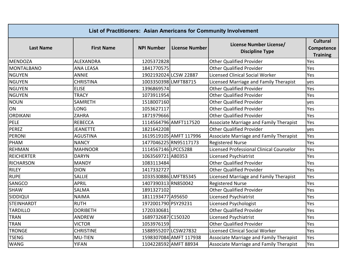| List of Practitioners: Asian Americans for Community Involvement |                   |                      |                        |                                                   |                                                  |
|------------------------------------------------------------------|-------------------|----------------------|------------------------|---------------------------------------------------|--------------------------------------------------|
| <b>Last Name</b>                                                 | <b>First Name</b> | <b>NPI Number</b>    | <b>License Number</b>  | License Number License/<br><b>Discipline Type</b> | <b>Cultural</b><br>Competence<br><b>Training</b> |
| <b>MENDOZA</b>                                                   | <b>ALEXANDRA</b>  | 1205372828           |                        | <b>Other Qualified Provider</b>                   | Yes                                              |
| <b>MONTALBANO</b>                                                | <b>ANA LEASA</b>  | 1841770575           |                        | <b>Other Qualified Provider</b>                   | Yes                                              |
| <b>NGUYEN</b>                                                    | <b>ANNIE</b>      |                      | 1902192024 LCSW 22887  | <b>Licensed Clinical Social Worker</b>            | Yes                                              |
| <b>NGUYEN</b>                                                    | <b>CHRISTINA</b>  | 1003350398 LMFT88715 |                        | Licensed Marriage and Family Therapist            | yes                                              |
| <b>NGUYEN</b>                                                    | <b>ELISE</b>      | 1396869574           |                        | <b>Other Qualified Provider</b>                   | Yes                                              |
| <b>NGUYEN</b>                                                    | <b>TRACY</b>      | 1073911954           |                        | <b>Other Qualified Provider</b>                   | Yes                                              |
| <b>NOUN</b>                                                      | <b>SAMRETH</b>    | 1518007160           |                        | <b>Other Qualified Provider</b>                   | yes                                              |
| ON                                                               | LONG              | 1053627117           |                        | <b>Other Qualified Provider</b>                   | Yes                                              |
| <b>ORDIKANI</b>                                                  | <b>ZAHRA</b>      | 1871979666           |                        | <b>Other Qualified Provider</b>                   | Yes                                              |
| <b>PELE</b>                                                      | <b>REBECCA</b>    |                      | 1114564796 AMFT117520  | Associate Marriage and Family Therapist           | Yes                                              |
| PEREZ                                                            | <b>JEANETTE</b>   | 1821642208           |                        | <b>Other Qualified Provider</b>                   | yes                                              |
| <b>PERONI</b>                                                    | <b>AGUSTINA</b>   |                      | 1619519105 AMFT 117996 | Associate Marriage and Family Therapist           | Yes                                              |
| <b>PHAM</b>                                                      | <b>NANCY</b>      |                      | 1477046225 RN95117173  | <b>Registered Nurse</b>                           | Yes                                              |
| <b>REHMAN</b>                                                    | <b>MAHNOOR</b>    | 1114567146 LPCC5288  |                        | Licensed Professional Clinical Counselor          | Yes                                              |
| <b>REICHERTER</b>                                                | <b>DARYN</b>      | 1063569721 A80353    |                        | Licensed Psychiatrist                             | Yes                                              |
| <b>RICHARSON</b>                                                 | <b>MANDY</b>      | 1083113484           |                        | <b>Other Qualified Provider</b>                   | Yes                                              |
| <b>RILEY</b>                                                     | <b>DION</b>       | 1417332727           |                        | <b>Other Qualified Provider</b>                   | Yes                                              |
| <b>RUPE</b>                                                      | <b>SALLIE</b>     | 1033530886 LMFT85345 |                        | Licensed Marriage and Family Therapist            | Yes                                              |
| SANGCO                                                           | <b>APRIL</b>      | 1407390313 RN850042  |                        | <b>Registered Nurse</b>                           | Yes                                              |
| <b>SHAW</b>                                                      | <b>SALMA</b>      | 1891327102           |                        | <b>Other Qualified Provider</b>                   | Yes                                              |
| SIDDIQUI                                                         | <b>NAIMA</b>      | 1811193477 A95650    |                        | Licensed Psychiatrist                             | Yes                                              |
| <b>STEINHARDT</b>                                                | <b>RUTH</b>       | 1972001790 PSY29231  |                        | Licensed Psychologist                             | Yes                                              |
| <b>TARDILLO</b>                                                  | <b>DORIBETH</b>   | 1720330681           |                        | <b>Other Qualified Provider</b>                   | Yes                                              |
| <b>TRAN</b>                                                      | ANDREW            | 1689732687 C150320   |                        | Licensed Psychiatrist                             | Yes                                              |
| <b>TRAN</b>                                                      | <b>VICTOR</b>     | 1053976159           |                        | <b>Other Qualified Provider</b>                   | Yes                                              |
| <b>TRONGE</b>                                                    | <b>CHRISTINE</b>  | 1588955207 LCSW27832 |                        | <b>Licensed Clinical Social Worker</b>            | Yes                                              |
| <b>TSENG</b>                                                     | <b>MU-TIEN</b>    |                      | 1598307084 AMFT 117938 | <b>Associate Marriage and Family Therapist</b>    | Yes                                              |
| <b>WANG</b>                                                      | <b>YIFAN</b>      |                      | 1104228592 AMFT 88934  | <b>Associate Marriage and Family Therapist</b>    | Yes                                              |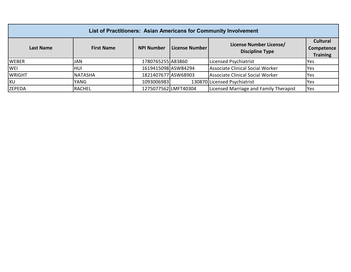| List of Practitioners: Asian Americans for Community Involvement |                   |                      |                |                                                   |                                                  |
|------------------------------------------------------------------|-------------------|----------------------|----------------|---------------------------------------------------|--------------------------------------------------|
| <b>Last Name</b>                                                 | <b>First Name</b> | <b>NPI Number</b>    | License Number | License Number License/<br><b>Discipline Type</b> | <b>Cultural</b><br>Competence<br><b>Training</b> |
| <b>WEBER</b>                                                     | JAN               | 1780765255 A83860    |                | Licensed Psychiatrist                             | <b>Yes</b>                                       |
| <b>WEI</b>                                                       | <b>HUI</b>        | 1619415098 ASW84294  |                | Associate Clinical Social Worker                  | <b>Yes</b>                                       |
| <b>WRIGHT</b>                                                    | <b>NATASHA</b>    | 1821407677 ASW68903  |                | Associate Clinical Social Worker                  | <b>Yes</b>                                       |
| XU                                                               | YANG              | 1093006983           |                | 130870 Licensed Psychiatrist                      | <b>Yes</b>                                       |
| <b>ZEPEDA</b>                                                    | <b>RACHEL</b>     | 1275077562 LMFT40304 |                | Licensed Marriage and Family Therapist            | Yes                                              |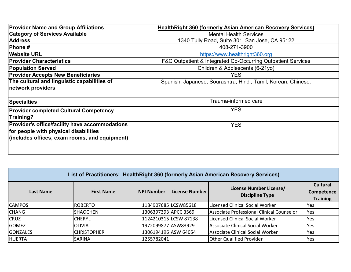| <b>Provider Name and Group Affiliations</b>                                                                                              | <b>HealthRight 360 (formerly Asian American Recovery Services)</b> |
|------------------------------------------------------------------------------------------------------------------------------------------|--------------------------------------------------------------------|
| <b>Category of Services Available</b>                                                                                                    | <b>Mental Health Services</b>                                      |
| <b>Address</b>                                                                                                                           | 1340 Tully Road, Suite 301, San Jose, CA 95122                     |
| Phone #                                                                                                                                  | 408-271-3900                                                       |
| <b>Website URL</b>                                                                                                                       | https://www.healthright360.org                                     |
| <b>Provider Characteristics</b>                                                                                                          | F&C Outpatient & Integrated Co-Occurring Outpatient Services       |
| <b>Population Served</b>                                                                                                                 | Children & Adolescents (6-21yo)                                    |
| <b>Provider Accepts New Beneficiaries</b>                                                                                                | <b>YES</b>                                                         |
| The cultural and linguistic capabilities of                                                                                              | Spanish, Japanese, Sourashtra, Hindi, Tamil, Korean, Chinese.      |
| network providers                                                                                                                        |                                                                    |
| <b>Specialties</b>                                                                                                                       | Trauma-informed care                                               |
| <b>Provider completed Cultural Competency</b><br>Training?                                                                               | <b>YES</b>                                                         |
| Provider's office/facility have accommodations<br>for people with physical disabilities<br>(includes offices, exam rooms, and equipment) | <b>YES</b>                                                         |

| List of Practitioners: HealthRight 360 (formerly Asian American Recovery Services) |                    |                      |                       |                                                   |                                                  |
|------------------------------------------------------------------------------------|--------------------|----------------------|-----------------------|---------------------------------------------------|--------------------------------------------------|
| Last Name                                                                          | <b>First Name</b>  | <b>NPI Number</b>    | l License Number l    | License Number License/<br><b>Discipline Type</b> | <b>Cultural</b><br>Competence<br><b>Training</b> |
| <b>CAMPOS</b>                                                                      | <b>ROBERTO</b>     | 1184907685 LCSW85618 |                       | Licensed Clinical Social Worker                   | Yes                                              |
| <b>CHANG</b>                                                                       | <b>SHAOCHEN</b>    | 1306397393 APCC 3569 |                       | Associate Professional Clinical Counselor         | Yes                                              |
| <b>CRUZ</b>                                                                        | <b>CHERYL</b>      |                      | 1124210315 LCSW 87138 | Licensed Clinical Social Worker                   | Yes                                              |
| <b>GOMEZ</b>                                                                       | <b>OLIVIA</b>      | 1972099877 ASW83929  |                       | Associate Clinical Social Worker                  | Yes                                              |
| <b>GONZALES</b>                                                                    | <b>CHRISTOPHER</b> | 1306194196 ASW 64054 |                       | Associate Clinical Social Worker                  | Yes                                              |
| <b>HUERTA</b>                                                                      | <b>SARINA</b>      | 1255782041           |                       | <b>Other Qualified Provider</b>                   | <b>Yes</b>                                       |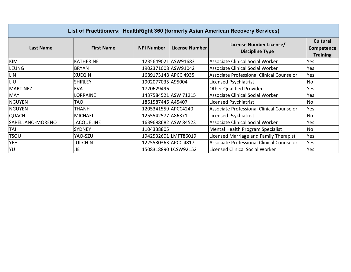| List of Practitioners: HealthRight 360 (formerly Asian American Recovery Services) |                   |                      |                       |                                                   |                                                  |
|------------------------------------------------------------------------------------|-------------------|----------------------|-----------------------|---------------------------------------------------|--------------------------------------------------|
| <b>Last Name</b>                                                                   | <b>First Name</b> | <b>NPI Number</b>    | <b>License Number</b> | License Number License/<br><b>Discipline Type</b> | <b>Cultural</b><br>Competence<br><b>Training</b> |
| <b>KIM</b>                                                                         | <b>KATHERINE</b>  | 1235649021 ASW91683  |                       | <b>Associate Clinical Social Worker</b>           | Yes                                              |
| LEUNG                                                                              | <b>BRYAN</b>      | 1902371008 ASW91042  |                       | <b>Associate Clinical Social Worker</b>           | Yes                                              |
| LIN                                                                                | <b>XUEQIN</b>     | 1689173148 APCC 4935 |                       | Associate Professional Clinical Counselor         | Yes                                              |
| LIU                                                                                | <b>SHIRLEY</b>    | 1902077035 A95004    |                       | Licensed Psychiatrist                             | No                                               |
| <b>MARTINEZ</b>                                                                    | <b>EVA</b>        | 1720629496           |                       | <b>Other Qualified Provider</b>                   | Yes                                              |
| <b>MAY</b>                                                                         | LORRAINE          | 1437584521 ASW 71215 |                       | Associate Clinical Social Worker                  | Yes                                              |
| <b>NGUYEN</b>                                                                      | <b>TAO</b>        | 1861587446 A45407    |                       | Licensed Psychiatrist                             | <b>No</b>                                        |
| <b>NGUYEN</b>                                                                      | <b>THANH</b>      | 1205341559 APCC4240  |                       | Associate Professional Clinical Counselor         | Yes                                              |
| <b>QUACH</b>                                                                       | <b>MICHAEL</b>    | 1255542577 A86371    |                       | Licensed Psychiatrist                             | <b>No</b>                                        |
| SARELLANO-MORENO                                                                   | <b>JACQUELINE</b> | 1639688682 ASW 84523 |                       | Associate Clinical Social Worker                  | Yes                                              |
| <b>TAI</b>                                                                         | <b>SYDNEY</b>     | 1104338805           |                       | Mental Health Program Specialist                  | No                                               |
| <b>TSOU</b>                                                                        | YAO-SZU           | 1942532601 LMFT86019 |                       | Licensed Marriage and Family Therapist            | Yes                                              |
| <b>YEH</b>                                                                         | <b>JUI-CHIN</b>   | 1225530363 APCC 4817 |                       | Associate Professional Clinical Counselor         | Yes                                              |
| YU                                                                                 | JIE               | 1508318890 LCSW92152 |                       | Licensed Clinical Social Worker                   | Yes                                              |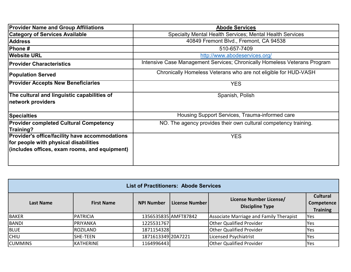| <b>Provider Name and Group Affiliations</b>                                                                                              | <b>Abode Services</b>                                                     |
|------------------------------------------------------------------------------------------------------------------------------------------|---------------------------------------------------------------------------|
| <b>Category of Services Available</b>                                                                                                    | Specialty Mental Health Services; Mental Health Services                  |
| <b>Address</b>                                                                                                                           | 40849 Fremont Blvd., Fremont, CA 94538                                    |
| Phone #                                                                                                                                  | 510-657-7409                                                              |
| <b>Website URL</b>                                                                                                                       | http://www.abodeservices.org/                                             |
| <b>Provider Characteristics</b>                                                                                                          | Intensive Case Management Services; Chronically Homeless Veterans Program |
| <b>Population Served</b>                                                                                                                 | Chronically Homeless Veterans who are not eligible for HUD-VASH           |
| <b>Provider Accepts New Beneficiaries</b>                                                                                                | <b>YES</b>                                                                |
| The cultural and linguistic capabilities of<br>network providers                                                                         | Spanish, Polish                                                           |
| <b>Specialties</b>                                                                                                                       | Housing Support Services, Trauma-informed care                            |
| <b>Provider completed Cultural Competency</b><br>Training?                                                                               | NO. The agency provides their own cultural competency training.           |
| Provider's office/facility have accommodations<br>for people with physical disabilities<br>(includes offices, exam rooms, and equipment) | <b>YES</b>                                                                |

| <b>List of Practitioners: Abode Services</b> |                   |                      |                |                                                   |                                                  |  |
|----------------------------------------------|-------------------|----------------------|----------------|---------------------------------------------------|--------------------------------------------------|--|
| <b>Last Name</b>                             | <b>First Name</b> | <b>NPI Number</b>    | License Number | License Number License/<br><b>Discipline Type</b> | <b>Cultural</b><br>Competence<br><b>Training</b> |  |
| <b>BAKER</b>                                 | <b>PATRICIA</b>   | 1356535835 AMFT87842 |                | Associate Marriage and Family Therapist           | Yes                                              |  |
| <b>BANDI</b>                                 | <b>PRIYANKA</b>   | 1225531767           |                | <b>Other Qualified Provider</b>                   | Yes                                              |  |
| <b>BLUE</b>                                  | <b>ROZILAND</b>   | 1871154328           |                | <b>Other Qualified Provider</b>                   | Yes                                              |  |
| <b>CHIU</b>                                  | SHE-TEEN          | 1871613349 20A7221   |                | Licensed Psychiatrist                             | Yes                                              |  |
| <b>CUMMINS</b>                               | <b>KATHERINE</b>  | 1164996443           |                | <b>Other Qualified Provider</b>                   | Yes                                              |  |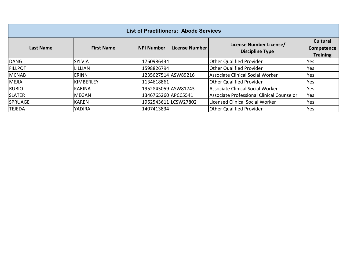| <b>List of Practitioners: Abode Services</b> |                   |                      |                  |                                                   |                                                  |
|----------------------------------------------|-------------------|----------------------|------------------|---------------------------------------------------|--------------------------------------------------|
| <b>Last Name</b>                             | <b>First Name</b> | <b>NPI Number</b>    | l License Number | License Number License/<br><b>Discipline Type</b> | <b>Cultural</b><br>Competence<br><b>Training</b> |
| <b>DANG</b>                                  | <b>SYLVIA</b>     | 1760986434           |                  | <b>Other Qualified Provider</b>                   | Yes                                              |
| <b>FILLPOT</b>                               | <b>LILLIAN</b>    | 1598826794           |                  | <b>Other Qualified Provider</b>                   | Yes                                              |
| <b>MCNAB</b>                                 | <b>ERINN</b>      | 1235627514 ASW89216  |                  | <b>Associate Clinical Social Worker</b>           | Yes                                              |
| <b>MEJIA</b>                                 | KIMBERLEY         | 1134618861           |                  | <b>Other Qualified Provider</b>                   | Yes                                              |
| <b>RUBIO</b>                                 | <b>KARINA</b>     | 1952845059 ASW81743  |                  | <b>Associate Clinical Social Worker</b>           | Yes                                              |
| <b>SLATER</b>                                | <b>MEGAN</b>      | 1346765260 APCC5541  |                  | Associate Professional Clinical Counselor         | Yes                                              |
| <b>SPRUAGE</b>                               | <b>KAREN</b>      | 1962543611 LCSW27802 |                  | Licensed Clinical Social Worker                   | Yes                                              |
| <b>TEJEDA</b>                                | <b>YADIRA</b>     | 1407413834           |                  | <b>Other Qualified Provider</b>                   | Yes                                              |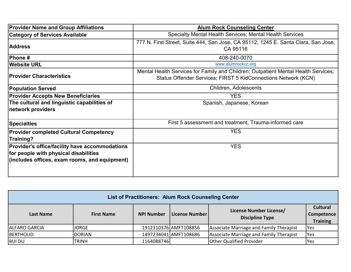| <b>Provider Name and Group Affiliations</b>                                                                                              | <b>Alum Rock Counseling Center</b>                                                                                                                   |
|------------------------------------------------------------------------------------------------------------------------------------------|------------------------------------------------------------------------------------------------------------------------------------------------------|
| <b>Category of Services Available</b>                                                                                                    | Specialty Mental Health Services; Mental Health Services                                                                                             |
| <b>Address</b>                                                                                                                           | 777 N. First Street, Suite 444, San Jose, CA 95112; 1245 E. Santa Clara, San Jose,<br>CA 95116                                                       |
| <b>Phone</b> #                                                                                                                           | 408-240-0070                                                                                                                                         |
| <b>Website URL</b>                                                                                                                       | www.alumrockcc.org                                                                                                                                   |
| <b>Provider Characteristics</b>                                                                                                          | Mental Health Services for Family and Children; Outpatient Mental Health Services;<br>Status Offender Services; FIRST 5 KidConnections Network (KCN) |
| <b>Population Served</b>                                                                                                                 | Children, Adolescents                                                                                                                                |
| <b>Provider Accepts New Beneficiaries</b>                                                                                                | <b>YES</b>                                                                                                                                           |
| The cultural and linguistic capabilities of<br>network providers                                                                         | Spanish, Japanese, Korean                                                                                                                            |
| <b>Specialties</b>                                                                                                                       | First 5 assessment and treatment, Trauma-informed care                                                                                               |
| <b>Provider completed Cultural Competency</b><br>Training?                                                                               | <b>YES</b>                                                                                                                                           |
| Provider's office/facility have accommodations<br>for people with physical disabilities<br>(includes offices, exam rooms, and equipment) | <b>YES</b>                                                                                                                                           |

| <b>List of Practitioners: Alum Rock Counseling Center</b> |                   |                   |                       |                                                   |                                                  |
|-----------------------------------------------------------|-------------------|-------------------|-----------------------|---------------------------------------------------|--------------------------------------------------|
| Last Name                                                 | <b>First Name</b> | <b>NPI Number</b> | License Number        | License Number License/<br><b>Discipline Type</b> | <b>Cultural</b><br>Competence<br><b>Training</b> |
| <b>ALFARO GARCIA</b>                                      | JORGE             |                   | 1912310376 AMFT108856 | Associate Marriage and Family Therapist           | <b>P</b> Yes                                     |
| <b>BERTHOUD</b>                                           | <b>DORIAN</b>     |                   | 1497234041 AMFT108686 | Associate Marriage and Family Therapist           | <b>Yes</b>                                       |
| <b>BUI DU</b>                                             | TRINH             | 1164088746        |                       | <b>Other Qualified Provider</b>                   | <b>Yes</b>                                       |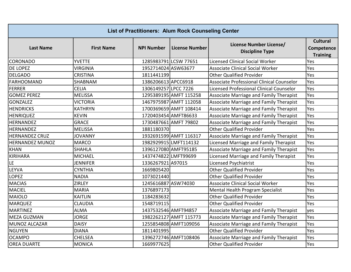| <b>List of Practitioners: Alum Rock Counseling Center</b> |                   |                      |                        |                                                   |                                                  |
|-----------------------------------------------------------|-------------------|----------------------|------------------------|---------------------------------------------------|--------------------------------------------------|
| <b>Last Name</b>                                          | <b>First Name</b> | <b>NPI Number</b>    | <b>License Number</b>  | License Number License/<br><b>Discipline Type</b> | <b>Cultural</b><br>Competence<br><b>Training</b> |
| <b>CORONADO</b>                                           | <b>YVETTE</b>     |                      | 1285983791 LCSW 77651  | <b>Licensed Clinical Social Worker</b>            | Yes                                              |
| DE LOPEZ                                                  | <b>VIRGINIA</b>   | 1952714024 ASW63677  |                        | <b>Associate Clinical Social Worker</b>           | Yes                                              |
| <b>DELGADO</b>                                            | <b>CRISTINA</b>   | 1811441199           |                        | <b>Other Qualified Provider</b>                   | Yes                                              |
| <b>FARHOOMAND</b>                                         | SHABNAM           | 1386206613 APCC6918  |                        | Associate Professional Clinical Counselor         | Yes                                              |
| <b>FERRER</b>                                             | <b>CELIA</b>      | 1306149257 LPCC 7226 |                        | Licensed Professional Clinical Counselor          | Yes                                              |
| <b>GOMEZ PEREZ</b>                                        | <b>MELISSA</b>    |                      | 1295389195 AMFT 115258 | <b>Associate Marriage and Family Therapist</b>    | Yes                                              |
| <b>GONZALEZ</b>                                           | <b>VICTORIA</b>   |                      | 1467975987 AMFT 112058 | Associate Marriage and Family Therapist           | Yes                                              |
| <b>HENDRICKS</b>                                          | <b>KATHRYN</b>    |                      | 1700369659 AMFT 108414 | Associate Marriage and Family Therapist           | Yes                                              |
| <b>HENRIQUEZ</b>                                          | <b>KEVIN</b>      | 1720403454 AMFT86633 |                        | Associate Marriage and Family Therapist           | Yes                                              |
| <b>HERNANDEZ</b>                                          | <b>GRACE</b>      |                      | 1730487661 AMFT 79802  | Associate Marriage and Family Therapist           | Yes                                              |
| <b>HERNANDEZ</b>                                          | <b>MELISSA</b>    | 1881180370           |                        | <b>Other Qualified Provider</b>                   | Yes                                              |
| <b>HERNANDEZ CRUZ</b>                                     | <b>JOVANNY</b>    |                      | 1932691599 AMFT 116317 | Associate Marriage and Family Therapist           | Yes                                              |
| HERNANDEZ MUNOZ                                           | <b>MARCO</b>      |                      | 1982929915 LMFT114132  | Licensed Marriage and Family Therapist            | Yes                                              |
| <b>KHAN</b>                                               | <b>SHAHLA</b>     | 1396127080 AMFT95185 |                        | Associate Marriage and Family Therapist           | Yes                                              |
| <b>KIRIHARA</b>                                           | <b>MICHAEL</b>    | 1437474822 LMFT99699 |                        | Licensed Marriage and Family Therapist            | Yes                                              |
| LE                                                        | <b>JENNIFER</b>   | 1336267921 A97015    |                        | Licensed Psychiatrist                             | Yes                                              |
| LEYVA                                                     | <b>CYNTHIA</b>    | 1669805420           |                        | <b>Other Qualified Provider</b>                   | Yes                                              |
| <b>LOPEZ</b>                                              | <b>NADIA</b>      | 1073021440           |                        | <b>Other Qualified Provider</b>                   | Yes                                              |
| <b>MACIAS</b>                                             | <b>ZIRLEY</b>     | 1245616887 ASW74030  |                        | <b>Associate Clinical Social Worker</b>           | Yes                                              |
| <b>MACIEL</b>                                             | <b>MARIA</b>      | 1376897173           |                        | Mental Health Program Specialist                  | Yes                                              |
| <b>MAIOLO</b>                                             | <b>KAITLIN</b>    | 1184283632           |                        | <b>Other Qualified Provider</b>                   | Yes                                              |
| <b>MARQUEZ</b>                                            | <b>CLAUDIA</b>    | 1548719115           |                        | <b>Other Qualified Provider</b>                   | Yes                                              |
| <b>MARTINEZ</b>                                           | <b>ALMA</b>       | 1437532546 AMFT94857 |                        | Associate Marriage and Family Therapist           | yes                                              |
| <b>MEZA GUZMAN</b>                                        | <b>JORGE</b>      |                      | 1982262127 AMFT 115773 | Associate Marriage and Family Therapist           | Yes                                              |
| MUNOZ ALCAZAR                                             | <b>DAISY</b>      |                      | 1255854808 AMFT109056  | Associate Marriage and Family Therapist           | Yes                                              |
| <b>NGUYEN</b>                                             | <b>DIANA</b>      | 1811401995           |                        | <b>Other Qualified Provider</b>                   | Yes                                              |
| <b>OCAMPO</b>                                             | <b>CHELSEA</b>    |                      | 1396272746 AMFT108406  | Associate Marriage and Family Therapist           | Yes                                              |
| <b>OREA DUARTE</b>                                        | <b>MONICA</b>     | 1669977625           |                        | <b>Other Qualified Provider</b>                   | Yes                                              |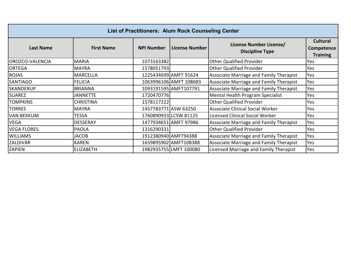| List of Practitioners: Alum Rock Counseling Center |                   |                      |                        |                                                   |                                                  |
|----------------------------------------------------|-------------------|----------------------|------------------------|---------------------------------------------------|--------------------------------------------------|
| <b>Last Name</b>                                   | <b>First Name</b> | <b>NPI Number</b>    | <b>License Number</b>  | License Number License/<br><b>Discipline Type</b> | <b>Cultural</b><br>Competence<br><b>Training</b> |
| OROZCO-VALENCIA                                    | <b>MARIA</b>      | 1073163382           |                        | <b>Other Qualified Provider</b>                   | Yes                                              |
| <b>ORTEGA</b>                                      | <b>MAYRA</b>      | 1578051793           |                        | <b>Other Qualified Provider</b>                   | Yes                                              |
| <b>ROJAS</b>                                       | <b>MARCELLA</b>   |                      | 1225434699 AMFT 91624  | Associate Marriage and Family Therapist           | Yes                                              |
| <b>SANTIAGO</b>                                    | <b>FELICIA</b>    |                      | 1063996106 AMFT 108683 | <b>Associate Marriage and Family Therapist</b>    | Yes                                              |
| <b>SKANDERUP</b>                                   | <b>BRIANNA</b>    |                      | 1093191595 AMFT107791  | Associate Marriage and Family Therapist           | Yes                                              |
| <b>SUAREZ</b>                                      | <b>JANNETTE</b>   | 1720470776           |                        | Mental Health Program Specialist                  | Yes                                              |
| <b>TOMPKINS</b>                                    | <b>CHRISTINA</b>  | 1578117222           |                        | <b>Other Qualified Provider</b>                   | Yes                                              |
| <b>TORRES</b>                                      | <b>MAYRA</b>      | 1457783771 ASW 63250 |                        | Associate Clinical Social Worker                  | Yes                                              |
| <b>VAN BEKKUM</b>                                  | <b>TESSA</b>      |                      | 1760890933 LCSW 81125  | Licensed Clinical Social Worker                   | Yes                                              |
| VEGA                                               | <b>DESSERAY</b>   |                      | 1477934651 AMFT 97986  | Associate Marriage and Family Therapist           | Yes                                              |
| <b>VEGA FLORES</b>                                 | <b>PAOLA</b>      | 1316290331           |                        | <b>Other Qualified Provider</b>                   | Yes                                              |
| <b>WILLIAMS</b>                                    | <b>JACOB</b>      |                      | 1912380940 AMFT94388   | Associate Marriage and Family Therapist           | Yes                                              |
| ZALDIVAR                                           | <b>KAREN</b>      |                      | 1659895902 AMFT108388  | Associate Marriage and Family Therapist           | Yes                                              |
| <b>ZAPIEN</b>                                      | <b>ELIZABETH</b>  |                      | 1982935755 LMFT 100080 | Licensed Marriage and Family Therapist            | Yes                                              |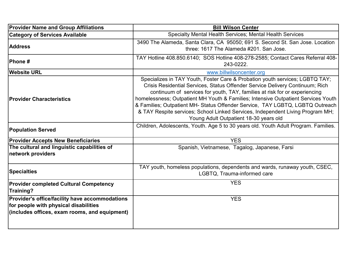| <b>Provider Name and Group Affiliations</b>                                                                                              | <b>Bill Wilson Center</b>                                                                                                                                                                                                                                                                                                                                                                                                                                                                                                                     |
|------------------------------------------------------------------------------------------------------------------------------------------|-----------------------------------------------------------------------------------------------------------------------------------------------------------------------------------------------------------------------------------------------------------------------------------------------------------------------------------------------------------------------------------------------------------------------------------------------------------------------------------------------------------------------------------------------|
| <b>Category of Services Available</b>                                                                                                    | Specialty Mental Health Services; Mental Health Services                                                                                                                                                                                                                                                                                                                                                                                                                                                                                      |
| <b>Address</b>                                                                                                                           | 3490 The Alameda, Santa Clara, CA 95050; 691 S. Second St. San Jose. Location<br>three: 1617 The Alameda #201. San Jose.                                                                                                                                                                                                                                                                                                                                                                                                                      |
| Phone#                                                                                                                                   | TAY Hotline 408.850.6140; SOS Hotline 408-278-2585; Contact Cares Referral 408-<br>243-0222.                                                                                                                                                                                                                                                                                                                                                                                                                                                  |
| <b>Website URL</b>                                                                                                                       | www.billwilsoncenter.org                                                                                                                                                                                                                                                                                                                                                                                                                                                                                                                      |
| <b>Provider Characteristics</b>                                                                                                          | Specializes in TAY Youth, Foster Care & Probation youth services; LGBTQ TAY;<br>Crisis Residential Services, Status Offender Service Delivery Continuum; Rich<br>continuum of services for youth, TAY, families at risk for or experiencing<br>homelessness; Outpatient MH Youth & Families; Intensive Outpatient Services Youth<br>& Families; Outpatient MH- Status Offender Service, TAY LGBTQ, LGBTQ Outreach<br>& TAY Respite services; School Linked Services, Independent Living Program MH;<br>Young Adult Outpatient 18-30 years old |
| <b>Population Served</b>                                                                                                                 | Children, Adolescents, Youth. Age 5 to 30 years old. Youth Adult Program. Families.                                                                                                                                                                                                                                                                                                                                                                                                                                                           |
| <b>Provider Accepts New Beneficiaries</b>                                                                                                | <b>YES</b>                                                                                                                                                                                                                                                                                                                                                                                                                                                                                                                                    |
| The cultural and linguistic capabilities of<br>network providers                                                                         | Spanish, Vietnamese, Tagalog, Japanese, Farsi                                                                                                                                                                                                                                                                                                                                                                                                                                                                                                 |
| <b>Specialties</b>                                                                                                                       | TAY youth, homeless populations, dependents and wards, runaway youth, CSEC,<br>LGBTQ, Trauma-informed care                                                                                                                                                                                                                                                                                                                                                                                                                                    |
| <b>Provider completed Cultural Competency</b><br>Training?                                                                               | <b>YES</b>                                                                                                                                                                                                                                                                                                                                                                                                                                                                                                                                    |
| Provider's office/facility have accommodations<br>for people with physical disabilities<br>(includes offices, exam rooms, and equipment) | <b>YES</b>                                                                                                                                                                                                                                                                                                                                                                                                                                                                                                                                    |
|                                                                                                                                          |                                                                                                                                                                                                                                                                                                                                                                                                                                                                                                                                               |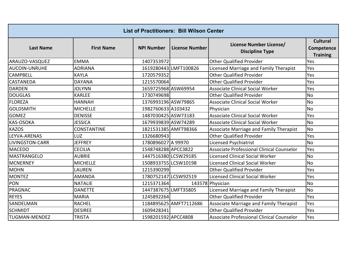| <b>List of Practitioners: Bill Wilson Center</b> |                    |                      |                        |                                                   |                                                  |
|--------------------------------------------------|--------------------|----------------------|------------------------|---------------------------------------------------|--------------------------------------------------|
| <b>Last Name</b>                                 | <b>First Name</b>  | <b>NPI Number</b>    | <b>License Number</b>  | License Number License/<br><b>Discipline Type</b> | <b>Cultural</b><br>Competence<br><b>Training</b> |
| ARAUZO-VASQUEZ                                   | <b>EMMA</b>        | 1407353972           |                        | <b>Other Qualified Provider</b>                   | Yes                                              |
| <b>AUCOIN-UNRUHE</b>                             | <b>ADRIANA</b>     |                      | 1619280443 LMFT100826  | Licensed Marriage and Family Therapist            | Yes                                              |
| <b>CAMPBELL</b>                                  | <b>KAYLA</b>       | 1720579352           |                        | <b>Other Qualified Provider</b>                   | Yes                                              |
| <b>CASTANEDA</b>                                 | <b>DAYANA</b>      | 1215570064           |                        | <b>Other Qualified Provider</b>                   | Yes                                              |
| <b>DARDEN</b>                                    | <b>JOLYNN</b>      | 1659725968 ASW69954  |                        | <b>Associate Clinical Social Worker</b>           | Yes                                              |
| <b>DOUGLAS</b>                                   | <b>KARLEE</b>      | 1730749698           |                        | <b>Other Qualified Provider</b>                   | <b>No</b>                                        |
| <b>FLOREZA</b>                                   | <b>HANNAH</b>      | 1376993196 ASW79865  |                        | Associate Clinical Social Worker                  | <b>No</b>                                        |
| <b>GOLDSMITH</b>                                 | <b>MICHELLE</b>    | 1982760633 A103432   |                        | Physician                                         | <b>No</b>                                        |
| <b>GOMEZ</b>                                     | <b>DENISSE</b>     | 1487030425 ASW73183  |                        | <b>Associate Clinical Social Worker</b>           | Yes                                              |
| <b>KAS-OSOKA</b>                                 | <b>JESSICA</b>     | 1679939839 ASW74289  |                        | <b>Associate Clinical Social Worker</b>           | <b>No</b>                                        |
| <b>KAZOS</b>                                     | <b>CONSTANTINE</b> | 1821531385 AMFT98366 |                        | Associate Marriage and Family Therapist           | <b>No</b>                                        |
| LEYVA-ARENAS                                     | <b>LUZ</b>         | 1326680943           |                        | <b>Other Qualified Provider</b>                   | Yes                                              |
| <b>LIVINGSTON-CARR</b>                           | <b>JEFFREY</b>     | 1780896027 A 99970   |                        | Licensed Psychiatrist                             | <b>No</b>                                        |
| <b>MACEDO</b>                                    | <b>CECILIA</b>     | 1548748288 APCC3822  |                        | Associate Professional Clinical Counselor         | Yes                                              |
| <b>MASTRANGELO</b>                               | <b>AUBRIE</b>      | 1447516380 LCSW29185 |                        | <b>Licensed Clinical Social Worker</b>            | No                                               |
| <b>MCNERNEY</b>                                  | <b>MICHELLE</b>    | 1508933755 LCSW10198 |                        | <b>Licensed Clinical Social Worker</b>            | <b>No</b>                                        |
| <b>MOHN</b>                                      | <b>LAUREN</b>      | 1215390299           |                        | <b>Other Qualified Provider</b>                   | Yes                                              |
| <b>MONTEZ</b>                                    | <b>AMANDA</b>      | 1780752147 LCSW92519 |                        | <b>Licensed Clinical Social Worker</b>            | Yes                                              |
| <b>PON</b>                                       | <b>NATALIE</b>     | 1215371364           |                        | 143578 Physician                                  | <b>No</b>                                        |
| <b>PRAGNAC</b>                                   | <b>DANETTE</b>     | 1447387675 LMFT35805 |                        | Licensed Marriage and Family Therapist            | <b>No</b>                                        |
| <b>REYES</b>                                     | <b>MARIA</b>       | 1245892264           |                        | <b>Other Qualified Provider</b>                   | Yes                                              |
| SANDELMAN                                        | <b>RACHEL</b>      |                      | 1184895625 AMFT7112686 | Associate Marriage and Family Therapist           | Yes                                              |
| <b>SCHMIDT</b>                                   | <b>DESIREE</b>     | 1609428341           |                        | <b>Other Qualified Provider</b>                   | Yes                                              |
| <b>TUGMAN-MENDEZ</b>                             | <b>TRISTA</b>      | 1598201592 APCC4808  |                        | <b>Associate Professional Clinical Counselor</b>  | Yes                                              |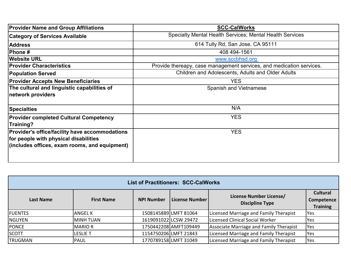| <b>Provider Name and Group Affiliations</b>                                                                                                     | <b>SCC-CalWorks</b>                                                  |
|-------------------------------------------------------------------------------------------------------------------------------------------------|----------------------------------------------------------------------|
| <b>Category of Services Available</b>                                                                                                           | Specialty Mental Health Services; Mental Health Services             |
| <b>Address</b>                                                                                                                                  | 614 Tully Rd, San Jose, CA 95111                                     |
| Phone #                                                                                                                                         | 408 494-1561                                                         |
| <b>Website URL</b>                                                                                                                              | www.sccbhsd.org                                                      |
| <b>Provider Characteristics</b>                                                                                                                 | Provide thereapy, case management services, and medication services. |
| <b>Population Served</b>                                                                                                                        | Children and Adolescents, Adults and Older Adults                    |
| <b>Provider Accepts New Beneficiaries</b>                                                                                                       | <b>YES</b>                                                           |
| The cultural and linguistic capabilities of                                                                                                     | <b>Spanish and Vietnamese</b>                                        |
| network providers                                                                                                                               |                                                                      |
| <b>Specialties</b>                                                                                                                              | N/A                                                                  |
| <b>Provider completed Cultural Competency</b><br>Training?                                                                                      | <b>YES</b>                                                           |
| <b>Provider's office/facility have accommodations</b><br>for people with physical disabilities<br>(includes offices, exam rooms, and equipment) | <b>YES</b>                                                           |

| <b>List of Practitioners: SCC-CalWorks</b> |                   |                   |                       |                                                   |                                                  |
|--------------------------------------------|-------------------|-------------------|-----------------------|---------------------------------------------------|--------------------------------------------------|
| <b>Last Name</b>                           | <b>First Name</b> | <b>NPI Number</b> | l License Number l    | License Number License/<br><b>Discipline Type</b> | <b>Cultural</b><br>Competence<br><b>Training</b> |
| <b>FUENTES</b>                             | <b>ANGEL K</b>    |                   | 1508145889 LMFT 81064 | Licensed Marriage and Family Therapist            | <b>Yes</b>                                       |
| <b>NGUYEN</b>                              | <b>MINH TUAN</b>  |                   | 1619091022 LCSW 29472 | Licensed Clinical Social Worker                   | Yes                                              |
| <b>PONCE</b>                               | <b>MARIOR</b>     |                   | 1750442208 AMFT109449 | Associate Marriage and Family Therapist           | Yes                                              |
| <b>SCOTT</b>                               | <b>LESLIE T</b>   |                   | 1154750206 LMFT 21843 | Licensed Marriage and Family Therapist            | Yes                                              |
| <b>TRUGMAN</b>                             | <b>PAUL</b>       |                   | 1770789158 LMFT 31049 | Licensed Marriage and Family Therapist            | Yes                                              |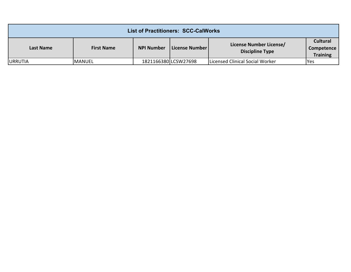| <b>List of Practitioners: SCC-CalWorks</b> |                   |                      |                |                                                   |                                                  |
|--------------------------------------------|-------------------|----------------------|----------------|---------------------------------------------------|--------------------------------------------------|
| Last Name                                  | <b>First Name</b> | <b>NPI Number</b>    | License Number | License Number License/<br><b>Discipline Type</b> | <b>Cultural</b><br>Competence<br><b>Training</b> |
| <b>URRUTIA</b>                             | <b>MANUEL</b>     | 1821166380 LCSW27698 |                | Licensed Clinical Social Worker                   | <b>Yes</b>                                       |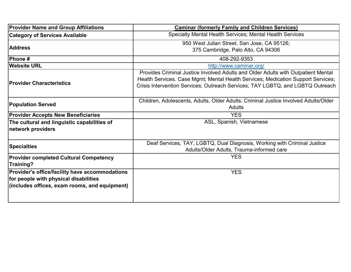| <b>Provider Name and Group Affiliations</b>                                                                                              | <b>Caminar (formerly Family and Children Services)</b>                                                                                                                                                                                                  |
|------------------------------------------------------------------------------------------------------------------------------------------|---------------------------------------------------------------------------------------------------------------------------------------------------------------------------------------------------------------------------------------------------------|
| <b>Category of Services Available</b>                                                                                                    | Specialty Mental Health Services; Mental Health Services                                                                                                                                                                                                |
| <b>Address</b>                                                                                                                           | 950 West Julian Street, San Jose, CA 95126;<br>375 Cambridge, Palo Alto, CA 94306                                                                                                                                                                       |
| <b>Phone #</b>                                                                                                                           | 408-292-9353                                                                                                                                                                                                                                            |
| <b>Website URL</b>                                                                                                                       | http://www.caminar.org/                                                                                                                                                                                                                                 |
| <b>Provider Characteristics</b>                                                                                                          | Provides Criminal Justice Involved Adults and Older Adults with Outpatient Mental<br>Health Services. Case Mgmt; Mental Health Services; Medication Support Services;<br>Crisis Intervention Services; Outreach Services; TAY LGBTQ, and LGBTQ Outreach |
| <b>Population Served</b>                                                                                                                 | Children, Adolescents, Adults, Older Adults; Criminal Justice Involved Adults/Older<br>Adults                                                                                                                                                           |
| <b>Provider Accepts New Beneficiaries</b>                                                                                                | <b>YES</b>                                                                                                                                                                                                                                              |
| The cultural and linguistic capabilities of<br>network providers                                                                         | ASL, Spanish, Vietnamese                                                                                                                                                                                                                                |
| <b>Specialties</b>                                                                                                                       | Deaf Services, TAY, LGBTQ, Dual Diagnosis, Working with Criminal Justice<br>Adults/Older Adults, Trauma-informed care                                                                                                                                   |
| <b>Provider completed Cultural Competency</b><br>Training?                                                                               | <b>YES</b>                                                                                                                                                                                                                                              |
| Provider's office/facility have accommodations<br>for people with physical disabilities<br>(includes offices, exam rooms, and equipment) | <b>YES</b>                                                                                                                                                                                                                                              |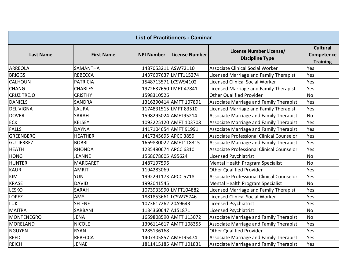| <b>List of Practitioners - Caminar</b> |                   |                       |                        |                                                   |                                                  |
|----------------------------------------|-------------------|-----------------------|------------------------|---------------------------------------------------|--------------------------------------------------|
| <b>Last Name</b>                       | <b>First Name</b> | <b>NPI Number</b>     | <b>License Number</b>  | License Number License/<br><b>Discipline Type</b> | <b>Cultural</b><br>Competence<br><b>Training</b> |
| <b>ARREOLA</b>                         | SAMANTHA          | 1487053211 ASW72110   |                        | <b>Associate Clinical Social Worker</b>           | Yes                                              |
| <b>BRIGGS</b>                          | <b>REBECCA</b>    |                       | 1437607637 LMFT115274  | Licensed Marriage and Family Therapist            | Yes                                              |
| CALHOUN                                | <b>PATRICIA</b>   | 1548713571 LCSW94102  |                        | <b>Licensed Clinical Social Worker</b>            | Yes                                              |
| <b>CHANG</b>                           | <b>CHARLES</b>    | 1972637650 LMFT 47841 |                        | Licensed Marriage and Family Therapist            | Yes                                              |
| <b>CRUZ TREJO</b>                      | <b>CRISTHY</b>    | 1598310526            |                        | <b>Other Qualified Provider</b>                   | <b>No</b>                                        |
| <b>DANIELS</b>                         | <b>SANDRA</b>     |                       | 1316290414 AMFT 107891 | Associate Marriage and Family Therapist           | Yes                                              |
| <b>DEL VIGNA</b>                       | LAURA             | 1174831515 LMFT 83510 |                        | Licensed Marriage and Family Therapist            | Yes                                              |
| <b>DOVER</b>                           | <b>SARAH</b>      | 1598295024 AMFT95214  |                        | Associate Marriage and Family Therapist           | <b>No</b>                                        |
| <b>ECK</b>                             | <b>KELSEY</b>     |                       | 1093225120 AMFT 103708 | Associate Marriage and Family Therapist           | Yes                                              |
| <b>FALLS</b>                           | <b>DAYNA</b>      |                       | 1417104654 AMFT 91991  | Associate Marriage and Family Therapist           | Yes                                              |
| <b>GREENBERG</b>                       | <b>HEATHER</b>    | 1417345695 APCC 3859  |                        | Associate Professional Clinical Counselor         | Yes                                              |
| <b>GUTIERREZ</b>                       | <b>BOBBI</b>      |                       | 1669830022 AMFT118315  | Associate Marriage and Family Therapist           | Yes                                              |
| <b>HEATH</b>                           | <b>RHONDA</b>     | 1235480674 APCC 6310  |                        | Associate Professional Clinical Counselor         | Yes                                              |
| <b>HONG</b>                            | <b>JEANNE</b>     | 1568678605 A95624     |                        | Licensed Psychiatrist                             | <b>No</b>                                        |
| <b>HUNTER</b>                          | <b>MARGARET</b>   | 1487197596            |                        | Mental Health Program Specialist                  | <b>No</b>                                        |
| <b>KAUR</b>                            | <b>AMRIT</b>      | 1194283069            |                        | <b>Other Qualified Provider</b>                   | Yes                                              |
| <b>KIM</b>                             | <b>YUN</b>        | 1992291173 APCC 5718  |                        | Associate Professional Clinical Counselor         | Yes                                              |
| <b>KRASE</b>                           | <b>DAVID</b>      | 1992041545            |                        | Mental Health Program Specialist                  | <b>No</b>                                        |
| <b>LESKO</b>                           | <b>SARAH</b>      |                       | 1073933990 LMFT104882  | Licensed Marriage and Family Therapist            | Yes                                              |
| <b>LOPEZ</b>                           | <b>AMY</b>        | 1881853661 LCSW75746  |                        | <b>Licensed Clinical Social Worker</b>            | Yes                                              |
| <b>LUK</b>                             | <b>SELENE</b>     | 1073617262 20A9643    |                        | Licensed Psychiatrist                             | Yes                                              |
| <b>MAITRA</b>                          | SARBANI           | 1134360647 A151871    |                        | Licensed Psychiatrist                             | <b>No</b>                                        |
| <b>MONTENEGRO</b>                      | <b>JENA</b>       |                       | 1659808590 AMFT 113072 | Associate Marriage and Family Therapist           | <b>No</b>                                        |
| <b>MORELAND</b>                        | <b>NICOLE</b>     |                       | 1396114617 AMFT 108355 | Associate Marriage and Family Therapist           | Yes                                              |
| <b>NGUYEN</b>                          | <b>RYAN</b>       | 1285136168            |                        | <b>Other Qualified Provider</b>                   | Yes                                              |
| <b>REED</b>                            | <b>REBECCA</b>    | 1407305857 AMFT95474  |                        | Associate Marriage and Family Therapist           | Yes                                              |
| <b>REICH</b>                           | <b>JENAE</b>      |                       | 1811415185 AMFT 101831 | Associate Marriage and Family Therapist           | Yes                                              |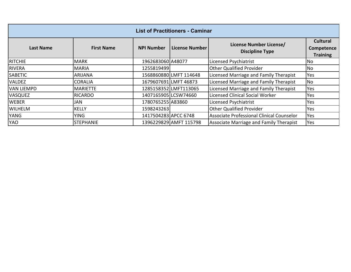| <b>List of Practitioners - Caminar</b> |                   |                      |                        |                                                   |                                                  |
|----------------------------------------|-------------------|----------------------|------------------------|---------------------------------------------------|--------------------------------------------------|
| Last Name                              | <b>First Name</b> | <b>NPI Number</b>    | <b>License Number</b>  | License Number License/<br><b>Discipline Type</b> | <b>Cultural</b><br>Competence<br><b>Training</b> |
| <b>RITCHIE</b>                         | <b>MARK</b>       | 1962683060 A48077    |                        | Licensed Psychiatrist                             | No                                               |
| <b>RIVERA</b>                          | <b>MARIA</b>      | 1255819499           |                        | <b>Other Qualified Provider</b>                   | No                                               |
| <b>SABETIC</b>                         | <b>ARIJANA</b>    |                      | 1568860880 LMFT 114648 | Licensed Marriage and Family Therapist            | Yes                                              |
| <b>VALDEZ</b>                          | <b>CORALIA</b>    |                      | 1679607691 LMFT 46873  | Licensed Marriage and Family Therapist            | No                                               |
| <b>VAN LIEMPD</b>                      | <b>MARIETTE</b>   |                      | 1285158352LMFT113065   | Licensed Marriage and Family Therapist            | Yes                                              |
| <b>VASQUEZ</b>                         | <b>RICARDO</b>    | 1407165905 LCSW74660 |                        | <b>Licensed Clinical Social Worker</b>            | Yes                                              |
| <b>WEBER</b>                           | JAN               | 1780765255 A83860    |                        | Licensed Psychiatrist                             | Yes                                              |
| <b>WILHELM</b>                         | <b>KELLY</b>      | 1598243263           |                        | <b>Other Qualified Provider</b>                   | Yes                                              |
| YANG                                   | <b>YING</b>       | 1417504283 APCC 6748 |                        | Associate Professional Clinical Counselor         | Yes                                              |
| <b>YAO</b>                             | <b>STEPHANIE</b>  |                      | 1396229829 AMFT 115798 | <b>Associate Marriage and Family Therapist</b>    | Yes                                              |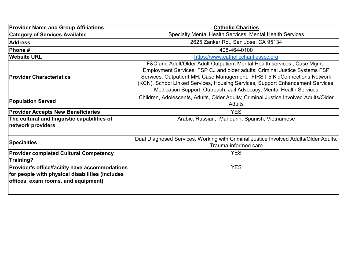| <b>Provider Name and Group Affiliations</b>                                                                                              | <b>Catholic Charities</b>                                                                                                                                                                                                                                                                                                                                                                   |
|------------------------------------------------------------------------------------------------------------------------------------------|---------------------------------------------------------------------------------------------------------------------------------------------------------------------------------------------------------------------------------------------------------------------------------------------------------------------------------------------------------------------------------------------|
| <b>Category of Services Available</b>                                                                                                    | Specialty Mental Health Services; Mental Health Services                                                                                                                                                                                                                                                                                                                                    |
| <b>Address</b>                                                                                                                           | 2625 Zanker Rd., San Jose, CA 95134                                                                                                                                                                                                                                                                                                                                                         |
| Phone#                                                                                                                                   | 408-464-0100                                                                                                                                                                                                                                                                                                                                                                                |
| <b>Website URL</b>                                                                                                                       | https://www.catholiccharitiesscc.org                                                                                                                                                                                                                                                                                                                                                        |
| <b>Provider Characteristics</b>                                                                                                          | F&C and Adult/Older Adult Outpatient Mental Health services; Case Mgmt.,<br>Employment Services; FSP CJ and older adults; Criminal Justice Systems FSP<br>Services. Outpatient MH; Case Management, FIRST 5 KidConnections Network<br>(KCN), School Linked Services, Housing Services, Support Enhancement Services,<br>Medication Support, Outreach, Jail Advocacy; Mental Health Services |
| <b>Population Served</b>                                                                                                                 | Children, Adolescents, Adults, Older Adults; Criminal Justice Involved Adults/Older<br><b>Adults</b>                                                                                                                                                                                                                                                                                        |
| <b>Provider Accepts New Beneficiaries</b>                                                                                                | <b>YES</b>                                                                                                                                                                                                                                                                                                                                                                                  |
| The cultural and linguistic capabilities of<br>network providers                                                                         | Arabic, Russian, Mandarin, Spanish, Vietnamese                                                                                                                                                                                                                                                                                                                                              |
| <b>Specialties</b>                                                                                                                       | Dual Diagnosed Services, Working with Criminal Justice Involved Adults/Older Adults,<br>Trauma-informed care                                                                                                                                                                                                                                                                                |
| <b>Provider completed Cultural Competency</b><br>Training?                                                                               | <b>YES</b>                                                                                                                                                                                                                                                                                                                                                                                  |
| Provider's office/facility have accommodations<br>for people with physical disabilities (includes<br>offices, exam rooms, and equipment) | <b>YES</b>                                                                                                                                                                                                                                                                                                                                                                                  |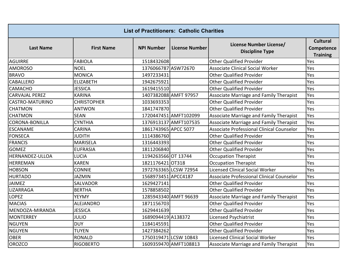| <b>List of Practitioners: Catholic Charities</b> |                    |                      |                       |                                                   |                                                  |  |
|--------------------------------------------------|--------------------|----------------------|-----------------------|---------------------------------------------------|--------------------------------------------------|--|
| <b>Last Name</b>                                 | <b>First Name</b>  | <b>NPI Number</b>    | <b>License Number</b> | License Number License/<br><b>Discipline Type</b> | <b>Cultural</b><br>Competence<br><b>Training</b> |  |
| <b>AGUIRRE</b>                                   | <b>FABIOLA</b>     | 1518432608           |                       | <b>Other Qualified Provider</b>                   | Yes                                              |  |
| <b>AMOROSO</b>                                   | <b>NOEL</b>        | 1376066787 ASW72670  |                       | <b>Associate Clinical Social Worker</b>           | Yes                                              |  |
| <b>BRAVO</b>                                     | <b>MONICA</b>      | 1497233431           |                       | <b>Other Qualified Provider</b>                   | Yes                                              |  |
| CABALLERO                                        | <b>ELIZABETH</b>   | 1942675921           |                       | <b>Other Qualified Provider</b>                   | Yes                                              |  |
| CAMACHO                                          | <b>JESSICA</b>     | 1619415510           |                       | <b>Other Qualified Provider</b>                   | Yes                                              |  |
| <b>CARVAJAL PEREZ</b>                            | <b>KARINA</b>      |                      | 1407382088 AMFT 97957 | Associate Marriage and Family Therapist           | Yes                                              |  |
| CASTRO-MATURINO                                  | <b>CHRISTOPHER</b> | 1033693353           |                       | <b>Other Qualified Provider</b>                   | Yes                                              |  |
| <b>CHATMON</b>                                   | <b>ANTWON</b>      | 1841747870           |                       | <b>Other Qualified Provider</b>                   | Yes                                              |  |
| <b>CHATMON</b>                                   | <b>SEAN</b>        |                      | 1720447451 AMFT102099 | Associate Marriage and Family Therapist           | Yes                                              |  |
| <b>CORONA-BONILLA</b>                            | <b>CYNTHIA</b>     |                      | 1376913137 AMFT107535 | Associate Marriage and Family Therapist           | Yes                                              |  |
| <b>ESCANAME</b>                                  | <b>CARINA</b>      | 1861743965 APCC 5077 |                       | <b>Associate Professional Clinical Counselor</b>  | Yes                                              |  |
| <b>FONSECA</b>                                   | <b>JUDITH</b>      | 1114386760           |                       | <b>Other Qualified Provider</b>                   | Yes                                              |  |
| <b>FRANCIS</b>                                   | <b>MARISELA</b>    | 1316443393           |                       | <b>Other Qualified Provider</b>                   | Yes                                              |  |
| <b>GOMEZ</b>                                     | <b>EUFRASIA</b>    | 1811206840           |                       | <b>Other Qualified Provider</b>                   | Yes                                              |  |
| HERNANDEZ-ULLOA                                  | <b>LUCIA</b>       | 1194263566 OT 13744  |                       | <b>Occupation Therapist</b>                       | Yes                                              |  |
| <b>HERREMAN</b>                                  | <b>KAREN</b>       | 1821176421 0T318     |                       | <b>Occupation Therapist</b>                       | Yes                                              |  |
| <b>HOBSON</b>                                    | <b>CONNIE</b>      |                      | 1972763365 LCSW 72954 | <b>Licensed Clinical Social Worker</b>            | Yes                                              |  |
| <b>HURTADO</b>                                   | <b>JAZMIN</b>      | 1568973451 APCC4187  |                       | <b>Associate Professional Clinical Counselor</b>  | Yes                                              |  |
| <b>JAIMEZ</b>                                    | <b>SALVADOR</b>    | 1629427141           |                       | <b>Other Qualified Provider</b>                   | Yes                                              |  |
| LIZARRAGA                                        | <b>BERTHA</b>      | 1578858502           |                       | <b>Other Qualified Provider</b>                   | Yes                                              |  |
| <b>LOPEZ</b>                                     | <b>YEYMY</b>       |                      | 1285943340 AMFT 96639 | Associate Marriage and Family Therapist           | Yes                                              |  |
| <b>MACIAS</b>                                    | ALEJANDRO          | 1871156703           |                       | <b>Other Qualified Provider</b>                   | Yes                                              |  |
| MENDOZA-MIRANDA                                  | <b>JESSICA</b>     | 1629441639           |                       | <b>Other Qualified Provider</b>                   | Yes                                              |  |
| <b>MONTERREY</b>                                 | <b>JULIO</b>       | 1689094419 A138372   |                       | Licensed Psychiatrist                             | Yes                                              |  |
| <b>NGUYEN</b>                                    | <b>DUY</b>         | 1184145591           |                       | <b>Other Qualified Provider</b>                   | Yes                                              |  |
| <b>NGUYEN</b>                                    | <b>TUYEN</b>       | 1427384262           |                       | <b>Other Qualified Provider</b>                   | Yes                                              |  |
| <b>OBER</b>                                      | <b>RONALD</b>      |                      | 1750319471 LCSW 10843 | <b>Licensed Clinical Social Worker</b>            | Yes                                              |  |
| <b>OROZCO</b>                                    | <b>RIGOBERTO</b>   |                      | 1609359470 AMFT108813 | Associate Marriage and Family Therapist           | Yes                                              |  |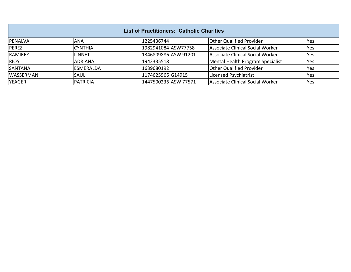| <b>List of Practitioners: Catholic Charities</b> |                  |                      |  |                                  |      |
|--------------------------------------------------|------------------|----------------------|--|----------------------------------|------|
| <b>PENALVA</b>                                   | <b>ANA</b>       | 1225436744           |  | <b>Other Qualified Provider</b>  | Yes  |
| <b>PEREZ</b>                                     | <b>CYNTHIA</b>   | 1982941084 ASW77758  |  | Associate Clinical Social Worker | lYes |
| <b>RAMIREZ</b>                                   | <b>LINNET</b>    | 1346809886 ASW 91201 |  | Associate Clinical Social Worker | lYes |
| <b>RIOS</b>                                      | <b>ADRIANA</b>   | 1942335518           |  | Mental Health Program Specialist | Yes  |
| <b>SANTANA</b>                                   | <b>ESMERALDA</b> | 1639680192           |  | <b>Other Qualified Provider</b>  | lYes |
| <b>WASSERMAN</b>                                 | <b>SAUL</b>      | 1174625966G14915     |  | Licensed Psychiatrist            | Yes  |
| <b>YEAGER</b>                                    | <b>PATRICIA</b>  | 1447500236 ASW 77571 |  | Associate Clinical Social Worker | Yes  |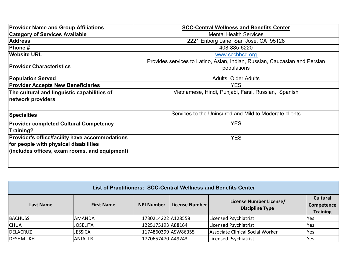| <b>Provider Name and Group Affiliations</b>                                                                                              | <b>SCC-Central Wellness and Benefits Center</b>                                           |
|------------------------------------------------------------------------------------------------------------------------------------------|-------------------------------------------------------------------------------------------|
| <b>Category of Services Available</b>                                                                                                    | <b>Mental Health Services</b>                                                             |
| <b>Address</b>                                                                                                                           | 2221 Enborg Lane, San Jose, CA 95128                                                      |
| Phone #                                                                                                                                  | 408-885-6220                                                                              |
| <b>Website URL</b>                                                                                                                       | www.sccbhsd.org                                                                           |
| <b>Provider Characteristics</b>                                                                                                          | Provides services to Latino, Asian, Indian, Russian, Caucasian and Persian<br>populations |
| <b>Population Served</b>                                                                                                                 | <b>Adults, Older Adults</b>                                                               |
| <b>Provider Accepts New Beneficiaries</b>                                                                                                | <b>YES</b>                                                                                |
| The cultural and linguistic capabilities of<br>network providers                                                                         | Vietnamese, Hindi, Punjabi, Farsi, Russian, Spanish                                       |
| <b>Specialties</b>                                                                                                                       | Services to the Uninsured and Mild to Moderate clients                                    |
| <b>Provider completed Cultural Competency</b><br>Training?                                                                               | <b>YES</b>                                                                                |
| Provider's office/facility have accommodations<br>for people with physical disabilities<br>(includes offices, exam rooms, and equipment) | <b>YES</b>                                                                                |

| List of Practitioners: SCC-Central Wellness and Benefits Center                                                                          |                 |                     |  |                                  |            |  |
|------------------------------------------------------------------------------------------------------------------------------------------|-----------------|---------------------|--|----------------------------------|------------|--|
| License Number License/<br>License Number<br><b>NPI Number</b><br><b>First Name</b><br>Last Name<br>Competence<br><b>Discipline Type</b> |                 |                     |  |                                  |            |  |
| <b>BACHUSS</b>                                                                                                                           | <b>AMANDA</b>   | 1730214222 A128558  |  | Licensed Psychiatrist            | Yes        |  |
| <b>CHUA</b>                                                                                                                              | <b>JOSELITA</b> | 1225175193 A88164   |  | Licensed Psychiatrist            | <b>Yes</b> |  |
| <b>DELACRUZ</b>                                                                                                                          | <b>JESSICA</b>  | 1174860399 ASW86355 |  | Associate Clinical Social Worker | <b>Yes</b> |  |
| <b>DESHMUKH</b>                                                                                                                          | <b>ANJALI R</b> | 1770657470 A49243   |  | Licensed Psychiatrist            | Yes        |  |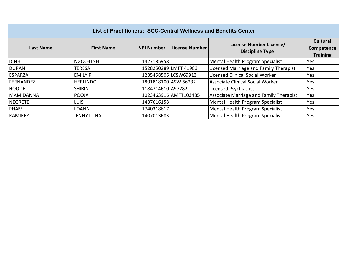| List of Practitioners: SCC-Central Wellness and Benefits Center |                   |                      |                       |                                                   |                                                  |  |
|-----------------------------------------------------------------|-------------------|----------------------|-----------------------|---------------------------------------------------|--------------------------------------------------|--|
| <b>Last Name</b>                                                | <b>First Name</b> | <b>NPI Number</b>    | <b>License Number</b> | License Number License/<br><b>Discipline Type</b> | <b>Cultural</b><br>Competence<br><b>Training</b> |  |
| <b>DINH</b>                                                     | NGOC-LINH         | 1427185958           |                       | Mental Health Program Specialist                  | Yes                                              |  |
| <b>DURAN</b>                                                    | <b>TERESA</b>     |                      | 1528250289 LMFT 41983 | Licensed Marriage and Family Therapist            | Yes                                              |  |
| <b>ESPARZA</b>                                                  | <b>EMILY P</b>    | 1235458506 LCSW69913 |                       | Licensed Clinical Social Worker                   | Yes                                              |  |
| <b>FERNANDEZ</b>                                                | <b>HERLINDO</b>   | 1891818100 ASW 66232 |                       | <b>Associate Clinical Social Worker</b>           | Yes                                              |  |
| <b>HOODEI</b>                                                   | <b>SHIRIN</b>     | 1184714610 A97282    |                       | Licensed Psychiatrist                             | Yes                                              |  |
| <b>MAMIDANNA</b>                                                | POOJA             |                      | 1023463916 AMFT103485 | <b>Associate Marriage and Family Therapist</b>    | Yes                                              |  |
| <b>NEGRETE</b>                                                  | <b>LUIS</b>       | 1437616158           |                       | Mental Health Program Specialist                  | Yes                                              |  |
| PHAM                                                            | <b>LOANN</b>      | 1740318617           |                       | Mental Health Program Specialist                  | Yes                                              |  |
| <b>RAMIREZ</b>                                                  | <b>JENNY LUNA</b> | 1407013683           |                       | Mental Health Program Specialist                  | Yes                                              |  |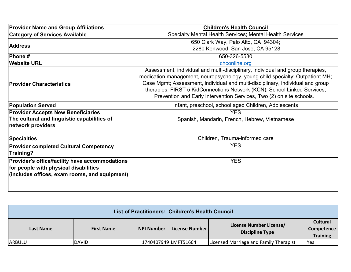| <b>Provider Name and Group Affiliations</b>                | <b>Children's Health Council</b>                                                                                                                                                                                                                                                                                                                                                                      |  |  |  |  |
|------------------------------------------------------------|-------------------------------------------------------------------------------------------------------------------------------------------------------------------------------------------------------------------------------------------------------------------------------------------------------------------------------------------------------------------------------------------------------|--|--|--|--|
| <b>Category of Services Available</b>                      | Specialty Mental Health Services; Mental Health Services                                                                                                                                                                                                                                                                                                                                              |  |  |  |  |
|                                                            | 650 Clark Way, Palo Alto, CA 94304;                                                                                                                                                                                                                                                                                                                                                                   |  |  |  |  |
| <b>Address</b>                                             | 2280 Kenwood, San Jose, CA 95128                                                                                                                                                                                                                                                                                                                                                                      |  |  |  |  |
| <b>Phone#</b>                                              | 650-326-5530                                                                                                                                                                                                                                                                                                                                                                                          |  |  |  |  |
| <b>Website URL</b>                                         | chconline.org                                                                                                                                                                                                                                                                                                                                                                                         |  |  |  |  |
| <b>Provider Characteristics</b>                            | Assessment, individual and multi-disciplinary, individual and group therapies,<br>medication management, neuropsychology, young child specialty; Outpatient MH;<br>Case Mgmt; Assessment, individual and multi-disciplinary, individual and group<br>therapies, FIRST 5 KidConnections Network (KCN), School Linked Services,<br>Prevention and Early Intervention Services, Two (2) on site schools. |  |  |  |  |
| <b>Population Served</b>                                   | Infant, preschool, school aged Children, Adolescents                                                                                                                                                                                                                                                                                                                                                  |  |  |  |  |
| <b>Provider Accepts New Beneficiaries</b>                  | <b>YES</b>                                                                                                                                                                                                                                                                                                                                                                                            |  |  |  |  |
| The cultural and linguistic capabilities of                | Spanish, Mandarin, French, Hebrew, Vietnamese                                                                                                                                                                                                                                                                                                                                                         |  |  |  |  |
| network providers                                          |                                                                                                                                                                                                                                                                                                                                                                                                       |  |  |  |  |
| <b>Specialties</b>                                         | Children, Trauma-informed care                                                                                                                                                                                                                                                                                                                                                                        |  |  |  |  |
| <b>Provider completed Cultural Competency</b><br>Training? | <b>YES</b>                                                                                                                                                                                                                                                                                                                                                                                            |  |  |  |  |
| Provider's office/facility have accommodations             | <b>YES</b>                                                                                                                                                                                                                                                                                                                                                                                            |  |  |  |  |
| for people with physical disabilities                      |                                                                                                                                                                                                                                                                                                                                                                                                       |  |  |  |  |
| (includes offices, exam rooms, and equipment)              |                                                                                                                                                                                                                                                                                                                                                                                                       |  |  |  |  |
|                                                            |                                                                                                                                                                                                                                                                                                                                                                                                       |  |  |  |  |

| List of Practitioners: Children's Health Council |                   |                      |                |                                                   |                                                  |
|--------------------------------------------------|-------------------|----------------------|----------------|---------------------------------------------------|--------------------------------------------------|
| Last Name                                        | <b>First Name</b> | <b>NPI Number</b>    | License Number | License Number License/<br><b>Discipline Type</b> | <b>Cultural</b><br>Competence<br><b>Training</b> |
| <b>ARBULU</b>                                    | <b>DAVID</b>      | 1740407949 LMFT51664 |                | Licensed Marriage and Family Therapist            | <b>Yes</b>                                       |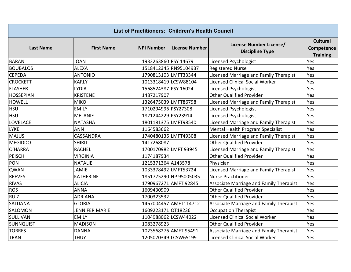| <b>List of Practitioners: Children's Health Council</b> |                       |                       |                        |                                                          |                                                  |  |
|---------------------------------------------------------|-----------------------|-----------------------|------------------------|----------------------------------------------------------|--------------------------------------------------|--|
| <b>Last Name</b>                                        | <b>First Name</b>     | <b>NPI Number</b>     | <b>License Number</b>  | <b>License Number License/</b><br><b>Discipline Type</b> | <b>Cultural</b><br>Competence<br><b>Training</b> |  |
| <b>BARAN</b>                                            | <b>JOAN</b>           | 1932263860 PSY 14679  |                        | <b>Licensed Psychologist</b>                             | Yes                                              |  |
| <b>BOUBALOS</b>                                         | <b>ALEXA</b>          |                       | 1518412345 RN95104937  | <b>Registered Nurse</b>                                  | Yes                                              |  |
| <b>CEPEDA</b>                                           | <b>ANTONIO</b>        | 1790813103 LMFT33344  |                        | Licensed Marriage and Family Therapist                   | Yes                                              |  |
| <b>CROCKETT</b>                                         | <b>KARLY</b>          | 1013318419 LCSW88104  |                        | <b>Licensed Clinical Social Worker</b>                   | Yes                                              |  |
| <b>FLASHER</b>                                          | <b>LYDIA</b>          | 1568524387 PSY 16024  |                        | Licensed Psychologist                                    | Yes                                              |  |
| <b>HOSSEPIAN</b>                                        | <b>KRISTENE</b>       | 1487217907            |                        | <b>Other Qualified Provider</b>                          | Yes                                              |  |
| <b>HOWELL</b>                                           | <b>MIKO</b>           | 1326475039 LMFT86798  |                        | Licensed Marriage and Family Therapist                   | Yes                                              |  |
| <b>HSU</b>                                              | <b>EMILY</b>          | 1710294996 PSY27308   |                        | <b>Licensed Psychologist</b>                             | Yes                                              |  |
| <b>HSU</b>                                              | <b>MELANIE</b>        | 1821244229 PSY23914   |                        | <b>Licensed Psychologist</b>                             | Yes                                              |  |
| LOVELACE                                                | <b>NATASHA</b>        | 1801181375 LMFT98540  |                        | Licensed Marriage and Family Therapist                   | Yes                                              |  |
| <b>LYKE</b>                                             | <b>ANN</b>            | 1164583662            |                        | Mental Health Program Specialist                         | Yes                                              |  |
| <b>MAJUS</b>                                            | CASSANDRA             | 1740480136 LMFT49308  |                        | Licensed Marriage and Family Therapist                   | Yes                                              |  |
| <b>MEGIDDO</b>                                          | <b>SHIRIT</b>         | 1417268087            |                        | <b>Other Qualified Provider</b>                          | Yes                                              |  |
| O'HARRA                                                 | <b>RACHEL</b>         | 1700170982 LMFT 93945 |                        | Licensed Marriage and Family Therapist                   | Yes                                              |  |
| <b>PEISCH</b>                                           | <b>VIRGINIA</b>       | 1174187934            |                        | <b>Other Qualified Provider</b>                          | Yes                                              |  |
| PON                                                     | <b>NATALIE</b>        | 1215371364 A143578    |                        | Physician                                                | Yes                                              |  |
| QWAN                                                    | <b>JAMIE</b>          | 1033378492 LMFT53724  |                        | Licensed Marriage and Family Therapist                   | Yes                                              |  |
| <b>REEVES</b>                                           | <b>KATHERINE</b>      |                       | 1851775290 NP 95005035 | Nurse Practitioner                                       | Yes                                              |  |
| <b>RIVAS</b>                                            | <b>ALICIA</b>         |                       | 1790967271 AMFT 92845  | <b>Associate Marriage and Family Therapist</b>           | Yes                                              |  |
| <b>ROS</b>                                              | <b>ANNA</b>           | 1609430909            |                        | <b>Other Qualified Provider</b>                          | Yes                                              |  |
| <b>RUIZ</b>                                             | <b>ADRIANA</b>        | 1700323532            |                        | <b>Other Qualified Provider</b>                          | Yes                                              |  |
| SALDANA                                                 | <b>GLORIA</b>         |                       | 1467004457 AMFT114712  | Associate Marriage and Family Therapist                  | Yes                                              |  |
| SALOMON                                                 | <b>JENNIFER MARIE</b> | 1609223171 0T18236    |                        | <b>Occupation Therapist</b>                              | Yes                                              |  |
| <b>SULLIVAN</b>                                         | <b>EMILY</b>          | 1104988062 LCSW44022  |                        | <b>Licensed Clinical Social Worker</b>                   | Yes                                              |  |
| <b>SUNNQUIST</b>                                        | <b>MADISON</b>        | 1083278923            |                        | <b>Other Qualified Provider</b>                          | Yes                                              |  |
| <b>TORRES</b>                                           | <b>DANNA</b>          |                       | 1023568276 AMFT 95491  | Associate Marriage and Family Therapist                  | Yes                                              |  |
| <b>TRAN</b>                                             | <b>THUY</b>           | 1205070349 LCSW65199  |                        | <b>Licensed Clinical Social Worker</b>                   | Yes                                              |  |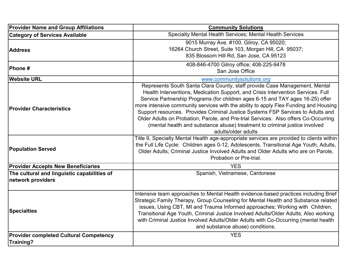| <b>Provider Name and Group Affiliations</b>                      | <b>Community Solutions</b>                                                                                                                                                                                                                                                                                                                                                                                                                                                                                                                                                                                              |
|------------------------------------------------------------------|-------------------------------------------------------------------------------------------------------------------------------------------------------------------------------------------------------------------------------------------------------------------------------------------------------------------------------------------------------------------------------------------------------------------------------------------------------------------------------------------------------------------------------------------------------------------------------------------------------------------------|
| <b>Category of Services Available</b>                            | Specialty Mental Health Services; Mental Health Services                                                                                                                                                                                                                                                                                                                                                                                                                                                                                                                                                                |
| <b>Address</b>                                                   | 9015 Murray Ave. #100, Gilroy, CA 95020;<br>16264 Church Street, Suite 103, Morgan Hill, CA 95037;<br>835 Blossom Hill Rd, San Jose, CA 95123                                                                                                                                                                                                                                                                                                                                                                                                                                                                           |
| Phone#                                                           | 408-846-4700 Gilroy office; 408-225-9478<br>San Jose Office                                                                                                                                                                                                                                                                                                                                                                                                                                                                                                                                                             |
| <b>Website URL</b>                                               | www.communitysolutions.org                                                                                                                                                                                                                                                                                                                                                                                                                                                                                                                                                                                              |
| <b>Provider Characteristics</b>                                  | Represents South Santa Clara County, staff provide Case Management, Mental<br>Health Interventions, Medication Support, and Crisis Intervention Services. Full<br>Service Partnership Programs (for children ages 6-15 and TAY ages 16-25) offer<br>more intensive community services with the ability to apply Flex Funding and Housing<br>Support resources. Provides Criminal Justice Systems FSP Services to Adults and<br>Older Adults on Probation, Parole, and Pre-trial Services. Also offers Co-Occurring<br>(mental health and substance abuse) treatment to criminal justice involved<br>adults/older adults |
| <b>Population Served</b>                                         | Title 9, Specialty Mental Health age-appropriate services are provided to clients within<br>the Full Life Cycle: Children ages 0-12, Adolescents, Transitional Age Youth, Adults,<br>Older Adults; Criminal Justice Involved Adults and Older Adults who are on Parole,<br>Probation or Pre-trial.                                                                                                                                                                                                                                                                                                                      |
| <b>Provider Accepts New Beneficiaries</b>                        | <b>YES</b>                                                                                                                                                                                                                                                                                                                                                                                                                                                                                                                                                                                                              |
| The cultural and linguistic capabilities of<br>network providers | Spanish, Vietnamese, Cantonese                                                                                                                                                                                                                                                                                                                                                                                                                                                                                                                                                                                          |
| <b>Specialties</b>                                               | Intensive team approaches to Mental Health evidence-based practices including Brief<br>Strategic Family Therapy, Group Counseling for Mental Health and Substance related<br>issues, Using CBT, MI and Trauma Informed approaches; Working with Children,<br>Transitional Age Youth, Criminal Justice Involved Adults/Older Adults; Also working<br>with Criminal Justice Involved Adults/Older Adults with Co-Occurring (mental health<br>and substance abuse) conditions.                                                                                                                                             |
| <b>Provider completed Cultural Competency</b><br>Training?       | <b>YES</b>                                                                                                                                                                                                                                                                                                                                                                                                                                                                                                                                                                                                              |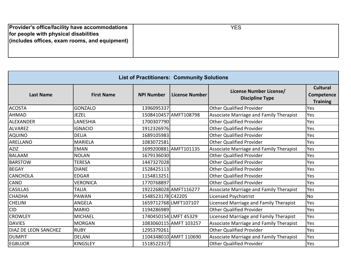| <b>Provider's office/facility have accommodations</b> | <b>YES</b> |
|-------------------------------------------------------|------------|
| for people with physical disabilities                 |            |
| $ $ (includes offices, exam rooms, and equipment)     |            |
|                                                       |            |
|                                                       |            |

| <b>List of Practitioners: Community Solutions</b> |                   |                   |                        |                                                   |                                                  |  |
|---------------------------------------------------|-------------------|-------------------|------------------------|---------------------------------------------------|--------------------------------------------------|--|
| <b>Last Name</b>                                  | <b>First Name</b> | <b>NPI Number</b> | <b>License Number</b>  | License Number License/<br><b>Discipline Type</b> | <b>Cultural</b><br>Competence<br><b>Training</b> |  |
| <b>ACOSTA</b>                                     | <b>GONZALO</b>    | 1396095337        |                        | <b>Other Qualified Provider</b>                   | Yes                                              |  |
| <b>AHMAD</b>                                      | JEZEL             |                   | 1508410457 AMFT108798  | Associate Marriage and Family Therapist           | Yes                                              |  |
| <b>ALEXANDER</b>                                  | LANESHIA          | 1700307790        |                        | <b>Other Qualified Provider</b>                   | Yes                                              |  |
| <b>ALVAREZ</b>                                    | <b>IGNACIO</b>    | 1912326976        |                        | <b>Other Qualified Provider</b>                   | Yes                                              |  |
| <b>AQUINO</b>                                     | <b>DELIA</b>      | 1689105983        |                        | <b>Other Qualified Provider</b>                   | Yes                                              |  |
| ARELLANO                                          | <b>MARIELA</b>    | 1083072581        |                        | <b>Other Qualified Provider</b>                   | Yes                                              |  |
| <b>AZIZ</b>                                       | <b>EMAN</b>       |                   | 1699200881 AMFT101135  | <b>Associate Marriage and Family Therapist</b>    | Yes                                              |  |
| <b>BALAAM</b>                                     | <b>NOLAN</b>      | 1679136030        |                        | <b>Other Qualified Provider</b>                   | Yes                                              |  |
| <b>BARSTOW</b>                                    | <b>TERESA</b>     | 1447327028        |                        | <b>Other Qualified Provider</b>                   | Yes                                              |  |
| <b>BEGAY</b>                                      | <b>DIANE</b>      | 1528425113        |                        | <b>Other Qualified Provider</b>                   | Yes                                              |  |
| <b>CANCHOLA</b>                                   | <b>EDGAR</b>      | 1154813251        |                        | <b>Other Qualified Provider</b>                   | Yes                                              |  |
| <b>CANO</b>                                       | VERONICA          | 1770768897        |                        | <b>Other Qualified Provider</b>                   | Yes                                              |  |
| <b>CASILLAS</b>                                   | <b>TALIA</b>      |                   | 1922268028 AMFT116277  | Associate Marriage and Family Therapist           | Yes                                              |  |
| <b>CHADHA</b>                                     | <b>PAWAN</b>      | 1548523178 C42205 |                        | Licensed Psychiatrist                             | <b>No</b>                                        |  |
| <b>CHELINI</b>                                    | <b>ANGELA</b>     |                   | 1659712768 LMFT107107  | Licensed Marriage and Family Therapist            | Yes                                              |  |
| <b>CID</b>                                        | <b>MARIO</b>      | 1194286989        |                        | <b>Other Qualified Provider</b>                   | Yes                                              |  |
| <b>CROWLEY</b>                                    | <b>MICHAEL</b>    |                   | 1740450154 LMFT 45329  | Licensed Marriage and Family Therapist            | Yes                                              |  |
| <b>DAVIES</b>                                     | <b>MORGAN</b>     |                   | 1083060115 AMFT 103257 | Associate Marriage and Family Therapist           | Yes                                              |  |
| DIAZ DE LEON SANCHEZ                              | <b>RUBY</b>       | 1295379261        |                        | <b>Other Qualified Provider</b>                   | Yes                                              |  |
| <b>DUMPIT</b>                                     | DELANI            |                   | 1104348010 AMFT 110690 | Associate Marriage and Family Therapist           | Yes                                              |  |
| <b>EGBUJOR</b>                                    | <b>KINGSLEY</b>   | 1518522317        |                        | <b>Other Qualified Provider</b>                   | Yes                                              |  |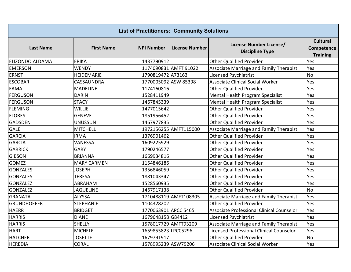| <b>List of Practitioners: Community Solutions</b> |                    |                      |                       |                                                   |                                                  |  |
|---------------------------------------------------|--------------------|----------------------|-----------------------|---------------------------------------------------|--------------------------------------------------|--|
| <b>Last Name</b>                                  | <b>First Name</b>  | <b>NPI Number</b>    | <b>License Number</b> | License Number License/<br><b>Discipline Type</b> | <b>Cultural</b><br>Competence<br><b>Training</b> |  |
| <b>ELIZONDO ALDAMA</b>                            | <b>ERIKA</b>       | 1437790912           |                       | <b>Other Qualified Provider</b>                   | Yes                                              |  |
| <b>EMERSON</b>                                    | <b>WENDY</b>       |                      | 1174090831 AMFT 91022 | Associate Marriage and Family Therapist           | Yes                                              |  |
| <b>ERNST</b>                                      | <b>HEIDEMARIE</b>  | 1790819472 A73163    |                       | Licensed Psychiatrist                             | <b>No</b>                                        |  |
| <b>ESCOBAR</b>                                    | CASSAUNDRA         | 1770005092 ASW 85398 |                       | <b>Associate Clinical Social Worker</b>           | Yes                                              |  |
| <b>FAMA</b>                                       | <b>MADELINE</b>    | 1174160816           |                       | <b>Other Qualified Provider</b>                   | Yes                                              |  |
| <b>FERGUSON</b>                                   | <b>DARIN</b>       | 1528411949           |                       | Mental Health Program Specialist                  | Yes                                              |  |
| <b>FERGUSON</b>                                   | <b>STACY</b>       | 1467845339           |                       | Mental Health Program Specialist                  | Yes                                              |  |
| <b>FLEMING</b>                                    | <b>WILLIE</b>      | 1477015642           |                       | <b>Other Qualified Provider</b>                   | Yes                                              |  |
| <b>FLORES</b>                                     | <b>GENEVE</b>      | 1851956452           |                       | <b>Other Qualified Provider</b>                   | Yes                                              |  |
| <b>GADSDEN</b>                                    | <b>UNUSSUN</b>     | 1467977835           |                       | <b>Other Qualified Provider</b>                   | Yes                                              |  |
| <b>GALE</b>                                       | <b>MITCHELL</b>    |                      | 1972156255 AMFT115000 | Associate Marriage and Family Therapist           | Yes                                              |  |
| <b>GARCIA</b>                                     | <b>IRMA</b>        | 1376901462           |                       | <b>Other Qualified Provider</b>                   | Yes                                              |  |
| <b>GARCIA</b>                                     | VANESSA            | 1609225929           |                       | <b>Other Qualified Provider</b>                   | Yes                                              |  |
| <b>GARRICK</b>                                    | <b>GARY</b>        | 1790246577           |                       | <b>Other Qualified Provider</b>                   | Yes                                              |  |
| <b>GIBSON</b>                                     | <b>BRIANNA</b>     | 1669934816           |                       | <b>Other Qualified Provider</b>                   | Yes                                              |  |
| <b>GOMEZ</b>                                      | <b>MARY CARMEN</b> | 1154846186           |                       | <b>Other Qualified Provider</b>                   | Yes                                              |  |
| <b>GONZALES</b>                                   | <b>JOSEPH</b>      | 1356846059           |                       | <b>Other Qualified Provider</b>                   | Yes                                              |  |
| <b>GONZALES</b>                                   | <b>TERESA</b>      | 1881043347           |                       | <b>Other Qualified Provider</b>                   | Yes                                              |  |
| <b>GONZALEZ</b>                                   | ABRAHAM            | 1528560935           |                       | <b>Other Qualified Provider</b>                   | Yes                                              |  |
| <b>GONZALEZ</b>                                   | <b>JAQUELINE</b>   | 1467917138           |                       | <b>Other Qualified Provider</b>                   | <b>No</b>                                        |  |
| <b>GRANATA</b>                                    | <b>ALYSSA</b>      |                      | 1710488119 AMFT108305 | Associate Marriage and Family Therapist           | Yes                                              |  |
| <b>GRUNDHOEFER</b>                                | <b>STEPHANIE</b>   | 1104328202           |                       | <b>Other Qualified Provider</b>                   | Yes                                              |  |
| <b>HAERR</b>                                      | <b>BRIDGET</b>     | 1770063901 APCC 5465 |                       | Associate Professional Clinical Counselor         | Yes                                              |  |
| <b>HARRIS</b>                                     | <b>DIANE</b>       | 1679648158G84412     |                       | Licensed Psychiatrist                             | Yes                                              |  |
| <b>HARRIS</b>                                     | <b>SHELLY</b>      | 1578017729 AMFT93209 |                       | Associate Marriage and Family Therapist           | Yes                                              |  |
| <b>HART</b>                                       | <b>MICHELE</b>     | 1659855823 LPCC5296  |                       | Licensed Professional Clinical Counselor          | Yes                                              |  |
| <b>HATCHER</b>                                    | <b>JOSETTE</b>     | 1679791917           |                       | <b>Other Qualified Provider</b>                   | <b>No</b>                                        |  |
| <b>HEREDIA</b>                                    | <b>CORAL</b>       | 1578995239 ASW79206  |                       | <b>Associate Clinical Social Worker</b>           | Yes                                              |  |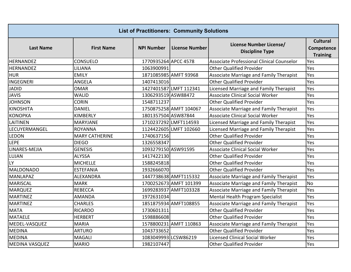| <b>List of Practitioners: Community Solutions</b> |                       |                      |                        |                                                   |                                                  |  |
|---------------------------------------------------|-----------------------|----------------------|------------------------|---------------------------------------------------|--------------------------------------------------|--|
| <b>Last Name</b>                                  | <b>First Name</b>     | <b>NPI Number</b>    | <b>License Number</b>  | License Number License/<br><b>Discipline Type</b> | <b>Cultural</b><br>Competence<br><b>Training</b> |  |
| <b>HERNANDEZ</b>                                  | CONSUELO              | 1770935264 APCC 4578 |                        | Associate Professional Clinical Counselor         | Yes                                              |  |
| HERNANDEZ                                         | LILIANA               | 1063900991           |                        | <b>Other Qualified Provider</b>                   | Yes                                              |  |
| <b>HUR</b>                                        | <b>EMILY</b>          |                      | 1871085985 AMFT 93968  | Associate Marriage and Family Therapist           | Yes                                              |  |
| <b>INGEGNERI</b>                                  | <b>ANGELA</b>         | 1407413016           |                        | <b>Other Qualified Provider</b>                   | Yes                                              |  |
| <b>JADID</b>                                      | <b>OMAR</b>           |                      | 1427401587 LMFT 112341 | Licensed Marriage and Family Therapist            | Yes                                              |  |
| <b>JAVIS</b>                                      | <b>WALID</b>          | 1306293519 ASW88472  |                        | <b>Associate Clinical Social Worker</b>           | Yes                                              |  |
| <b>JOHNSON</b>                                    | <b>CORIN</b>          | 1548711237           |                        | <b>Other Qualified Provider</b>                   | Yes                                              |  |
| <b>KINOSHITA</b>                                  | <b>DANIEL</b>         |                      | 1750875258 AMFT 104067 | Associate Marriage and Family Therapist           | Yes                                              |  |
| <b>KONOPKA</b>                                    | KIMBERLY              | 1801357504 ASW87844  |                        | Associate Clinical Social Worker                  | Yes                                              |  |
| <b>LAITINEN</b>                                   | <b>MARYJANE</b>       |                      | 1710237292 LMFT114593  | Licensed Marriage and Family Therapist            | Yes                                              |  |
| LECUYERMANGEL                                     | <b>ROYANNA</b>        |                      | 1124422605 LMFT 102660 | Licensed Marriage and Family Therapist            | Yes                                              |  |
| LEDON                                             | <b>MARY CATHERINE</b> | 1740637156           |                        | <b>Other Qualified Provider</b>                   | Yes                                              |  |
| <b>LEPE</b>                                       | <b>DIEGO</b>          | 1326558347           |                        | <b>Other Qualified Provider</b>                   | Yes                                              |  |
| LINARES-MEJIA                                     | <b>GENESIS</b>        | 1093279150 ASW91595  |                        | <b>Associate Clinical Social Worker</b>           | Yes                                              |  |
| <b>LUJAN</b>                                      | <b>ALYSSA</b>         | 1417422130           |                        | <b>Other Qualified Provider</b>                   | Yes                                              |  |
| LY                                                | <b>MICHELLE</b>       | 1588245818           |                        | <b>Other Qualified Provider</b>                   | Yes                                              |  |
| <b>MALDONADO</b>                                  | <b>ESTEFANIA</b>      | 1932666070           |                        | <b>Other Qualified Provider</b>                   | Yes                                              |  |
| <b>MANLAPAZ</b>                                   | ALEXANDRA             |                      | 1447738638 AMFT115332  | Associate Marriage and Family Therapist           | Yes                                              |  |
| <b>MARISCAL</b>                                   | <b>MARK</b>           |                      | 1700252673 AMFT 101399 | Associate Marriage and Family Therapist           | <b>No</b>                                        |  |
| <b>MARQUEZ</b>                                    | <b>REBECCA</b>        |                      | 1699283937 AMFT103328  | Associate Marriage and Family Therapist           | Yes                                              |  |
| <b>MARTINEZ</b>                                   | AMANDA                | 1972631034           |                        | Mental Health Program Specialist                  | Yes                                              |  |
| <b>MARTINEZ</b>                                   | <b>CHARLES</b>        |                      | 1851875934 AMFT108855  | <b>Associate Marriage and Family Therapist</b>    | Yes                                              |  |
| <b>MATA</b>                                       | <b>RICARDO</b>        | 1730601311           |                        | <b>Other Qualified Provider</b>                   | Yes                                              |  |
| <b>MATAELE</b>                                    | <b>HERBERT</b>        | 1598886608           |                        | <b>Other Qualified Provider</b>                   | Yes                                              |  |
| MEDEL-VASQUEZ                                     | <b>MARIA</b>          |                      | 1578800231 AMFT 110863 | Associate Marriage and Family Therapist           | Yes                                              |  |
| <b>MEDINA</b>                                     | <b>ARTURO</b>         | 1043733652           |                        | <b>Other Qualified Provider</b>                   | Yes                                              |  |
| <b>MEDINA</b>                                     | <b>MAGALI</b>         | 1083049993 LCSW86219 |                        | <b>Licensed Clinical Social Worker</b>            | Yes                                              |  |
| <b>MEDINA VASQUEZ</b>                             | <b>MARIO</b>          | 1982107447           |                        | <b>Other Qualified Provider</b>                   | Yes                                              |  |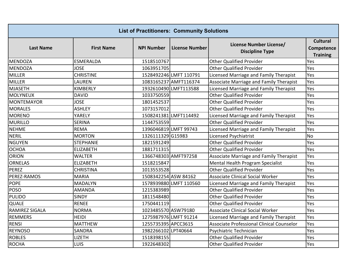| <b>List of Practitioners: Community Solutions</b> |                   |                       |                        |                                                   |                                                  |  |
|---------------------------------------------------|-------------------|-----------------------|------------------------|---------------------------------------------------|--------------------------------------------------|--|
| <b>Last Name</b>                                  | <b>First Name</b> | <b>NPI Number</b>     | <b>License Number</b>  | License Number License/<br><b>Discipline Type</b> | <b>Cultural</b><br>Competence<br><b>Training</b> |  |
| <b>MENDOZA</b>                                    | <b>ESMERALDA</b>  | 1518510767            |                        | <b>Other Qualified Provider</b>                   | Yes                                              |  |
| <b>MENDOZA</b>                                    | <b>JOSE</b>       | 1063951705            |                        | <b>Other Qualified Provider</b>                   | Yes                                              |  |
| <b>MILLER</b>                                     | <b>CHRISTINE</b>  |                       | 1528492246 LMFT 110791 | Licensed Marriage and Family Therapist            | Yes                                              |  |
| <b>MILLER</b>                                     | <b>LAUREN</b>     |                       | 1083165237 AMFT116374  | Associate Marriage and Family Therapist           | Yes                                              |  |
| <b>MJASETH</b>                                    | KIMBERLY          |                       | 1932610490 LMFT113588  | Licensed Marriage and Family Therapist            | Yes                                              |  |
| <b>MOLYNEUX</b>                                   | <b>DAVID</b>      | 1033750559            |                        | <b>Other Qualified Provider</b>                   | Yes                                              |  |
| <b>MONTEMAYOR</b>                                 | <b>JOSE</b>       | 1801452537            |                        | <b>Other Qualified Provider</b>                   | Yes                                              |  |
| <b>MORALES</b>                                    | <b>ASHLEY</b>     | 1073157012            |                        | <b>Other Qualified Provider</b>                   | Yes                                              |  |
| <b>MORENO</b>                                     | YARELY            |                       | 1508241381 LMFT114492  | Licensed Marriage and Family Therapist            | Yes                                              |  |
| <b>MURILLO</b>                                    | <b>SERINA</b>     | 1144753559            |                        | <b>Other Qualified Provider</b>                   | Yes                                              |  |
| <b>NEHME</b>                                      | <b>REMA</b>       | 1396046819 LMFT 99743 |                        | Licensed Marriage and Family Therapist            | Yes                                              |  |
| <b>NERIL</b>                                      | <b>MORTON</b>     | 1326111329 G15983     |                        | Licensed Psychiatrist                             | <b>No</b>                                        |  |
| <b>NGUYEN</b>                                     | <b>STEPHANIE</b>  | 1821591249            |                        | <b>Other Qualified Provider</b>                   | Yes                                              |  |
| <b>OCHOA</b>                                      | <b>ELIZABETH</b>  | 1881711315            |                        | <b>Other Qualified Provider</b>                   | Yes                                              |  |
| <b>ORION</b>                                      | <b>WALTER</b>     | 1366748303 AMFT97258  |                        | Associate Marriage and Family Therapist           | Yes                                              |  |
| <b>ORNELAS</b>                                    | <b>ELIZABETH</b>  | 1518215847            |                        | Mental Health Program Specialist                  | Yes                                              |  |
| <b>PEREZ</b>                                      | <b>CHRISTINA</b>  | 1013553528            |                        | <b>Other Qualified Provider</b>                   | Yes                                              |  |
| PEREZ-RAMOS                                       | <b>MARIA</b>      | 1508342254 ASW 84162  |                        | <b>Associate Clinical Social Worker</b>           | Yes                                              |  |
| <b>POPE</b>                                       | <b>MADALYN</b>    |                       | 1578939880 LMFT 110560 | Licensed Marriage and Family Therapist            | Yes                                              |  |
| <b>POSO</b>                                       | <b>AMANDA</b>     | 1215383989            |                        | <b>Other Qualified Provider</b>                   | Yes                                              |  |
| <b>PULIDO</b>                                     | <b>SINDY</b>      | 1811548480            |                        | <b>Other Qualified Provider</b>                   | Yes                                              |  |
| QUALE                                             | <b>RENEE</b>      | 1750441119            |                        | <b>Other Qualified Provider</b>                   | Yes                                              |  |
| <b>RAMIREZ SIGALA</b>                             | <b>NORMA</b>      | 1023485570 ASW79180   |                        | <b>Associate Clinical Social Worker</b>           | Yes                                              |  |
| <b>REMMERS</b>                                    | <b>HEIDI</b>      | 1275987976 LMFT 91214 |                        | Licensed Marriage and Family Therapist            | Yes                                              |  |
| <b>RENSI</b>                                      | <b>MATTHEW</b>    | 1255735395 APCC3615   |                        | Associate Professional Clinical Counselor         | Yes                                              |  |
| <b>REYNOSO</b>                                    | SANDRA            | 1982266102 LPT40664   |                        | Psychiatric Technician                            | Yes                                              |  |
| <b>ROBLES</b>                                     | <b>LIZETH</b>     | 1518398155            |                        | <b>Other Qualified Provider</b>                   | Yes                                              |  |
| <b>ROCHA</b>                                      | <b>LUIS</b>       | 1922648302            |                        | <b>Other Qualified Provider</b>                   | Yes                                              |  |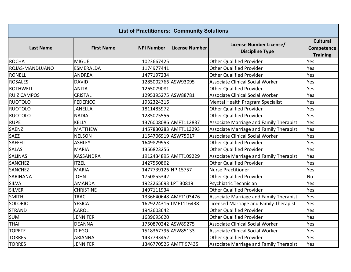| <b>List of Practitioners: Community Solutions</b> |                   |                      |                       |                                                   |                                                  |  |
|---------------------------------------------------|-------------------|----------------------|-----------------------|---------------------------------------------------|--------------------------------------------------|--|
| <b>Last Name</b>                                  | <b>First Name</b> | <b>NPI Number</b>    | <b>License Number</b> | License Number License/<br><b>Discipline Type</b> | <b>Cultural</b><br>Competence<br><b>Training</b> |  |
| <b>ROCHA</b>                                      | <b>MIGUEL</b>     | 1023667425           |                       | <b>Other Qualified Provider</b>                   | Yes                                              |  |
| ROJAS-MANDUJANO                                   | <b>ESMERALDA</b>  | 1174977441           |                       | <b>Other Qualified Provider</b>                   | Yes                                              |  |
| <b>RONELL</b>                                     | <b>ANDREA</b>     | 1477197234           |                       | <b>Other Qualified Provider</b>                   | Yes                                              |  |
| <b>ROSALES</b>                                    | <b>DAVID</b>      | 1285002766 ASW93095  |                       | <b>Associate Clinical Social Worker</b>           | Yes                                              |  |
| <b>ROTHWELL</b>                                   | <b>ANITA</b>      | 1265079081           |                       | <b>Other Qualified Provider</b>                   | Yes                                              |  |
| <b>RUIZ CAMPOS</b>                                | <b>CRISTAL</b>    | 1295395275 ASW88781  |                       | <b>Associate Clinical Social Worker</b>           | Yes                                              |  |
| <b>RUOTOLO</b>                                    | <b>FEDERICO</b>   | 1932324316           |                       | Mental Health Program Specialist                  | Yes                                              |  |
| <b>RUOTOLO</b>                                    | <b>JANELLA</b>    | 1811485972           |                       | <b>Other Qualified Provider</b>                   | Yes                                              |  |
| <b>RUOTOLO</b>                                    | <b>NADIA</b>      | 1285075556           |                       | <b>Other Qualified Provider</b>                   | Yes                                              |  |
| <b>RUPE</b>                                       | <b>KELLY</b>      |                      | 1376008086 AMFT112837 | Associate Marriage and Family Therapist           | Yes                                              |  |
| <b>SAENZ</b>                                      | <b>MATTHEW</b>    |                      | 1457830283 AMFT113293 | Associate Marriage and Family Therapist           | Yes                                              |  |
| <b>SAEZ</b>                                       | <b>NELSON</b>     | 1154706919 ASW75017  |                       | <b>Associate Clinical Social Worker</b>           | Yes                                              |  |
| SAFFELL                                           | <b>ASHLEY</b>     | 1649829953           |                       | <b>Other Qualified Provider</b>                   | Yes                                              |  |
| <b>SALAS</b>                                      | <b>MARIA</b>      | 1356823256           |                       | <b>Other Qualified Provider</b>                   | Yes                                              |  |
| <b>SALINAS</b>                                    | <b>KASSANDRA</b>  |                      | 1912434895 AMFT109229 | Associate Marriage and Family Therapist           | Yes                                              |  |
| <b>SANCHEZ</b>                                    | <b>ITZEL</b>      | 1427550862           |                       | <b>Other Qualified Provider</b>                   | Yes                                              |  |
| <b>SANCHEZ</b>                                    | <b>MARIA</b>      | 1477739126 NP 15757  |                       | <b>Nurse Practitioner</b>                         | Yes                                              |  |
| SARINANA                                          | <b>JOHN</b>       | 1750855342           |                       | <b>Other Qualified Provider</b>                   | <b>No</b>                                        |  |
| <b>SILVA</b>                                      | <b>AMANDA</b>     | 1922265693 LPT 30819 |                       | Psychiatric Technician                            | Yes                                              |  |
| <b>SILVER</b>                                     | <b>CHRISTINE</b>  | 1497111934           |                       | <b>Other Qualified Provider</b>                   | Yes                                              |  |
| <b>SMITH</b>                                      | <b>TRACI</b>      |                      | 1336640648 AMFT103476 | Associate Marriage and Family Therapist           | Yes                                              |  |
| <b>SOLORIO</b>                                    | <b>YESICA</b>     |                      | 1629224316 LMFT116438 | Licensed Marriage and Family Therapist            | Yes                                              |  |
| <b>STRAND</b>                                     | CAROL             | 1942603642           |                       | <b>Other Qualified Provider</b>                   | Yes                                              |  |
| <b>SUM</b>                                        | <b>JENNIFER</b>   | 1639695620           |                       | <b>Other Qualified Provider</b>                   | Yes                                              |  |
| <b>THAI</b>                                       | <b>DEANNA</b>     | 1750870242 ASW89275  |                       | <b>Associate Clinical Social Worker</b>           | Yes                                              |  |
| <b>TOPETE</b>                                     | <b>DIEGO</b>      | 1518367796 ASW85133  |                       | <b>Associate Clinical Social Worker</b>           | Yes                                              |  |
| <b>TORRES</b>                                     | <b>ARIANNA</b>    | 1437793452           |                       | <b>Other Qualified Provider</b>                   | Yes                                              |  |
| <b>TORRES</b>                                     | <b>JENNIFER</b>   |                      | 1346770526 AMFT 97435 | <b>Associate Marriage and Family Therapist</b>    | Yes                                              |  |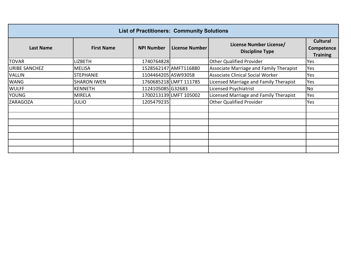| <b>List of Practitioners: Community Solutions</b> |                    |                     |                        |                                                   |                                                  |  |
|---------------------------------------------------|--------------------|---------------------|------------------------|---------------------------------------------------|--------------------------------------------------|--|
| <b>Last Name</b>                                  | <b>First Name</b>  | <b>NPI Number</b>   | <b>License Number</b>  | License Number License/<br><b>Discipline Type</b> | <b>Cultural</b><br>Competence<br><b>Training</b> |  |
| <b>TOVAR</b>                                      | <b>LIZBETH</b>     | 1740764828          |                        | <b>Other Qualified Provider</b>                   | Yes                                              |  |
| <b>URIBE SANCHEZ</b>                              | <b>MELISA</b>      |                     | 1528562147 AMFT116880  | Associate Marriage and Family Therapist           | Yes                                              |  |
| <b>VALLIN</b>                                     | <b>STEPHANIE</b>   | 1104464205 ASW93058 |                        | <b>Associate Clinical Social Worker</b>           | Yes                                              |  |
| <b>WANG</b>                                       | <b>SHARON IWEN</b> |                     | 1760685218LMFT 111785  | Licensed Marriage and Family Therapist            | Yes                                              |  |
| <b>WULFF</b>                                      | <b>KENNETH</b>     | 1124105085 G32683   |                        | Licensed Psychiatrist                             | No                                               |  |
| <b>YOUNG</b>                                      | <b>MIRELA</b>      |                     | 1700213139 LMFT 105002 | Licensed Marriage and Family Therapist            | Yes                                              |  |
| ZARAGOZA                                          | <b>JULIO</b>       | 1205479235          |                        | <b>Other Qualified Provider</b>                   | Yes                                              |  |
|                                                   |                    |                     |                        |                                                   |                                                  |  |
|                                                   |                    |                     |                        |                                                   |                                                  |  |
|                                                   |                    |                     |                        |                                                   |                                                  |  |
|                                                   |                    |                     |                        |                                                   |                                                  |  |
|                                                   |                    |                     |                        |                                                   |                                                  |  |
|                                                   |                    |                     |                        |                                                   |                                                  |  |
|                                                   |                    |                     |                        |                                                   |                                                  |  |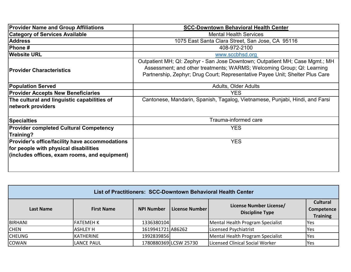| <b>Provider Name and Group Affiliations</b>                      | <b>SCC-Downtown Behavioral Health Center</b>                                                                                                                                                                                            |  |  |  |  |
|------------------------------------------------------------------|-----------------------------------------------------------------------------------------------------------------------------------------------------------------------------------------------------------------------------------------|--|--|--|--|
| <b>Category of Services Available</b>                            | <b>Mental Health Services</b>                                                                                                                                                                                                           |  |  |  |  |
| <b>Address</b>                                                   | 1075 East Santa Clara Street, San Jose, CA 95116                                                                                                                                                                                        |  |  |  |  |
| Phone#                                                           | 408-972-2100                                                                                                                                                                                                                            |  |  |  |  |
| <b>Website URL</b>                                               | www.sccbhsd.org                                                                                                                                                                                                                         |  |  |  |  |
| <b>Provider Characteristics</b>                                  | Outpatient MH; QI: Zephyr - San Jose Downtown; Outpatient MH; Case Mgmt.; MH<br>Assessment; and other treatments; WARMS; Welcoming Group; QI: Learning<br>Partnership, Zephyr; Drug Court; Representative Payee Unit; Shelter Plus Care |  |  |  |  |
| <b>Population Served</b>                                         | <b>Adults, Older Adults</b>                                                                                                                                                                                                             |  |  |  |  |
| <b>Provider Accepts New Beneficiaries</b>                        | <b>YES</b>                                                                                                                                                                                                                              |  |  |  |  |
| The cultural and linguistic capabilities of<br>network providers | Cantonese, Mandarin, Spanish, Tagalog, Vietnamese, Punjabi, Hindi, and Farsi                                                                                                                                                            |  |  |  |  |
| <b>Specialties</b>                                               | Trauma-informed care                                                                                                                                                                                                                    |  |  |  |  |
| <b>Provider completed Cultural Competency</b><br>Training?       | <b>YES</b>                                                                                                                                                                                                                              |  |  |  |  |
| Provider's office/facility have accommodations                   | <b>YES</b>                                                                                                                                                                                                                              |  |  |  |  |
| for people with physical disabilities                            |                                                                                                                                                                                                                                         |  |  |  |  |
| (includes offices, exam rooms, and equipment)                    |                                                                                                                                                                                                                                         |  |  |  |  |
|                                                                  |                                                                                                                                                                                                                                         |  |  |  |  |

| List of Practitioners: SCC-Downtown Behavioral Health Center |                   |                   |                       |                                                   |                 |  |
|--------------------------------------------------------------|-------------------|-------------------|-----------------------|---------------------------------------------------|-----------------|--|
| Last Name                                                    |                   |                   | License Number        | License Number License/<br><b>Discipline Type</b> | <b>Cultural</b> |  |
|                                                              | <b>First Name</b> | <b>NPI Number</b> |                       |                                                   | Competence      |  |
|                                                              |                   |                   |                       |                                                   | <b>Training</b> |  |
| <b>BIRHANI</b>                                               | <b>FATEMEH K</b>  | 1336380104        |                       | Mental Health Program Specialist                  | Yes             |  |
| <b>CHEN</b>                                                  | <b>ASHLEY H</b>   | 1619941721 A86262 |                       | Licensed Psychiatrist                             | Yes             |  |
| <b>CHEUNG</b>                                                | <b>KATHERINE</b>  | 1992839856        |                       | Mental Health Program Specialist                  | Yes             |  |
| <b>COWAN</b>                                                 | <b>LANCE PAUL</b> |                   | 1780880369 LCSW 25730 | Licensed Clinical Social Worker                   | <b>Yes</b>      |  |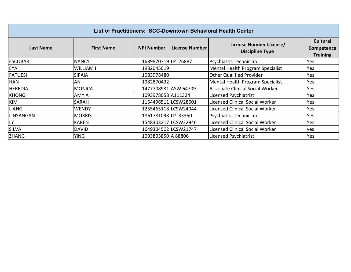| List of Practitioners: SCC-Downtown Behavioral Health Center |                   |                      |                       |                                                   |                                                  |  |
|--------------------------------------------------------------|-------------------|----------------------|-----------------------|---------------------------------------------------|--------------------------------------------------|--|
| <b>Last Name</b>                                             | <b>First Name</b> | <b>NPI Number</b>    | <b>License Number</b> | License Number License/<br><b>Discipline Type</b> | <b>Cultural</b><br>Competence<br><b>Training</b> |  |
| <b>ESCOBAR</b>                                               | <b>NANCY</b>      | 1689870719 LPT26887  |                       | Psychiatric Technician                            | Yes                                              |  |
| <b>EYA</b>                                                   | <b>WILLIAM I</b>  | 1982045019           |                       | Mental Health Program Specialist                  | Yes                                              |  |
| <b>FATUESI</b>                                               | <b>SIPAIA</b>     | 1083978480           |                       | <b>Other Qualified Provider</b>                   | Yes                                              |  |
| <b>HAN</b>                                                   | AN                | 1982870432           |                       | Mental Health Program Specialist                  | Yes                                              |  |
| <b>HEREDIA</b>                                               | <b>MONICA</b>     | 1477708931 ASW 64709 |                       | Associate Clinical Social Worker                  | Yes                                              |  |
| <b>KHONG</b>                                                 | AMY A             | 1093978058 A111324   |                       | Licensed Psychiatrist                             | Yes                                              |  |
| <b>KIM</b>                                                   | <b>SARAH</b>      | 1154496511 LCSW28601 |                       | Licensed Clinical Social Worker                   | Yes                                              |  |
| <b>LIANG</b>                                                 | <b>WENDY</b>      | 1255465118 LCSW24044 |                       | Licensed Clinical Social Worker                   | Yes                                              |  |
| LINSANGAN                                                    | <b>MORRIS</b>     | 1861781098 LPT33350  |                       | Psychiatric Technician                            | Yes                                              |  |
| LY                                                           | <b>KAREN</b>      | 1548303217 LCSW22946 |                       | Licensed Clinical Social Worker                   | Yes                                              |  |
| <b>SILVA</b>                                                 | <b>DAVID</b>      | 1649304502 LCSW21747 |                       | Licensed Clinical Social Worker                   | yes                                              |  |
| <b>ZHANG</b>                                                 | <b>YING</b>       | 1093803850 A 88806   |                       | <b>Licensed Psychiatrist</b>                      | Yes                                              |  |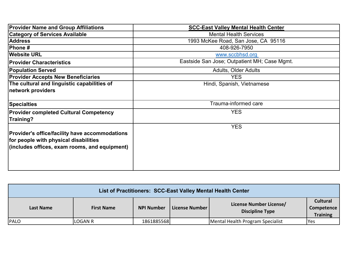| <b>Provider Name and Group Affiliations</b>                                                                                                     | <b>SCC-East Valley Mental Health Center</b>  |
|-------------------------------------------------------------------------------------------------------------------------------------------------|----------------------------------------------|
| <b>Category of Services Available</b>                                                                                                           | <b>Mental Health Services</b>                |
| <b>Address</b>                                                                                                                                  | 1993 McKee Road, San Jose, CA 95116          |
| Phone #                                                                                                                                         | 408-926-7950                                 |
| <b>Website URL</b>                                                                                                                              | www.sccbhsd.org                              |
| <b>Provider Characteristics</b>                                                                                                                 | Eastside San Jose; Outpatient MH; Case Mgmt. |
| <b>Population Served</b>                                                                                                                        | <b>Adults, Older Adults</b>                  |
| <b>Provider Accepts New Beneficiaries</b>                                                                                                       | <b>YES</b>                                   |
| The cultural and linguistic capabilities of                                                                                                     | Hindi, Spanish, Vietnamese                   |
| network providers                                                                                                                               |                                              |
| <b>Specialties</b>                                                                                                                              | Trauma-informed care                         |
| <b>Provider completed Cultural Competency</b><br>Training?                                                                                      | <b>YES</b>                                   |
| <b>Provider's office/facility have accommodations</b><br>for people with physical disabilities<br>(includes offices, exam rooms, and equipment) | <b>YES</b>                                   |

| List of Practitioners: SCC-East Valley Mental Health Center |                   |                   |                |                                                   |                                                  |  |
|-------------------------------------------------------------|-------------------|-------------------|----------------|---------------------------------------------------|--------------------------------------------------|--|
| Last Name                                                   | <b>First Name</b> | <b>NPI Number</b> | License Number | License Number License/<br><b>Discipline Type</b> | <b>Cultural</b><br>Competence<br><b>Training</b> |  |
| PALO                                                        | LOGAN R           | 1861885568        |                | Mental Health Program Specialist                  | <b>Yes</b>                                       |  |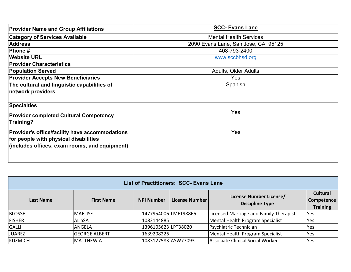| <b>Provider Name and Group Affiliations</b>                                                                                                     | <b>SCC- Evans Lane</b>              |
|-------------------------------------------------------------------------------------------------------------------------------------------------|-------------------------------------|
| <b>Category of Services Available</b>                                                                                                           | <b>Mental Health Services</b>       |
| <b>Address</b>                                                                                                                                  | 2090 Evans Lane, San Jose, CA 95125 |
| Phone #                                                                                                                                         | 408-793-2400                        |
| <b>Website URL</b>                                                                                                                              | www.sccbhsd.org                     |
| <b>Provider Characteristics</b>                                                                                                                 |                                     |
| <b>Population Served</b>                                                                                                                        | <b>Adults, Older Adults</b>         |
| <b>Provider Accepts New Beneficiaries</b>                                                                                                       | Yes                                 |
| The cultural and linguistic capabilities of                                                                                                     | Spanish                             |
| network providers                                                                                                                               |                                     |
| <b>Specialties</b>                                                                                                                              |                                     |
| <b>Provider completed Cultural Competency</b><br>Training?                                                                                      | Yes                                 |
| <b>Provider's office/facility have accommodations</b><br>for people with physical disabilities<br>(includes offices, exam rooms, and equipment) | Yes                                 |

| <b>List of Practitioners: SCC- Evans Lane</b> |                      |                      |                       |                                                   |                                                  |  |
|-----------------------------------------------|----------------------|----------------------|-----------------------|---------------------------------------------------|--------------------------------------------------|--|
| <b>Last Name</b>                              | <b>First Name</b>    | <b>NPI Number</b>    | <b>License Number</b> | License Number License/<br><b>Discipline Type</b> | <b>Cultural</b><br>Competence<br><b>Training</b> |  |
| <b>BLOSSE</b>                                 | <b>MAELISE</b>       | 1477954006 LMFT98865 |                       | Licensed Marriage and Family Therapist            | Yes                                              |  |
| <b>FISHER</b>                                 | <b>ALISSA</b>        | 1083144885           |                       | Mental Health Program Specialist                  | <b>Yes</b>                                       |  |
| <b>GALLI</b>                                  | ANGELA               | 1396105623LPT38020   |                       | Psychiatric Technician                            | Yes                                              |  |
| <b>JUAREZ</b>                                 | <b>GEORGE ALBERT</b> | 1639208226           |                       | Mental Health Program Specialist                  | Yes                                              |  |
| KUZMICH                                       | <b>MATTHEW A</b>     | 1083127583 ASW77093  |                       | Associate Clinical Social Worker                  | <b>Yes</b>                                       |  |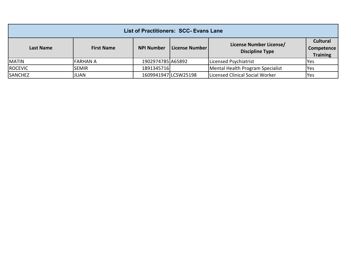| <b>List of Practitioners: SCC- Evans Lane</b> |                   |                                                                         |                                                  |                                  |      |  |
|-----------------------------------------------|-------------------|-------------------------------------------------------------------------|--------------------------------------------------|----------------------------------|------|--|
| Last Name                                     | <b>First Name</b> | License Number License/<br>  License Number  <br><b>Discipline Type</b> | <b>Cultural</b><br>Competence<br><b>Training</b> |                                  |      |  |
| <b>MATIN</b>                                  | IFARHAN A         | 1902974785 A65892                                                       |                                                  | Licensed Psychiatrist            | lYes |  |
| <b>ROCEVIC</b>                                | <b>SEMIR</b>      | 1891345716                                                              |                                                  | Mental Health Program Specialist | lYes |  |
| <b>SANCHEZ</b>                                | <b>JUAN</b>       | 1609941947 LCSW25198                                                    |                                                  | Licensed Clinical Social Worker  | Yes  |  |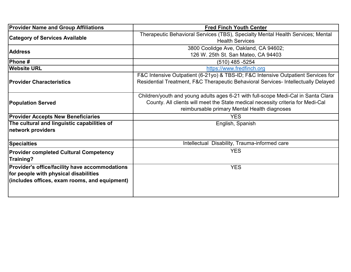| <b>Provider Name and Group Affiliations</b>                                                                                              | <b>Fred Finch Youth Center</b>                                                                                                                                                                                       |
|------------------------------------------------------------------------------------------------------------------------------------------|----------------------------------------------------------------------------------------------------------------------------------------------------------------------------------------------------------------------|
| <b>Category of Services Available</b>                                                                                                    | Therapeutic Behavioral Services (TBS), Specialty Mental Health Services; Mental<br><b>Health Services</b>                                                                                                            |
| <b>Address</b>                                                                                                                           | 3800 Coolidge Ave, Oakland, CA 94602;<br>126 W. 25th St. San Mateo, CA 94403                                                                                                                                         |
| <b>Phone#</b>                                                                                                                            | (510) 485 -5254                                                                                                                                                                                                      |
| <b>Website URL</b>                                                                                                                       | https://www.fredfinch.org                                                                                                                                                                                            |
| <b>Provider Characteristics</b>                                                                                                          | F&C Intensive Outpatient (6-21yo) & TBS-ID; F&C Intensive Outpatient Services for<br>Residential Treatment, F&C Therapeutic Behavioral Services- Intellectually Delayed                                              |
| <b>Population Served</b>                                                                                                                 | Children/youth and young adults ages 6-21 with full-scope Medi-Cal in Santa Clara<br>County. All clients will meet the State medical necessity criteria for Medi-Cal<br>reimbursable primary Mental Health diagnoses |
| <b>Provider Accepts New Beneficiaries</b>                                                                                                | <b>YES</b>                                                                                                                                                                                                           |
| The cultural and linguistic capabilities of<br>network providers                                                                         | English, Spanish                                                                                                                                                                                                     |
| <b>Specialties</b>                                                                                                                       | Intellectual Disability, Trauma-informed care                                                                                                                                                                        |
| <b>Provider completed Cultural Competency</b><br>Training?                                                                               | <b>YES</b>                                                                                                                                                                                                           |
| Provider's office/facility have accommodations<br>for people with physical disabilities<br>(includes offices, exam rooms, and equipment) | <b>YES</b>                                                                                                                                                                                                           |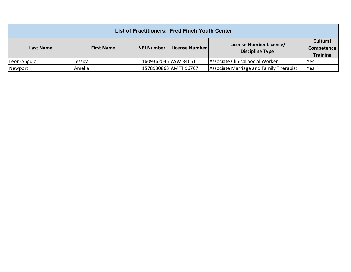| List of Practitioners: Fred Finch Youth Center |                   |                      |                       |                                                   |                                                  |  |  |
|------------------------------------------------|-------------------|----------------------|-----------------------|---------------------------------------------------|--------------------------------------------------|--|--|
| <b>Last Name</b>                               | <b>First Name</b> | <b>NPI Number</b>    | License Number        | License Number License/<br><b>Discipline Type</b> | <b>Cultural</b><br>Competence<br><b>Training</b> |  |  |
| Leon-Angulo                                    | Jessica           | 1609362045 ASW 84661 |                       | Associate Clinical Social Worker                  | IYes                                             |  |  |
| Newport                                        | Amelia            |                      | 1578930863 AMFT 96767 | Associate Marriage and Family Therapist           | <b>Yes</b>                                       |  |  |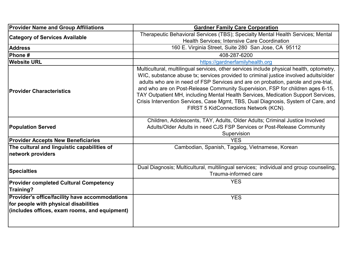| <b>Provider Name and Group Affiliations</b>                                                                                              | <b>Gardner Family Care Corporation</b>                                                                                                                                                                                                                                                                                                                                                                                                                                                                                                                                      |
|------------------------------------------------------------------------------------------------------------------------------------------|-----------------------------------------------------------------------------------------------------------------------------------------------------------------------------------------------------------------------------------------------------------------------------------------------------------------------------------------------------------------------------------------------------------------------------------------------------------------------------------------------------------------------------------------------------------------------------|
| <b>Category of Services Available</b>                                                                                                    | Therapeutic Behavioral Services (TBS); Specialty Mental Health Services; Mental                                                                                                                                                                                                                                                                                                                                                                                                                                                                                             |
|                                                                                                                                          | <b>Health Services; Intensive Care Coordination</b>                                                                                                                                                                                                                                                                                                                                                                                                                                                                                                                         |
| <b>Address</b>                                                                                                                           | 160 E. Virginia Street, Suite 280 San Jose, CA 95112                                                                                                                                                                                                                                                                                                                                                                                                                                                                                                                        |
| Phone#                                                                                                                                   | 408-287-6200                                                                                                                                                                                                                                                                                                                                                                                                                                                                                                                                                                |
| <b>Website URL</b>                                                                                                                       | https://gardnerfamilyhealth.org                                                                                                                                                                                                                                                                                                                                                                                                                                                                                                                                             |
| <b>Provider Characteristics</b>                                                                                                          | Multicultural, multilingual services, other services include physical health, optometry,<br>WIC, substance abuse tx; services provided to criminal justice involved adults/older<br>adults who are in need of FSP Services and are on probation, parole and pre-trial,<br>and who are on Post-Release Community Supervision, FSP for children ages 6-15,<br>TAY Outpatient MH, including Mental Health Services, Medication Support Services,<br>Crisis Intervention Services, Case Mgmt, TBS, Dual Diagnosis, System of Care, and<br>FIRST 5 KidConnections Network (KCN). |
| <b>Population Served</b>                                                                                                                 | Children, Adolescents, TAY, Adults, Older Adults; Criminal Justice Involved<br>Adults/Older Adults in need CJS FSP Services or Post-Release Community<br>Supervision                                                                                                                                                                                                                                                                                                                                                                                                        |
| <b>Provider Accepts New Beneficiaries</b>                                                                                                | <b>YES</b>                                                                                                                                                                                                                                                                                                                                                                                                                                                                                                                                                                  |
| The cultural and linguistic capabilities of<br>network providers                                                                         | Cambodian, Spanish, Tagalog, Vietnamese, Korean                                                                                                                                                                                                                                                                                                                                                                                                                                                                                                                             |
| <b>Specialties</b>                                                                                                                       | Dual Diagnosis; Multicultural, multilingual services; individual and group counseling,<br>Trauma-informed care                                                                                                                                                                                                                                                                                                                                                                                                                                                              |
| <b>Provider completed Cultural Competency</b><br>Training?                                                                               | <b>YES</b>                                                                                                                                                                                                                                                                                                                                                                                                                                                                                                                                                                  |
| Provider's office/facility have accommodations<br>for people with physical disabilities<br>(includes offices, exam rooms, and equipment) | <b>YES</b>                                                                                                                                                                                                                                                                                                                                                                                                                                                                                                                                                                  |
|                                                                                                                                          |                                                                                                                                                                                                                                                                                                                                                                                                                                                                                                                                                                             |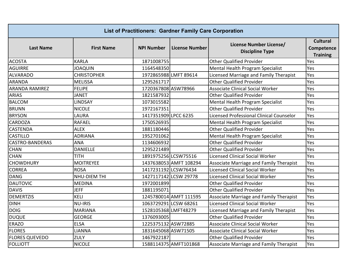| <b>List of Practitioners: Gardner Family Care Corporation</b> |                     |                      |                        |                                                   |                                                  |  |
|---------------------------------------------------------------|---------------------|----------------------|------------------------|---------------------------------------------------|--------------------------------------------------|--|
| <b>Last Name</b>                                              | <b>First Name</b>   | <b>NPI Number</b>    | <b>License Number</b>  | License Number License/<br><b>Discipline Type</b> | <b>Cultural</b><br>Competence<br><b>Training</b> |  |
| <b>ACOSTA</b>                                                 | <b>KARLA</b>        | 1871008755           |                        | <b>Other Qualified Provider</b>                   | Yes                                              |  |
| <b>AGUIRRE</b>                                                | <b>JOAQUIN</b>      | 1164548350           |                        | Mental Health Program Specialist                  | Yes                                              |  |
| <b>ALVARADO</b>                                               | <b>CHRISTOPHER</b>  |                      | 1972865988 LMFT 89614  | Licensed Marriage and Family Therapist            | Yes                                              |  |
| <b>ARANDA</b>                                                 | <b>MELISSA</b>      | 1295261717           |                        | <b>Other Qualified Provider</b>                   | Yes                                              |  |
| <b>ARANDA RAMIREZ</b>                                         | <b>FELIPE</b>       | 1720367808 ASW78966  |                        | <b>Associate Clinical Social Worker</b>           | Yes                                              |  |
| <b>ARIAS</b>                                                  | <b>JANET</b>        | 1821587932           |                        | <b>Other Qualified Provider</b>                   | Yes                                              |  |
| <b>BALCOM</b>                                                 | <b>LINDSAY</b>      | 1073015582           |                        | Mental Health Program Specialist                  | Yes                                              |  |
| <b>BRUNN</b>                                                  | <b>NICOLE</b>       | 1972167351           |                        | <b>Other Qualified Provider</b>                   | Yes                                              |  |
| <b>BRYSON</b>                                                 | LAURA               | 1417351909 LPCC 6235 |                        | Licensed Professional Clinical Counselor          | Yes                                              |  |
| CARDOZA                                                       | <b>RAFAEL</b>       | 1750526935           |                        | Mental Health Program Specialist                  | Yes                                              |  |
| CASTENDA                                                      | <b>ALEX</b>         | 1881180446           |                        | <b>Other Qualified Provider</b>                   | Yes                                              |  |
| <b>CASTILLO</b>                                               | <b>ADRIANA</b>      | 1952701062           |                        | Mental Health Program Specialist                  | Yes                                              |  |
| <b>CASTRO-BANDERAS</b>                                        | <b>ANA</b>          | 1134606932           |                        | <b>Other Qualified Provider</b>                   | Yes                                              |  |
| <b>CHAN</b>                                                   | <b>DANIELLE</b>     | 1295221489           |                        | <b>Other Qualified Provider</b>                   | Yes                                              |  |
| <b>CHAN</b>                                                   | <b>TITH</b>         | 1891975256 LCSW75516 |                        | <b>Licensed Clinical Social Worker</b>            | Yes                                              |  |
| <b>CHOWDHURY</b>                                              | <b>MOITREYEE</b>    |                      | 1437638053 AMFT 108294 | Associate Marriage and Family Therapist           | Yes                                              |  |
| <b>CORREA</b>                                                 | <b>ROSA</b>         |                      | 1417231192 LCSW76434   | <b>Licensed Clinical Social Worker</b>            | Yes                                              |  |
| <b>DANG</b>                                                   | <b>NHU-DIEM THI</b> |                      | 1427117142 LCSW 29778  | <b>Licensed Clinical Social Worker</b>            | Yes                                              |  |
| <b>DAUTOVIC</b>                                               | <b>MEDINA</b>       | 1972001899           |                        | <b>Other Qualified Provider</b>                   | Yes                                              |  |
| <b>DAVIS</b>                                                  | <b>JEFF</b>         | 1881195071           |                        | <b>Other Qualified Provider</b>                   | Yes                                              |  |
| <b>DEMERTZIS</b>                                              | KELI                |                      | 1245780014 AMFT 111595 | Associate Marriage and Family Therapist           | Yes                                              |  |
| <b>DINH</b>                                                   | <b>NU-IRIS</b>      |                      | 1063729291 LCSW 68261  | <b>Licensed Clinical Social Worker</b>            | Yes                                              |  |
| <b>DOIG</b>                                                   | <b>MARIANA</b>      | 1528105368 LMFT48279 |                        | Licensed Marriage and Family Therapist            | Yes                                              |  |
| <b>DUQUE</b>                                                  | <b>GEORGE</b>       | 1376093005           |                        | <b>Other Qualified Provider</b>                   | Yes                                              |  |
| <b>ERAZO</b>                                                  | <b>ELSA</b>         | 1225375132 ASW72885  |                        | <b>Associate Clinical Social Worker</b>           | Yes                                              |  |
| <b>FLORES</b>                                                 | <b>LIANNA</b>       | 1831645068 ASW71505  |                        | <b>Associate Clinical Social Worker</b>           | Yes                                              |  |
| <b>FLORES QUEVEDO</b>                                         | <b>ZULY</b>         | 1467922187           |                        | <b>Other Qualified Provider</b>                   | Yes                                              |  |
| <b>FOLLIOTT</b>                                               | <b>NICOLE</b>       |                      | 1588114375 AMFT101868  | Associate Marriage and Family Therapist           | Yes                                              |  |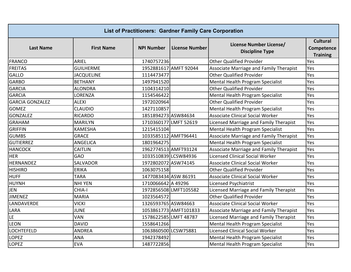| <b>List of Practitioners: Gardner Family Care Corporation</b> |                   |                       |                       |                                                   |                                                  |  |
|---------------------------------------------------------------|-------------------|-----------------------|-----------------------|---------------------------------------------------|--------------------------------------------------|--|
| <b>Last Name</b>                                              | <b>First Name</b> | <b>NPI Number</b>     | <b>License Number</b> | License Number License/<br><b>Discipline Type</b> | <b>Cultural</b><br>Competence<br><b>Training</b> |  |
| <b>FRANCO</b>                                                 | <b>ARIEL</b>      | 1740757236            |                       | <b>Other Qualified Provider</b>                   | Yes                                              |  |
| <b>FREITAS</b>                                                | <b>GUILHERME</b>  |                       | 1952881617 AMFT 92044 | Associate Marriage and Family Therapist           | Yes                                              |  |
| GALLO                                                         | <b>JACQUELINE</b> | 1114473477            |                       | <b>Other Qualified Provider</b>                   | Yes                                              |  |
| <b>GARBO</b>                                                  | <b>BETHANY</b>    | 1497941520            |                       | Mental Health Program Specialist                  | Yes                                              |  |
| <b>GARCIA</b>                                                 | <b>ALONDRA</b>    | 1104314210            |                       | <b>Other Qualified Provider</b>                   | Yes                                              |  |
| <b>GARCIA</b>                                                 | LORENZA           | 1154546422            |                       | Mental Health Program Specialist                  | Yes                                              |  |
| <b>GARCIA GONZALEZ</b>                                        | <b>ALEXI</b>      | 1972020964            |                       | <b>Other Qualified Provider</b>                   | Yes                                              |  |
| <b>GOMEZ</b>                                                  | <b>CLAUDIO</b>    | 1427110857            |                       | Mental Health Program Specialist                  | Yes                                              |  |
| <b>GONZALEZ</b>                                               | <b>RICARDO</b>    | 1851894273 ASW84634   |                       | <b>Associate Clinical Social Worker</b>           | Yes                                              |  |
| <b>GRAHAM</b>                                                 | <b>MARILYN</b>    | 1710360177 LMFT 52619 |                       | Licensed Marriage and Family Therapist            | Yes                                              |  |
| <b>GRIFFIN</b>                                                | <b>KAMESHA</b>    | 1215415104            |                       | Mental Health Program Specialist                  | Yes                                              |  |
| <b>GUMBS</b>                                                  | <b>GRACE</b>      | 1033585112 AMFT96441  |                       | Associate Marriage and Family Therapist           | Yes                                              |  |
| <b>GUTIERREZ</b>                                              | <b>ANGELICA</b>   | 1801964275            |                       | Mental Health Program Specialist                  | Yes                                              |  |
| <b>HANCOCK</b>                                                | <b>CAITLIN</b>    | 1962774513 AMFT93124  |                       | Associate Marriage and Family Therapist           | Yes                                              |  |
| <b>HER</b>                                                    | GAO               | 1033510839 LCSW84936  |                       | <b>Licensed Clinical Social Worker</b>            | Yes                                              |  |
| <b>HERNANDEZ</b>                                              | SALVADOR          | 1972802072 ASW74145   |                       | <b>Associate Clinical Social Worker</b>           | Yes                                              |  |
| <b>HISHIRO</b>                                                | <b>ERIKA</b>      | 1063075158            |                       | <b>Other Qualified Provider</b>                   | Yes                                              |  |
| <b>HUFF</b>                                                   | <b>TARA</b>       | 1477083434 ASW 86191  |                       | <b>Associate Clinical Social Worker</b>           | Yes                                              |  |
| <b>HUYNH</b>                                                  | <b>NHI YEN</b>    | 1710066642 A 49296    |                       | Licensed Psychiatrist                             | Yes                                              |  |
| <b>JEN</b>                                                    | CHIA-I            |                       | 1972856508LMFT105582  | Licensed Marriage and Family Therapist            | Yes                                              |  |
| <b>JIMENEZ</b>                                                | <b>MARIA</b>      | 1023564572            |                       | <b>Other Qualified Provider</b>                   | Yes                                              |  |
| LANDAVERDE                                                    | <b>VICKI</b>      | 1326593765 ASW84663   |                       | <b>Associate Clinical Social Worker</b>           | Yes                                              |  |
| LARA                                                          | <b>JUNE</b>       |                       | 1053861773 AMFT101833 | Associate Marriage and Family Therapist           | Yes                                              |  |
| LE                                                            | VAN               | 1578622585 LMFT 48787 |                       | Licensed Marriage and Family Therapist            | Yes                                              |  |
| <b>LEON</b>                                                   | <b>DAVID</b>      | 1558641266            |                       | Mental Health Program Specialist                  | Yes                                              |  |
| <b>LOCHTEFELD</b>                                             | <b>ANDREA</b>     | 1063860500 LCSW75881  |                       | <b>Licensed Clinical Social Worker</b>            | Yes                                              |  |
| <b>LOPEZ</b>                                                  | <b>ANA</b>        | 1942378492            |                       | Mental Health Program Specialist                  | Yes                                              |  |
| <b>LOPEZ</b>                                                  | <b>EVA</b>        | 1487722856            |                       | Mental Health Program Specialist                  | Yes                                              |  |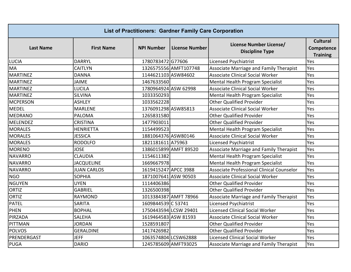| <b>List of Practitioners: Gardner Family Care Corporation</b> |                    |                       |                       |                                                   |                                                  |  |
|---------------------------------------------------------------|--------------------|-----------------------|-----------------------|---------------------------------------------------|--------------------------------------------------|--|
| <b>Last Name</b>                                              | <b>First Name</b>  | <b>NPI Number</b>     | <b>License Number</b> | License Number License/<br><b>Discipline Type</b> | <b>Cultural</b><br>Competence<br><b>Training</b> |  |
| <b>LUCIA</b>                                                  | <b>DARRYL</b>      | 1780783472 G77606     |                       | Licensed Psychiatrist                             | Yes                                              |  |
| MA                                                            | <b>CAITLYN</b>     |                       | 1326575556 AMFT107748 | Associate Marriage and Family Therapist           | Yes                                              |  |
| <b>MARTINEZ</b>                                               | <b>DANNA</b>       | 1144621103 ASW84602   |                       | <b>Associate Clinical Social Worker</b>           | Yes                                              |  |
| <b>MARTINEZ</b>                                               | <b>JAIME</b>       | 1467633560            |                       | Mental Health Program Specialist                  | Yes                                              |  |
| <b>MARTINEZ</b>                                               | <b>LUCILA</b>      | 1780964924 ASW 62998  |                       | Associate Clinical Social Worker                  | Yes                                              |  |
| <b>MARTINEZ</b>                                               | <b>SILVINA</b>     | 1033350293            |                       | Mental Health Program Specialist                  | Yes                                              |  |
| <b>MCPERSON</b>                                               | <b>ASHLEY</b>      | 1033562228            |                       | <b>Other Qualified Provider</b>                   | Yes                                              |  |
| <b>MEDEL</b>                                                  | <b>MARLENE</b>     | 1376091298 ASW85813   |                       | Associate Clinical Social Worker                  | Yes                                              |  |
| <b>MEDRANO</b>                                                | <b>PALOMA</b>      | 1265831580            |                       | <b>Other Qualified Provider</b>                   | Yes                                              |  |
| <b>MELENDEZ</b>                                               | <b>CRISTINA</b>    | 1477903011            |                       | <b>Other Qualified Provider</b>                   | Yes                                              |  |
| <b>MORALES</b>                                                | <b>HENRIETTA</b>   | 1154499523            |                       | Mental Health Program Specialist                  | Yes                                              |  |
| <b>MORALES</b>                                                | <b>JESSICA</b>     | 1881064376 ASW80146   |                       | Associate Clinical Social Worker                  | Yes                                              |  |
| <b>MORALES</b>                                                | <b>RODOLFO</b>     | 1821181611 A75963     |                       | Licensed Psychiatrist                             | Yes                                              |  |
| <b>MORENO</b>                                                 | <b>JOSE</b>        | 1386015899 AMFT 89520 |                       | Associate Marriage and Family Therapist           | Yes                                              |  |
| <b>NAVARRO</b>                                                | <b>CLAUDIA</b>     | 1154611382            |                       | Mental Health Program Specialist                  | Yes                                              |  |
| <b>NAVARRO</b>                                                | <b>JACQUELINE</b>  | 1669667978            |                       | Mental Health Program Specialist                  | Yes                                              |  |
| <b>NAVARRO</b>                                                | <b>JUAN CARLOS</b> | 1619415247 APCC 3988  |                       | Associate Professional Clinical Counselor         | Yes                                              |  |
| <b>NGO</b>                                                    | <b>SOPHIA</b>      | 1871007641 ASW 90503  |                       | <b>Associate Clinical Social Worker</b>           | Yes                                              |  |
| <b>NGUYEN</b>                                                 | <b>UYEN</b>        | 1114406386            |                       | <b>Other Qualified Provider</b>                   | Yes                                              |  |
| <b>ORTIZ</b>                                                  | <b>GABRIEL</b>     | 1326500398            |                       | <b>Other Qualified Provider</b>                   | Yes                                              |  |
| <b>ORTIZ</b>                                                  | <b>RAYMOND</b>     |                       | 1013384387 AMFT 78966 | Associate Marriage and Family Therapist           | Yes                                              |  |
| <b>PATEL</b>                                                  | <b>SARITA</b>      | 1609844539 C 53741    |                       | Licensed Psychiatrist                             | Yes                                              |  |
| <b>PHEN</b>                                                   | <b>BOPHAL</b>      | 1750443594 LCSW 29401 |                       | Licensed Clinical Social Worker                   | Yes                                              |  |
| PIRZADA                                                       | <b>SALEHA</b>      | 1619464583 ASW 81593  |                       | Associate Clinical Social Worker                  | Yes                                              |  |
| PITTMAN                                                       | <b>JORDAN</b>      | 1528591807            |                       | <b>Other Qualified Provider</b>                   | Yes                                              |  |
| <b>POLVOS</b>                                                 | <b>GERALDINE</b>   | 1417426982            |                       | <b>Other Qualified Provider</b>                   | Yes                                              |  |
| PRENDERGAST                                                   | <b>JEFF</b>        | 1063574804 LCSW62888  |                       | <b>Licensed Clinical Social Worker</b>            | Yes                                              |  |
| <b>PUGA</b>                                                   | <b>DARIO</b>       | 1245785609 AMFT93025  |                       | Associate Marriage and Family Therapist           | Yes                                              |  |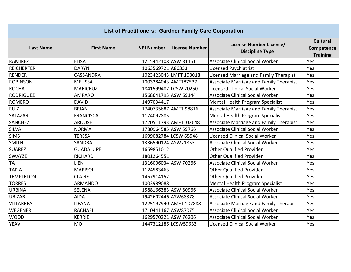| <b>List of Practitioners: Gardner Family Care Corporation</b> |                   |                      |                        |                                                   |                                                  |  |
|---------------------------------------------------------------|-------------------|----------------------|------------------------|---------------------------------------------------|--------------------------------------------------|--|
| <b>Last Name</b>                                              | <b>First Name</b> | <b>NPI Number</b>    | <b>License Number</b>  | License Number License/<br><b>Discipline Type</b> | <b>Cultural</b><br>Competence<br><b>Training</b> |  |
| RAMIREZ                                                       | <b>ELISA</b>      | 1215442108 ASW 81161 |                        | <b>Associate Clinical Social Worker</b>           | Yes                                              |  |
| <b>REICHERTER</b>                                             | <b>DARYN</b>      | 1063569721 A80353    |                        | Licensed Psychiatrist                             | Yes                                              |  |
| <b>RENDER</b>                                                 | <b>CASSANDRA</b>  |                      | 1023423043 LMFT 108018 | Licensed Marriage and Family Therapist            | Yes                                              |  |
| <b>ROBINSON</b>                                               | <b>MELISSA</b>    | 1003284043 AMFT87537 |                        | Associate Marriage and Family Therapist           | Yes                                              |  |
| <b>ROCHA</b>                                                  | <b>MARICRUZ</b>   |                      | 1841599487 LCSW 70250  | <b>Licensed Clinical Social Worker</b>            | Yes                                              |  |
| <b>RODRIGUEZ</b>                                              | <b>AMPARO</b>     | 1568641793 ASW 69144 |                        | <b>Associate Clinical Social Worker</b>           | Yes                                              |  |
| <b>ROMERO</b>                                                 | <b>DAVID</b>      | 1497034417           |                        | Mental Health Program Specialist                  | Yes                                              |  |
| <b>RUIZ</b>                                                   | <b>BRIAN</b>      |                      | 1740735687 AMFT 98816  | Associate Marriage and Family Therapist           | Yes                                              |  |
| SALAZAR                                                       | <b>FRANCISCA</b>  | 1174097885           |                        | Mental Health Program Specialist                  | Yes                                              |  |
| <b>SANCHEZ</b>                                                | <b>AROOSH</b>     |                      | 1720511793 AMFT102648  | Associate Marriage and Family Therapist           | Yes                                              |  |
| <b>SILVA</b>                                                  | <b>NORMA</b>      | 1780964585 ASW 59766 |                        | <b>Associate Clinical Social Worker</b>           | Yes                                              |  |
| <b>SIMS</b>                                                   | <b>TERESA</b>     |                      | 1699082784 LCSW 65548  | <b>Licensed Clinical Social Worker</b>            | Yes                                              |  |
| <b>SMITH</b>                                                  | <b>SANDRA</b>     | 1336590124 ASW71853  |                        | <b>Associate Clinical Social Worker</b>           | Yes                                              |  |
| <b>SUAREZ</b>                                                 | <b>GUADALUPE</b>  | 1659851012           |                        | <b>Other Qualified Provider</b>                   | Yes                                              |  |
| SWAYZE                                                        | <b>RICHARD</b>    | 1801264551           |                        | <b>Other Qualified Provider</b>                   | Yes                                              |  |
| <b>TA</b>                                                     | <b>LIEN</b>       | 1316006034 ASW 70266 |                        | <b>Associate Clinical Social Worker</b>           | Yes                                              |  |
| <b>TAPIA</b>                                                  | <b>MARISOL</b>    | 1124583463           |                        | <b>Other Qualified Provider</b>                   | Yes                                              |  |
| <b>TEMPLETON</b>                                              | <b>CLAIRE</b>     | 1457914152           |                        | <b>Other Qualified Provider</b>                   | Yes                                              |  |
| <b>TORRES</b>                                                 | <b>ARMANDO</b>    | 1003989088           |                        | Mental Health Program Specialist                  | Yes                                              |  |
| <b>URBINA</b>                                                 | <b>SELENA</b>     | 1588166383 ASW 80966 |                        | <b>Associate Clinical Social Worker</b>           | Yes                                              |  |
| <b>URIZAR</b>                                                 | <b>AIDA</b>       | 1942602446 ASW68378  |                        | <b>Associate Clinical Social Worker</b>           | Yes                                              |  |
| VILLARREAL                                                    | <b>ILEANA</b>     |                      | 1225197940 AMFT 107888 | Associate Marriage and Family Therapist           | Yes                                              |  |
| <b>WEGENER</b>                                                | <b>RACHAEL</b>    | 1710441167 ASW87075  |                        | <b>Associate Clinical Social Worker</b>           | Yes                                              |  |
| <b>WOOD</b>                                                   | <b>KERRIE</b>     | 1629570221 ASW 76206 |                        | <b>Associate Clinical Social Worker</b>           | Yes                                              |  |
| YEAV                                                          | <b>MO</b>         | 1447312186 LCSW59633 |                        | <b>Licensed Clinical Social Worker</b>            | Yes                                              |  |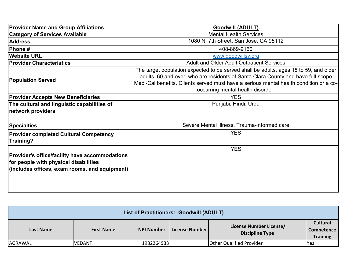| <b>Provider Name and Group Affiliations</b>                                                                                              | <b>Goodwill (ADULT)</b>                                                                                                                                                                                                                                                                                  |
|------------------------------------------------------------------------------------------------------------------------------------------|----------------------------------------------------------------------------------------------------------------------------------------------------------------------------------------------------------------------------------------------------------------------------------------------------------|
| <b>Category of Services Available</b>                                                                                                    | <b>Mental Health Services</b>                                                                                                                                                                                                                                                                            |
| <b>Address</b>                                                                                                                           | 1080 N. 7th Street, San Jose, CA 95112                                                                                                                                                                                                                                                                   |
| Phone #                                                                                                                                  | 408-869-9160                                                                                                                                                                                                                                                                                             |
| <b>Website URL</b>                                                                                                                       | www.goodwillsv.org                                                                                                                                                                                                                                                                                       |
| <b>Provider Characteristics</b>                                                                                                          | Adult and Older Adult Outpatient Services                                                                                                                                                                                                                                                                |
| <b>Population Served</b>                                                                                                                 | The target population expected to be served shall be adults, ages 18 to 59, and older<br>adults, 60 and over, who are residents of Santa Clara County and have full-scope<br>Medi-Cal benefits. Clients served must have a serious mental health condition or a co-<br>occurring mental health disorder. |
| <b>Provider Accepts New Beneficiaries</b>                                                                                                | <b>YES</b>                                                                                                                                                                                                                                                                                               |
| The cultural and linguistic capabilities of<br>network providers                                                                         | Punjabi, Hindi, Urdu                                                                                                                                                                                                                                                                                     |
| <b>Specialties</b>                                                                                                                       | Severe Mental Illness, Trauma-informed care                                                                                                                                                                                                                                                              |
| <b>Provider completed Cultural Competency</b><br>Training?                                                                               | <b>YES</b>                                                                                                                                                                                                                                                                                               |
| Provider's office/facility have accommodations<br>for people with physical disabilities<br>(includes offices, exam rooms, and equipment) | <b>YES</b>                                                                                                                                                                                                                                                                                               |

| List of Practitioners: Goodwill (ADULT)                                                                                    |               |            |  |                                 |                                                         |
|----------------------------------------------------------------------------------------------------------------------------|---------------|------------|--|---------------------------------|---------------------------------------------------------|
| License Number License/<br>License Number<br><b>NPI Number</b><br><b>First Name</b><br>Last Name<br><b>Discipline Type</b> |               |            |  |                                 | <b>Cultural</b><br><b>Competence</b><br><b>Training</b> |
| AGRAWAL                                                                                                                    | <b>VEDANT</b> | 1982264933 |  | <b>Other Qualified Provider</b> | <b>Yes</b>                                              |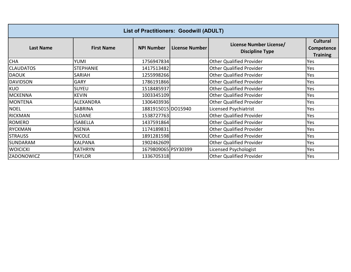| <b>List of Practitioners: Goodwill (ADULT)</b> |                   |                     |                       |                                                   |                                                  |  |
|------------------------------------------------|-------------------|---------------------|-----------------------|---------------------------------------------------|--------------------------------------------------|--|
| <b>Last Name</b>                               | <b>First Name</b> | <b>NPI Number</b>   | <b>License Number</b> | License Number License/<br><b>Discipline Type</b> | <b>Cultural</b><br>Competence<br><b>Training</b> |  |
| <b>CHA</b>                                     | YUMI              | 1756947834          |                       | <b>Other Qualified Provider</b>                   | Yes                                              |  |
| <b>CLAUDATOS</b>                               | <b>STEPHANIE</b>  | 1417513482          |                       | <b>Other Qualified Provider</b>                   | Yes                                              |  |
| <b>DAOUK</b>                                   | SARIAH            | 1255998266          |                       | <b>Other Qualified Provider</b>                   | Yes                                              |  |
| <b>DAVIDSON</b>                                | <b>GARY</b>       | 1786191866          |                       | <b>Other Qualified Provider</b>                   | Yes                                              |  |
| <b>KUO</b>                                     | <b>SUYEU</b>      | 1518485937          |                       | <b>Other Qualified Provider</b>                   | Yes                                              |  |
| <b>MCKENNA</b>                                 | <b>KEVIN</b>      | 1003345109          |                       | <b>Other Qualified Provider</b>                   | Yes                                              |  |
| <b>MONTENA</b>                                 | ALEXANDRA         | 1306403936          |                       | <b>Other Qualified Provider</b>                   | Yes                                              |  |
| <b>NOEL</b>                                    | <b>SABRINA</b>    | 1881915015 DO15940  |                       | Licensed Psychiatrist                             | Yes                                              |  |
| <b>RICKMAN</b>                                 | <b>SLOANE</b>     | 1538727763          |                       | <b>Other Qualified Provider</b>                   | Yes                                              |  |
| <b>ROMERO</b>                                  | <b>ISABELLA</b>   | 1437591864          |                       | <b>Other Qualified Provider</b>                   | Yes                                              |  |
| <b>RYCKMAN</b>                                 | <b>KSENIA</b>     | 1174189831          |                       | <b>Other Qualified Provider</b>                   | Yes                                              |  |
| <b>STRAUSS</b>                                 | <b>NICOLE</b>     | 1891281598          |                       | <b>Other Qualified Provider</b>                   | Yes                                              |  |
| <b>SUNDARAM</b>                                | <b>KALPANA</b>    | 1902462609          |                       | <b>Other Qualified Provider</b>                   | Yes                                              |  |
| <b>WOICICKI</b>                                | <b>KATHRYN</b>    | 1679809065 PSY30399 |                       | Licensed Psychologist                             | Yes                                              |  |
| ZADONOWICZ                                     | TAYLOR            | 1336705318          |                       | <b>Other Qualified Provider</b>                   | Yes                                              |  |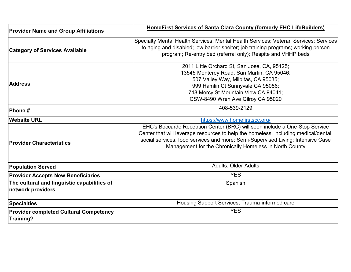| <b>Provider Name and Group Affiliations</b>                      | HomeFirst Services of Santa Clara County (formerly EHC LifeBuilders)                                                                                                                                                                                                                                            |
|------------------------------------------------------------------|-----------------------------------------------------------------------------------------------------------------------------------------------------------------------------------------------------------------------------------------------------------------------------------------------------------------|
|                                                                  |                                                                                                                                                                                                                                                                                                                 |
| <b>Category of Services Available</b>                            | Specialty Mental Health Services; Mental Health Services; Veteran Services; Services<br>to aging and disabled; low barrier shelter; job training programs; working person<br>program; Re-entry bed (referral only); Respite and VHHP beds                                                                       |
| <b>Address</b>                                                   | 2011 Little Orchard St, San Jose, CA, 95125;<br>13545 Monterey Road, San Martin, CA 95046;<br>507 Valley Way, Milpitas, CA 95035;<br>999 Hamlin Ct Sunnyvale CA 95086;<br>748 Mercy St Mountain View CA 94041;<br>CSW-8490 Wren Ave Gilroy CA 95020                                                             |
| <b>Phone#</b>                                                    | 408-539-2129                                                                                                                                                                                                                                                                                                    |
| <b>Website URL</b>                                               | https://www.homefirstscc.org/                                                                                                                                                                                                                                                                                   |
| <b>Provider Characteristics</b>                                  | EHC's Boccardo Reception Center (BRC) will soon include a One-Stop Service<br>Center that will leverage resources to help the homeless, including medical/dental,<br>social services, food services and more; Semi-Supervised Living; Intensive Case<br>Management for the Chronically Homeless in North County |
| <b>Population Served</b>                                         | <b>Adults, Older Adults</b>                                                                                                                                                                                                                                                                                     |
| <b>Provider Accepts New Beneficiaries</b>                        | <b>YES</b>                                                                                                                                                                                                                                                                                                      |
| The cultural and linguistic capabilities of<br>network providers | Spanish                                                                                                                                                                                                                                                                                                         |
| <b>Specialties</b>                                               | Housing Support Services, Trauma-informed care                                                                                                                                                                                                                                                                  |
| <b>Provider completed Cultural Competency</b><br>Training?       | <b>YES</b>                                                                                                                                                                                                                                                                                                      |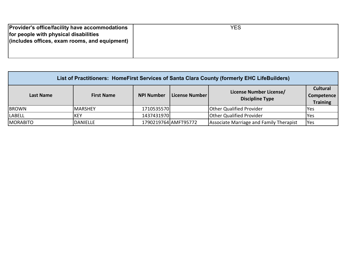| <b>Provider's office/facility have accommodations</b> | YES |
|-------------------------------------------------------|-----|
| for people with physical disabilities                 |     |
| (includes offices, exam rooms, and equipment)         |     |
|                                                       |     |
|                                                       |     |

| List of Practitioners: HomeFirst Services of Santa Clara County (formerly EHC LifeBuilders)                                                                                    |                 |                      |  |                                         |            |  |
|--------------------------------------------------------------------------------------------------------------------------------------------------------------------------------|-----------------|----------------------|--|-----------------------------------------|------------|--|
| <b>Cultural</b><br>License Number License/<br><b>NPI Number</b><br>License Number<br>Competence<br><b>First Name</b><br>Last Name<br><b>Discipline Type</b><br><b>Training</b> |                 |                      |  |                                         |            |  |
| <b>BROWN</b>                                                                                                                                                                   | <b>MARSHEY</b>  | 1710535570           |  | <b>Other Qualified Provider</b>         | IYes       |  |
| <b>LABELL</b>                                                                                                                                                                  | KEY             | 1437431970           |  | <b>Other Qualified Provider</b>         | <b>Yes</b> |  |
| <b>MORABITO</b>                                                                                                                                                                | <b>DANIELLE</b> | 1790219764 AMFT95772 |  | Associate Marriage and Family Therapist | <b>Yes</b> |  |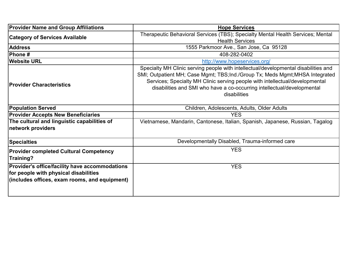| <b>Provider Name and Group Affiliations</b>                                                                                              | <b>Hope Services</b>                                                                                                                                                                                                                                                                                                                            |  |  |  |  |  |
|------------------------------------------------------------------------------------------------------------------------------------------|-------------------------------------------------------------------------------------------------------------------------------------------------------------------------------------------------------------------------------------------------------------------------------------------------------------------------------------------------|--|--|--|--|--|
| <b>Category of Services Available</b>                                                                                                    | Therapeutic Behavioral Services (TBS); Specialty Mental Health Services; Mental                                                                                                                                                                                                                                                                 |  |  |  |  |  |
|                                                                                                                                          | <b>Health Services</b>                                                                                                                                                                                                                                                                                                                          |  |  |  |  |  |
| <b>Address</b>                                                                                                                           | 1555 Parkmoor Ave., San Jose, Ca 95128                                                                                                                                                                                                                                                                                                          |  |  |  |  |  |
| Phone#                                                                                                                                   | 408-282-0402                                                                                                                                                                                                                                                                                                                                    |  |  |  |  |  |
| <b>Website URL</b>                                                                                                                       | http://www.hopeservices.org/                                                                                                                                                                                                                                                                                                                    |  |  |  |  |  |
| <b>Provider Characteristics</b>                                                                                                          | Specialty MH Clinic serving people with intellectual/developmental disabilities and<br>SMI; Outpatient MH; Case Mgmt; TBS; Ind./Group Tx; Meds Mgmt; MHSA Integrated<br>Services; Specialty MH Clinic serving people with intellectual/developmental<br>disabilities and SMI who have a co-occurring intellectual/developmental<br>disabilities |  |  |  |  |  |
| <b>Population Served</b>                                                                                                                 | Children, Adolescents, Adults, Older Adults                                                                                                                                                                                                                                                                                                     |  |  |  |  |  |
| <b>Provider Accepts New Beneficiaries</b>                                                                                                | <b>YES</b>                                                                                                                                                                                                                                                                                                                                      |  |  |  |  |  |
| The cultural and linguistic capabilities of<br>network providers                                                                         | Vietnamese, Mandarin, Cantonese, Italian, Spanish, Japanese, Russian, Tagalog                                                                                                                                                                                                                                                                   |  |  |  |  |  |
| <b>Specialties</b>                                                                                                                       | Developmentally Disabled, Trauma-informed care                                                                                                                                                                                                                                                                                                  |  |  |  |  |  |
| <b>Provider completed Cultural Competency</b><br>Training?                                                                               | <b>YES</b>                                                                                                                                                                                                                                                                                                                                      |  |  |  |  |  |
| Provider's office/facility have accommodations<br>for people with physical disabilities<br>(includes offices, exam rooms, and equipment) | <b>YES</b>                                                                                                                                                                                                                                                                                                                                      |  |  |  |  |  |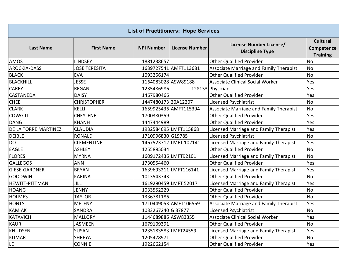| <b>List of Practitioners: Hope Services</b> |                      |                       |                        |                                                   |                                                  |  |
|---------------------------------------------|----------------------|-----------------------|------------------------|---------------------------------------------------|--------------------------------------------------|--|
| <b>Last Name</b>                            | <b>First Name</b>    | <b>NPI Number</b>     | <b>License Number</b>  | License Number License/<br><b>Discipline Type</b> | <b>Cultural</b><br>Competence<br><b>Training</b> |  |
| <b>AMOS</b>                                 | <b>LINDSEY</b>       | 1881238657            |                        | <b>Other Qualified Provider</b>                   | <b>No</b>                                        |  |
| <b>AROCKIA-DASS</b>                         | <b>JOSE TERESITA</b> |                       | 1639727541 AMFT113681  | Associate Marriage and Family Therapist           | <b>No</b>                                        |  |
| <b>BLACK</b>                                | <b>EVA</b>           | 1093256174            |                        | <b>Other Qualified Provider</b>                   | N <sub>o</sub>                                   |  |
| <b>BLACKHILL</b>                            | <b>JESSE</b>         | 1164083028 ASW89188   |                        | <b>Associate Clinical Social Worker</b>           | Yes                                              |  |
| <b>CAREY</b>                                | <b>REGAN</b>         | 1235486986            |                        | 128153 Physician                                  | Yes                                              |  |
| CASTANEDA                                   | <b>DAISY</b>         | 1467980466            |                        | <b>Other Qualified Provider</b>                   | Yes                                              |  |
| <b>CHEE</b>                                 | <b>CHRISTOPHER</b>   | 1447480173 20A12207   |                        | Licensed Psychiatrist                             | <b>No</b>                                        |  |
| <b>CLARK</b>                                | <b>KELLI</b>         |                       | 1659925436 AMFT115394  | Associate Marriage and Family Therapist           | <b>No</b>                                        |  |
| <b>COWGILL</b>                              | <b>CHEYLENE</b>      | 1700380359            |                        | <b>Other Qualified Provider</b>                   | Yes                                              |  |
| <b>DANG</b>                                 | <b>KHANH</b>         | 1447444989            |                        | <b>Other Qualified Provider</b>                   | Yes                                              |  |
| DE LA TORRE MARTINEZ                        | <b>CLAUDIA</b>       |                       | 1932584695 LMFT115868  | Licensed Marriage and Family Therapist            | Yes                                              |  |
| <b>DEIBLE</b>                               | <b>RONALD</b>        | 1710996830 G19785     |                        | <b>Licensed Psychiatrist</b>                      | <b>No</b>                                        |  |
| <b>DO</b>                                   | <b>CLEMENTINE</b>    |                       | 1467523712 LMFT 102141 | Licensed Marriage and Family Therapist            | Yes                                              |  |
| <b>EAGLE</b>                                | <b>ASHLEY</b>        | 1255885034            |                        | <b>Other Qualified Provider</b>                   | <b>No</b>                                        |  |
| <b>FLORES</b>                               | <b>MYRNA</b>         | 1609172436 LMFT92101  |                        | Licensed Marriage and Family Therapist            | <b>No</b>                                        |  |
| <b>GALLEGOS</b>                             | <b>ANN</b>           | 1730554460            |                        | <b>Other Qualified Provider</b>                   | Yes                                              |  |
| <b>GIESE-GARDNER</b>                        | <b>BRYAN</b>         |                       | 1639693211 LMFT116141  | Licensed Marriage and Family Therapist            | Yes                                              |  |
| <b>GOODWIN</b>                              | <b>KARINA</b>        | 1013543743            |                        | <b>Other Qualified Provider</b>                   | <b>No</b>                                        |  |
| <b>HEWITT-PITTMAN</b>                       | JILL                 | 1619290459 LMFT 52017 |                        | Licensed Marriage and Family Therapist            | Yes                                              |  |
| <b>HOANG</b>                                | <b>JENNY</b>         | 1033552229            |                        | <b>Other Qualified Provider</b>                   | <b>No</b>                                        |  |
| <b>HOLMES</b>                               | <b>TAYLOR</b>        | 1336781186            |                        | <b>Other Qualified Provider</b>                   | <b>No</b>                                        |  |
| <b>HONTS</b>                                | <b>MELENY</b>        |                       | 1710449053 AMFT106569  | Associate Marriage and Family Therapist           | Yes                                              |  |
| <b>KAMIAK</b>                               | <b>SANDRA</b>        | 1033267240 G 37877    |                        | <b>Licensed Psychiatrist</b>                      | N <sub>o</sub>                                   |  |
| <b>KATAVICH</b>                             | <b>MALLORY</b>       | 1144689886 ASW83355   |                        | <b>Associate Clinical Social Worker</b>           | Yes                                              |  |
| <b>KAUR</b>                                 | <b>JASMEEN</b>       | 1679109391            |                        | <b>Other Qualified Provider</b>                   | <b>No</b>                                        |  |
| <b>KNUDSEN</b>                              | <b>SUSAN</b>         | 1235183583 LMFT24559  |                        | Licensed Marriage and Family Therapist            | Yes                                              |  |
| <b>KUMAR</b>                                | <b>SHREYA</b>        | 1205478971            |                        | <b>Other Qualified Provider</b>                   | <b>No</b>                                        |  |
| LE                                          | <b>CONNIE</b>        | 1922662154            |                        | <b>Other Qualified Provider</b>                   | Yes                                              |  |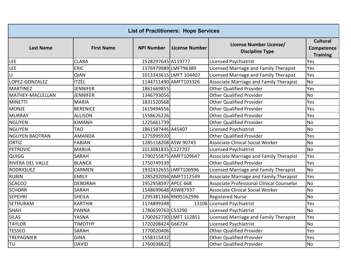| <b>List of Practitioners: Hope Services</b> |                   |                      |                        |                                                   |                                                  |  |
|---------------------------------------------|-------------------|----------------------|------------------------|---------------------------------------------------|--------------------------------------------------|--|
| <b>Last Name</b>                            | <b>First Name</b> | <b>NPI Number</b>    | <b>License Number</b>  | License Number License/<br><b>Discipline Type</b> | <b>Cultural</b><br>Competence<br><b>Training</b> |  |
| <b>LEE</b>                                  | <b>CLARA</b>      | 1528297645 A119777   |                        | Licensed Psychiatrist                             | Yes                                              |  |
| <b>LEE</b>                                  | <b>ERIC</b>       | 1376979989 LMFT96389 |                        | Licensed Marriage and Family Therapist            | Yes                                              |  |
| $\overline{\mathsf{L}}$                     | <b>QIAN</b>       |                      | 1013343615 LMFT 104407 | Licensed Marriage and Family Therapist            | Yes                                              |  |
| LOPEZ-GONZALEZ                              | <b>ITZEL</b>      |                      | 1144711490 AMFT103326  | Associate Marriage and Family Therapist           | <b>No</b>                                        |  |
| <b>MARTINEZ</b>                             | <b>JENNIFER</b>   | 1861669855           |                        | <b>Other Qualified Provider</b>                   | Yes                                              |  |
| MATHEY-MACLELLAN                            | <b>JENNIFER</b>   | 1346793056           |                        | <b>Other Qualified Provider</b>                   | <b>No</b>                                        |  |
| <b>MINETTI</b>                              | <b>MARIA</b>      | 1831520568           |                        | <b>Other Qualified Provider</b>                   | Yes                                              |  |
| <b>MONJE</b>                                | <b>BERENICE</b>   | 1619494556           |                        | <b>Other Qualified Provider</b>                   | Yes                                              |  |
| <b>MURRAY</b>                               | <b>ALLISON</b>    | 1558626226           |                        | <b>Other Qualified Provider</b>                   | Yes                                              |  |
| <b>NGUYEN</b>                               | <b>KIMANH</b>     | 1225661739           |                        | <b>Other Qualified Provider</b>                   | <b>No</b>                                        |  |
| <b>NGUYEN</b>                               | <b>TAO</b>        | 1861587446 A45407    |                        | Licensed Psychiatrist                             | <b>No</b>                                        |  |
| <b>NGUYEN BAOTRAN</b>                       | <b>AMANDA</b>     | 1275995920           |                        | <b>Other Qualified Provider</b>                   | Yes                                              |  |
| <b>ORTIZ</b>                                | <b>FABIAN</b>     | 1285118208 ASW 90743 |                        | <b>Associate Clinical Social Worker</b>           | <b>No</b>                                        |  |
| PETROVIC                                    | <b>MARIJA</b>     | 1013081835 C127707   |                        | Licensed Psychiatrist                             | <b>No</b>                                        |  |
| QUIGG                                       | <b>SARAH</b>      |                      | 1790255875 AMFT109647  | Associate Marriage and Family Therapist           | Yes                                              |  |
| <b>RIVERA DEL VALLE</b>                     | <b>BLANCA</b>     | 1750749339           |                        | <b>Other Qualified Provider</b>                   | Yes                                              |  |
| <b>RODRIQUEZ</b>                            | <b>CARMEN</b>     |                      | 1932432655 LMFT106996  | Licensed Marriage and Family Therapist            | <b>No</b>                                        |  |
| <b>RUBIN</b>                                | <b>EMILY</b>      |                      | 1285292094 AMFT112549  | Associate Marriage and Family Therapist           | Yes                                              |  |
| <b>SCACCO</b>                               | <b>DEBORAH</b>    | 1952958597 APCC 668  |                        | Associate Professional Clinical Counselor         | <b>No</b>                                        |  |
| <b>SCHORR</b>                               | <b>SARAH</b>      | 1548699648 ASW87937  |                        | <b>Associate Clinical Social Worker</b>           | <b>No</b>                                        |  |
| <b>SEPEHRI</b>                              | <b>SHEILA</b>     |                      | 1295381366 RN95162996  | <b>Registered Nurse</b>                           | <b>No</b>                                        |  |
| <b>SETHURAM</b>                             | <b>KARTHIK</b>    | 1174899348           |                        | 13106 Licensed Psychiatrist                       | Yes                                              |  |
| <b>SHAH</b>                                 | <b>PANNA</b>      | 1780659763 C53290    |                        | Licensed Psychiatrist                             | <b>No</b>                                        |  |
| <b>SILAS</b>                                | <b>YASNA</b>      |                      | 1700262730 LMFT 112851 | Licensed Marriage and Family Therapist            | Yes                                              |  |
| <b>TAYLOR</b>                               | <b>TIMOTHY</b>    | 1720208424 G66724    |                        | Licensed Psychiatrist                             | <b>No</b>                                        |  |
| <b>TESSEO</b>                               | <b>SARAH</b>      | 1770020406           |                        | <b>Other Qualified Provider</b>                   | Yes                                              |  |
| <b>TREPAGNIER</b>                           | <b>GINA</b>       | 1558315432           |                        | <b>Other Qualified Provider</b>                   | Yes                                              |  |
| TU                                          | <b>DAVID</b>      | 1760038822           |                        | <b>Other Qualified Provider</b>                   | <b>No</b>                                        |  |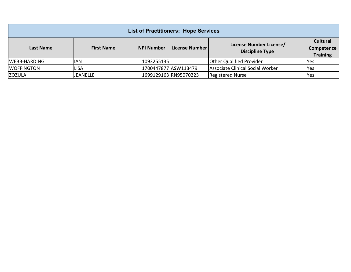| <b>List of Practitioners: Hope Services</b> |                   |                   |                       |                                                   |                                                  |  |
|---------------------------------------------|-------------------|-------------------|-----------------------|---------------------------------------------------|--------------------------------------------------|--|
| Last Name                                   | <b>First Name</b> | <b>NPI Number</b> | License Number        | License Number License/<br><b>Discipline Type</b> | <b>Cultural</b><br>Competence<br><b>Training</b> |  |
| <b>WEBB-HARDING</b>                         | IAN               | 1093255135        |                       | <b>Other Qualified Provider</b>                   | <b>Yes</b>                                       |  |
| <b>WOFFINGTON</b>                           | <b>LISA</b>       |                   | 1700447877 ASW113479  | Associate Clinical Social Worker                  | lYes                                             |  |
| <b>ZOZULA</b>                               | <b>JEANELLE</b>   |                   | 1699129163 RN95070223 | <b>Registered Nurse</b>                           | lYes                                             |  |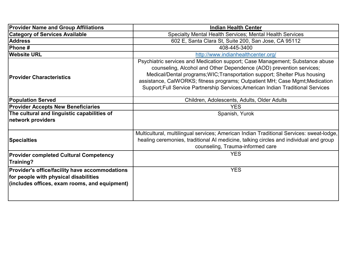| <b>Provider Name and Group Affiliations</b>                                                                                              | <b>Indian Health Center</b>                                                                                                                                                                                                                                                                                                                                                                            |
|------------------------------------------------------------------------------------------------------------------------------------------|--------------------------------------------------------------------------------------------------------------------------------------------------------------------------------------------------------------------------------------------------------------------------------------------------------------------------------------------------------------------------------------------------------|
| <b>Category of Services Available</b>                                                                                                    | Specialty Mental Health Services; Mental Health Services                                                                                                                                                                                                                                                                                                                                               |
| <b>Address</b>                                                                                                                           | 602 E, Santa Clara St, Suite 200, San Jose, CA 95112                                                                                                                                                                                                                                                                                                                                                   |
| Phone#                                                                                                                                   | 408-445-3400                                                                                                                                                                                                                                                                                                                                                                                           |
| <b>Website URL</b>                                                                                                                       | http://www.indianhealthcenter.org/                                                                                                                                                                                                                                                                                                                                                                     |
| <b>Provider Characteristics</b>                                                                                                          | Psychiatric services and Medication support; Case Management; Substance abuse<br>counseling, Alcohol and Other Dependence (AOD) prevention services;<br>Medical/Dental programs; WIC; Transportation support; Shelter Plus housing<br>assistance, CalWORKS; fitness programs; Outpatient MH; Case Mgmt; Medication<br>Support; Full Service Partnership Services; American Indian Traditional Services |
| <b>Population Served</b>                                                                                                                 | Children, Adolescents, Adults, Older Adults                                                                                                                                                                                                                                                                                                                                                            |
| <b>Provider Accepts New Beneficiaries</b>                                                                                                | <b>YES</b>                                                                                                                                                                                                                                                                                                                                                                                             |
| The cultural and linguistic capabilities of<br>network providers                                                                         | Spanish, Yurok                                                                                                                                                                                                                                                                                                                                                                                         |
| <b>Specialties</b>                                                                                                                       | Multicultural, multilingual services; American Indian Traditional Services: sweat-lodge,<br>healing ceremonies, traditional AI medicine, talking circles and individual and group<br>counseling, Trauma-informed care                                                                                                                                                                                  |
| <b>Provider completed Cultural Competency</b><br>Training?                                                                               | <b>YES</b>                                                                                                                                                                                                                                                                                                                                                                                             |
| Provider's office/facility have accommodations<br>for people with physical disabilities<br>(includes offices, exam rooms, and equipment) | <b>YES</b>                                                                                                                                                                                                                                                                                                                                                                                             |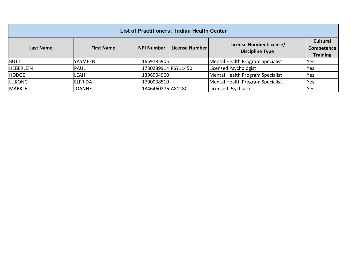| <b>List of Practitioners: Indian Health Center</b> |                   |                     |                |                                                   |                               |  |  |
|----------------------------------------------------|-------------------|---------------------|----------------|---------------------------------------------------|-------------------------------|--|--|
| <b>Last Name</b>                                   | <b>First Name</b> | <b>NPI Number</b>   | License Number | License Number License/<br><b>Discipline Type</b> | <b>Cultural</b><br>Competence |  |  |
|                                                    |                   |                     |                |                                                   | <b>Training</b>               |  |  |
| <b>BUTT</b>                                        | <b>YASMEEN</b>    | 1659785905          |                | Mental Health Program Specialist                  | <b>Yes</b>                    |  |  |
| <b>HEBERLEIN</b>                                   | <b>PAUL</b>       | 1730239914 PSY11450 |                | Licensed Psychologist                             | <b>Yes</b>                    |  |  |
| <b>HODGE</b>                                       | <b>LEAH</b>       | 1396904900          |                | Mental Health Program Specialist                  | Yes                           |  |  |
| <b>LUKONG</b>                                      | <b>ELFRIDA</b>    | 1700038510          |                | Mental Health Program Specialist                  | Yes                           |  |  |
| <b>MARKLE</b>                                      | <b>JOANNE</b>     | 1346460276 A81180   |                | Licensed Psychiatrist                             | Yes                           |  |  |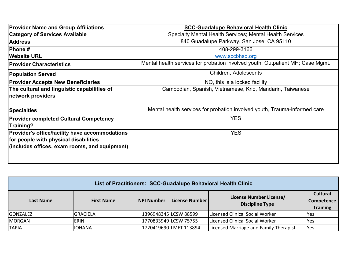| <b>Provider Name and Group Affiliations</b>                                                                                              | <b>SCC-Guadalupe Behavioral Health Clinic</b>                                  |
|------------------------------------------------------------------------------------------------------------------------------------------|--------------------------------------------------------------------------------|
| <b>Category of Services Available</b>                                                                                                    | Specialty Mental Health Services; Mental Health Services                       |
| <b>Address</b>                                                                                                                           | 840 Guadalupe Parkway, San Jose, CA 95110                                      |
| <b>Phone#</b>                                                                                                                            | 408-299-3166                                                                   |
| <b>Website URL</b>                                                                                                                       | www.sccbhsd.org                                                                |
| <b>Provider Characteristics</b>                                                                                                          | Mental health services for probation involved youth; Outpatient MH; Case Mgmt. |
| <b>Population Served</b>                                                                                                                 | Children, Adolescents                                                          |
| <b>Provider Accepts New Beneficiaries</b>                                                                                                | NO, this is a locked facility                                                  |
| The cultural and linguistic capabilities of<br>network providers                                                                         | Cambodian, Spanish, Vietnamese, Krio, Mandarin, Taiwanese                      |
| <b>Specialties</b>                                                                                                                       | Mental health services for probation involved youth, Trauma-informed care      |
| <b>Provider completed Cultural Competency</b><br>Training?                                                                               | <b>YES</b>                                                                     |
| Provider's office/facility have accommodations<br>for people with physical disabilities<br>(includes offices, exam rooms, and equipment) | <b>YES</b>                                                                     |

| List of Practitioners: SCC-Guadalupe Behavioral Health Clinic                                                                                                                  |                 |  |                        |                                        |            |  |
|--------------------------------------------------------------------------------------------------------------------------------------------------------------------------------|-----------------|--|------------------------|----------------------------------------|------------|--|
| <b>Cultural</b><br>License Number License/<br>License Number<br><b>NPI Number</b><br>Competence<br><b>First Name</b><br>Last Name<br><b>Discipline Type</b><br><b>Training</b> |                 |  |                        |                                        |            |  |
| <b>GONZALEZ</b>                                                                                                                                                                | <b>GRACIELA</b> |  | 1396948345 LCSW 88599  | Licensed Clinical Social Worker        | <b>Yes</b> |  |
| <b>MORGAN</b>                                                                                                                                                                  | <b>ERIN</b>     |  | 1770833949 LCSW 75755  | Licensed Clinical Social Worker        | <b>Yes</b> |  |
| <b>TAPIA</b>                                                                                                                                                                   | <b>IOHANA</b>   |  | 1720419690 LMFT 113894 | Licensed Marriage and Family Therapist | <b>Yes</b> |  |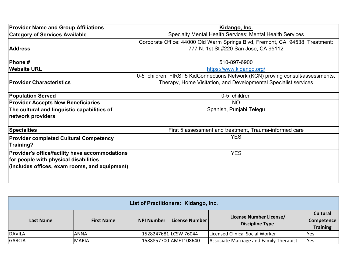| <b>Provider Name and Group Affiliations</b>                                                                                              | Kidango, Inc.                                                                                                                                     |
|------------------------------------------------------------------------------------------------------------------------------------------|---------------------------------------------------------------------------------------------------------------------------------------------------|
| <b>Category of Services Available</b>                                                                                                    | Specialty Mental Health Services; Mental Health Services                                                                                          |
| <b>Address</b>                                                                                                                           | Corporate Office: 44000 Old Warm Springs Blvd, Fremont, CA 94538; Treatment:<br>777 N. 1st St #220 San Jose, CA 95112                             |
| <b>Phone</b> #                                                                                                                           | 510-897-6900                                                                                                                                      |
| <b>Website URL</b>                                                                                                                       | https://www.kidango.org/                                                                                                                          |
| <b>Provider Characteristics</b>                                                                                                          | 0-5 children; FIRST5 KidConnections Network (KCN) proving consult/assessments,<br>Therapy, Home Visitation, and Developmental Specialist services |
| <b>Population Served</b>                                                                                                                 | 0-5 children                                                                                                                                      |
| <b>Provider Accepts New Beneficiaries</b>                                                                                                | <b>NO</b>                                                                                                                                         |
| The cultural and linguistic capabilities of<br>network providers                                                                         | Spanish, Punjabi Telegu                                                                                                                           |
| <b>Specialties</b>                                                                                                                       | First 5 assessment and treatment, Trauma-informed care                                                                                            |
| <b>Provider completed Cultural Competency</b><br>Training?                                                                               | <b>YES</b>                                                                                                                                        |
| Provider's office/facility have accommodations<br>for people with physical disabilities<br>(includes offices, exam rooms, and equipment) | <b>YES</b>                                                                                                                                        |

| List of Practitioners: Kidango, Inc.                                                                                                            |              |  |                       |                                         |            |  |
|-------------------------------------------------------------------------------------------------------------------------------------------------|--------------|--|-----------------------|-----------------------------------------|------------|--|
| License Number License/<br>License Number<br><b>NPI Number</b><br><b>First Name</b><br><b>Last Name</b><br>Competence<br><b>Discipline Type</b> |              |  |                       |                                         |            |  |
| <b>DAVILA</b>                                                                                                                                   | <b>ANNA</b>  |  | 1528247681 LCSW 76044 | Licensed Clinical Social Worker         | <b>Yes</b> |  |
| <b>GARCIA</b>                                                                                                                                   | <b>MARIA</b> |  | 1588857700 AMFT108640 | Associate Marriage and Family Therapist | <b>Yes</b> |  |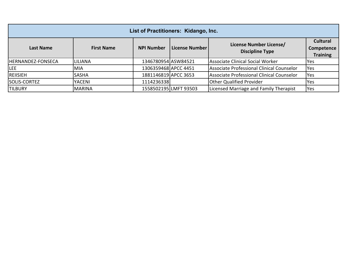| List of Practitioners: Kidango, Inc. |                   |                      |                       |                                                   |                                                  |  |
|--------------------------------------|-------------------|----------------------|-----------------------|---------------------------------------------------|--------------------------------------------------|--|
| Last Name                            | <b>First Name</b> | <b>NPI Number</b>    | License Number        | License Number License/<br><b>Discipline Type</b> | <b>Cultural</b><br>Competence<br><b>Training</b> |  |
| HERNANDEZ-FONSECA                    | <b>LILIANA</b>    | 1346780954 ASW84521  |                       | Associate Clinical Social Worker                  | Yes                                              |  |
| <b>LEE</b>                           | MIA               | 1306359468 APCC 4451 |                       | Associate Professional Clinical Counselor         | Yes                                              |  |
| <b>REIISIEH</b>                      | <b>SASHA</b>      | 1881146819 APCC 3653 |                       | Associate Professional Clinical Counselor         | Yes                                              |  |
| SOLIS-CORTEZ                         | <b>YACENI</b>     | 1114236338           |                       | <b>Other Qualified Provider</b>                   | Yes                                              |  |
| <b>TILBURY</b>                       | <b>MARINA</b>     |                      | 1558502195 LMFT 93503 | Licensed Marriage and Family Therapist            | Yes                                              |  |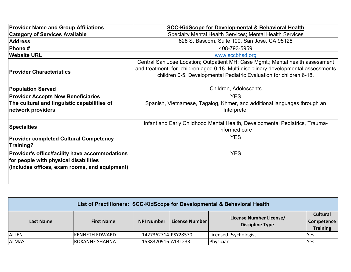| <b>Provider Name and Group Affiliations</b>                                                                                                     | <b>SCC-KidScope for Developmental &amp; Behavioral Health</b>                                                                                                                                                                               |
|-------------------------------------------------------------------------------------------------------------------------------------------------|---------------------------------------------------------------------------------------------------------------------------------------------------------------------------------------------------------------------------------------------|
| <b>Category of Services Available</b>                                                                                                           | Specialty Mental Health Services; Mental Health Services                                                                                                                                                                                    |
| <b>Address</b>                                                                                                                                  | 828 S. Bascom, Suite 100, San Jose, CA 95128                                                                                                                                                                                                |
| <b>Phone #</b>                                                                                                                                  | 408-793-5959                                                                                                                                                                                                                                |
| <b>Website URL</b>                                                                                                                              | www.sccbhsd.org                                                                                                                                                                                                                             |
| <b>Provider Characteristics</b>                                                                                                                 | Central San Jose Location; Outpatient MH; Case Mgmt.; Mental health assessment<br>and treatment for children aged 0-18. Multi-disciplinary developmental assessments<br>children 0-5. Developmental Pediatric Evaluation for children 6-18. |
| <b>Population Served</b>                                                                                                                        | Children, Adolescents                                                                                                                                                                                                                       |
| <b>Provider Accepts New Beneficiaries</b>                                                                                                       | <b>YES</b>                                                                                                                                                                                                                                  |
| The cultural and linguistic capabilities of<br>network providers                                                                                | Spanish, Vietnamese, Tagalog, Khmer, and additional languages through an<br>Interpreter                                                                                                                                                     |
| <b>Specialties</b>                                                                                                                              | Infant and Early Childhood Mental Health, Developmental Pediatrics, Trauma-<br>informed care                                                                                                                                                |
| <b>Provider completed Cultural Competency</b><br>Training?                                                                                      | <b>YES</b>                                                                                                                                                                                                                                  |
| <b>Provider's office/facility have accommodations</b><br>for people with physical disabilities<br>(includes offices, exam rooms, and equipment) | <b>YES</b>                                                                                                                                                                                                                                  |

| List of Practitioners: SCC-KidScope for Developmental & Behavioral Health |                       |                     |                |                                                   |                                                  |  |
|---------------------------------------------------------------------------|-----------------------|---------------------|----------------|---------------------------------------------------|--------------------------------------------------|--|
| Last Name                                                                 | <b>First Name</b>     | <b>NPI Number</b>   | License Number | License Number License/<br><b>Discipline Type</b> | <b>Cultural</b><br>Competence<br><b>Training</b> |  |
| <b>ALLEN</b>                                                              | <b>KENNETH EDWARD</b> | 1427362714 PSY28570 |                | Licensed Psychologist                             | <b>Yes</b>                                       |  |
| <b>ALMAS</b>                                                              | IROXANNE SHANNA       | 1538320916 A131233  |                | Physician                                         | <b>Yes</b>                                       |  |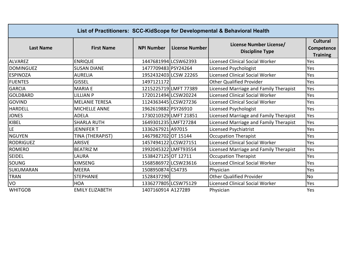|                  | List of Practitioners: SCC-KidScope for Developmental & Behavioral Health |                       |                       |                                                   |                                                  |  |  |
|------------------|---------------------------------------------------------------------------|-----------------------|-----------------------|---------------------------------------------------|--------------------------------------------------|--|--|
| <b>Last Name</b> | <b>First Name</b>                                                         | <b>NPI Number</b>     | <b>License Number</b> | License Number License/<br><b>Discipline Type</b> | <b>Cultural</b><br>Competence<br><b>Training</b> |  |  |
| <b>ALVAREZ</b>   | <b>ENRIQUE</b>                                                            | 1447681994 LCSW62393  |                       | <b>Licensed Clinical Social Worker</b>            | Yes                                              |  |  |
| <b>DOMINGUEZ</b> | <b>SUSAN DIANE</b>                                                        | 1477709483 PSY24264   |                       | Licensed Psychologist                             | Yes                                              |  |  |
| <b>ESPINOZA</b>  | <b>AURELIA</b>                                                            |                       | 1952432403 LCSW 22265 | <b>Licensed Clinical Social Worker</b>            | Yes                                              |  |  |
| <b>FUENTES</b>   | <b>GISSEL</b>                                                             | 1497121172            |                       | <b>Other Qualified Provider</b>                   | Yes                                              |  |  |
| <b>GARCIA</b>    | <b>MARIA E</b>                                                            | 1215225719 LMFT 77389 |                       | Licensed Marriage and Family Therapist            | Yes                                              |  |  |
| <b>GOLDBARD</b>  | <b>LILLIAN P</b>                                                          | 1720121494 LCSW20224  |                       | <b>Licensed Clinical Social Worker</b>            | Yes                                              |  |  |
| <b>GOVIND</b>    | <b>MELANIE TERESA</b>                                                     | 1124363445 LCSW27236  |                       | <b>Licensed Clinical Social Worker</b>            | Yes                                              |  |  |
| <b>HARDELL</b>   | MICHELLE ANNE                                                             | 1962619882 PSY26910   |                       | Licensed Psychologist                             | Yes                                              |  |  |
| <b>JONES</b>     | <b>ADELA</b>                                                              | 1730210329 LMFT 21851 |                       | Licensed Marriage and Family Therapist            | Yes                                              |  |  |
| <b>KIBEL</b>     | <b>SHARLA RUTH</b>                                                        | 1649301235 LMFT27284  |                       | Licensed Marriage and Family Therapist            | Yes                                              |  |  |
| LE               | <b>JENNIFER T</b>                                                         | 1336267921 A97015     |                       | Licensed Psychiatrist                             | Yes                                              |  |  |
| <b>NGUYEN</b>    | TINA (THERAPIST)                                                          | 1467982702 OT 15144   |                       | <b>Occupation Therapist</b>                       | Yes                                              |  |  |
| <b>RODRIGUEZ</b> | <b>ARISVE</b>                                                             | 1457494122 LCSW27151  |                       | <b>Licensed Clinical Social Worker</b>            | Yes                                              |  |  |
| ROMERO           | <b>BEATRIZ M</b>                                                          | 1992045322 LMFT93554  |                       | Licensed Marriage and Family Therapist            | Yes                                              |  |  |
| <b>SEIDEL</b>    | LAURA                                                                     | 1538427125 OT 12711   |                       | <b>Occupation Therapist</b>                       | Yes                                              |  |  |
| SOUNG            | <b>KIMSENG</b>                                                            | 1568586972 LCSW23616  |                       | <b>Licensed Clinical Social Worker</b>            | Yes                                              |  |  |
| SUKUMARAN        | <b>MEERA</b>                                                              | 1508950874 C54735     |                       | Physician                                         | Yes                                              |  |  |
| <b>TRAN</b>      | <b>STEPHANIE</b>                                                          | 1528437290            |                       | <b>Other Qualified Provider</b>                   | <b>No</b>                                        |  |  |
| VO               | <b>HOA</b>                                                                | 1336277805 LCSW75129  |                       | <b>Licensed Clinical Social Worker</b>            | Yes                                              |  |  |
| <b>WHITGOB</b>   | <b>EMILY ELIZABETH</b>                                                    | 1407160914 A127289    |                       | Physician                                         | Yes                                              |  |  |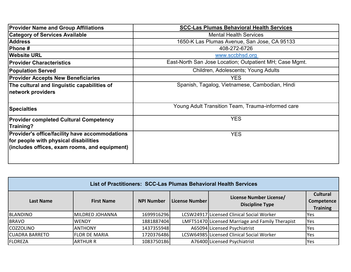| <b>Provider Name and Group Affiliations</b>                                                                                                     | <b>SCC-Las Plumas Behavioral Health Services</b>        |
|-------------------------------------------------------------------------------------------------------------------------------------------------|---------------------------------------------------------|
| <b>Category of Services Available</b>                                                                                                           | <b>Mental Health Services</b>                           |
| <b>Address</b>                                                                                                                                  | 1650-K Las Plumas Avenue, San Jose, CA 95133            |
| Phone#                                                                                                                                          | 408-272-6726                                            |
| <b>Website URL</b>                                                                                                                              | www.sccbhsd.org                                         |
| <b>Provider Characteristics</b>                                                                                                                 | East-North San Jose Location; Outpatient MH; Case Mgmt. |
| <b>Population Served</b>                                                                                                                        | Children, Adolescents; Young Adults                     |
| <b>Provider Accepts New Beneficiaries</b>                                                                                                       | <b>YES</b>                                              |
| The cultural and linguistic capabilities of<br>network providers                                                                                | Spanish, Tagalog, Vietnamese, Cambodian, Hindi          |
| <b>Specialties</b>                                                                                                                              | Young Adult Transition Team, Trauma-informed care       |
| <b>Provider completed Cultural Competency</b><br>Training?                                                                                      | <b>YES</b>                                              |
| <b>Provider's office/facility have accommodations</b><br>for people with physical disabilities<br>(includes offices, exam rooms, and equipment) | <b>YES</b>                                              |

| List of Practitioners: SCC-Las Plumas Behavioral Health Services |                      |                   |                |                                                   |                                                  |  |
|------------------------------------------------------------------|----------------------|-------------------|----------------|---------------------------------------------------|--------------------------------------------------|--|
| Last Name                                                        | <b>First Name</b>    | <b>NPI Number</b> | License Number | License Number License/<br><b>Discipline Type</b> | <b>Cultural</b><br>Competence<br><b>Training</b> |  |
| <b>BLANDINO</b>                                                  | MILDRED JOHANNA      | 1699916296        |                | LCSW24917 Licensed Clinical Social Worker         | Yes                                              |  |
| <b>BRAVO</b>                                                     | <b>WENDY</b>         | 1881887404        |                | LMFT51470 Licensed Marriage and Family Therapist  | Yes                                              |  |
| <b>COZZOLINO</b>                                                 | <b>ANTHONY</b>       | 1437355948        |                | A65094 Licensed Psychiatrist                      | Yes                                              |  |
| <b>CUADRA BARRETO</b>                                            | <b>FLOR DE MARIA</b> | 1720376486        |                | LCSW64985 Licensed Clinical Social Worker         | <b>Yes</b>                                       |  |
| <b>FLOREZA</b>                                                   | <b>ARTHUR R</b>      | 1083750186        |                | A76400 Licensed Psychiatrist                      | lYes                                             |  |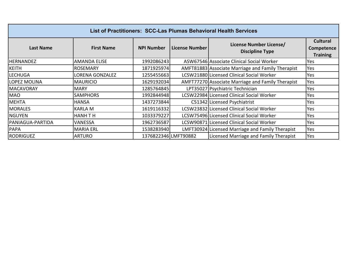| <b>List of Practitioners: SCC-Las Plumas Behavioral Health Services</b> |                     |                      |                       |                                                   |                                                  |  |
|-------------------------------------------------------------------------|---------------------|----------------------|-----------------------|---------------------------------------------------|--------------------------------------------------|--|
| <b>Last Name</b>                                                        | <b>First Name</b>   | <b>NPI Number</b>    | <b>License Number</b> | License Number License/<br><b>Discipline Type</b> | <b>Cultural</b><br>Competence<br><b>Training</b> |  |
| <b>HERNANDEZ</b>                                                        | <b>AMANDA ELISE</b> | 1992086243           |                       | ASW67546 Associate Clinical Social Worker         | Yes                                              |  |
| <b>KEITH</b>                                                            | <b>ROSEMARY</b>     | 1871925974           |                       | AMFT81883 Associate Marriage and Family Therapist | Yes                                              |  |
| <b>LECHUGA</b>                                                          | LORENA GONZALEZ     | 1255455663           |                       | LCSW21880 Licensed Clinical Social Worker         | Yes                                              |  |
| LOPEZ MOLINA                                                            | <b>MAURICIO</b>     | 1629192034           |                       | AMFT77270 Associate Marriage and Family Therapist | Yes                                              |  |
| <b>MACAVORAY</b>                                                        | <b>MARY</b>         | 1285764845           |                       | LPT35027 Psychiatric Technician                   | Yes                                              |  |
| <b>MAO</b>                                                              | <b>SAMPHORS</b>     | 1992844948           |                       | LCSW22984 Licensed Clinical Social Worker         | Yes                                              |  |
| <b>MEHTA</b>                                                            | <b>HANSA</b>        | 1437273844           |                       | C51342 Licensed Psychiatrist                      | Yes                                              |  |
| <b>MORALES</b>                                                          | <b>KARLA M</b>      | 1619116332           |                       | LCSW23832 Licensed Clinical Social Worker         | Yes                                              |  |
| <b>NGUYEN</b>                                                           | <b>HANH T H</b>     | 1033379227           |                       | LCSW75496 Licensed Clinical Social Worker         | Yes                                              |  |
| PANIAGUA-PARTIDA                                                        | VANESSA             | 1962736587           |                       | LCSW90871 Licensed Clinical Social Worker         | Yes                                              |  |
| <b>PAPA</b>                                                             | <b>MARIA ERL</b>    | 1538283940           |                       | LMFT30924 Licensed Marriage and Family Therapist  | Yes                                              |  |
| <b>RODRIGUEZ</b>                                                        | <b>ARTURO</b>       | 1376822346 LMFT90882 |                       | Licensed Marriage and Family Therapist            | Yes                                              |  |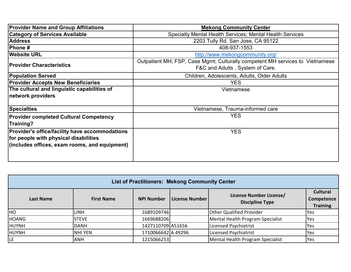| <b>Provider Name and Group Affiliations</b>           | <b>Mekong Community Center</b>                                                                                   |
|-------------------------------------------------------|------------------------------------------------------------------------------------------------------------------|
| <b>Category of Services Available</b>                 | Specialty Mental Health Services; Mental Health Services                                                         |
| <b>Address</b>                                        | 2203 Tully Rd. San Jose, CA 95122                                                                                |
| Phone#                                                | 408-937-1553                                                                                                     |
| <b>Website URL</b>                                    | http://www.mekongcommunity.org/                                                                                  |
| <b>Provider Characteristics</b>                       | Outpatient MH; FSP, Case Mgmt; Culturally competent MH services to Vietnamese<br>F&C and Adults, System of Care. |
| <b>Population Served</b>                              | Children, Adolescents, Adults, Older Adults                                                                      |
| <b>Provider Accepts New Beneficiaries</b>             | <b>YES</b>                                                                                                       |
| The cultural and linguistic capabilities of           | Vietnamese                                                                                                       |
| network providers                                     |                                                                                                                  |
| <b>Specialties</b>                                    | Vietnamese, Trauma-informed care                                                                                 |
| <b>Provider completed Cultural Competency</b>         | <b>YES</b>                                                                                                       |
| Training?                                             |                                                                                                                  |
| <b>Provider's office/facility have accommodations</b> | <b>YES</b>                                                                                                       |
| for people with physical disabilities                 |                                                                                                                  |
| (includes offices, exam rooms, and equipment)         |                                                                                                                  |
|                                                       |                                                                                                                  |

| <b>List of Practitioners: Mekong Community Center</b>                                                                                           |              |                    |  |                                  |            |  |
|-------------------------------------------------------------------------------------------------------------------------------------------------|--------------|--------------------|--|----------------------------------|------------|--|
| License Number License/<br><b>NPI Number</b><br>License Number<br>Competence<br><b>First Name</b><br><b>Last Name</b><br><b>Discipline Type</b> |              |                    |  |                                  |            |  |
| <b>HO</b>                                                                                                                                       | <b>LINH</b>  | 1689109746         |  | <b>Other Qualified Provider</b>  | Yes        |  |
| HOANG                                                                                                                                           | <b>STEVE</b> | 1669688206         |  | Mental Health Program Specialist | Yes        |  |
| <b>HUYNH</b>                                                                                                                                    | <b>DANH</b>  | 1427110709 A51656  |  | Licensed Psychiatrist            | <b>Yes</b> |  |
| <b>HUYNH</b>                                                                                                                                    | NHI YEN      | 1710066642 A 49296 |  | Licensed Psychiatrist            | Yes        |  |
| ILE.                                                                                                                                            | <b>ANH</b>   | 1215066253         |  | Mental Health Program Specialist | Yes        |  |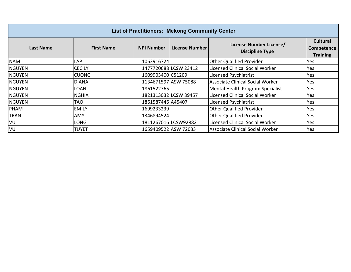| <b>List of Practitioners: Mekong Community Center</b> |                   |                      |                       |                                                   |                                                  |  |
|-------------------------------------------------------|-------------------|----------------------|-----------------------|---------------------------------------------------|--------------------------------------------------|--|
| Last Name                                             | <b>First Name</b> | <b>NPI Number</b>    | l License Number      | License Number License/<br><b>Discipline Type</b> | <b>Cultural</b><br>Competence<br><b>Training</b> |  |
| <b>NAM</b>                                            | LAP.              | 1063916724           |                       | <b>Other Qualified Provider</b>                   | Yes                                              |  |
| <b>NGUYEN</b>                                         | <b>CECILY</b>     |                      | 1477720688 LCSW 23412 | Licensed Clinical Social Worker                   | Yes                                              |  |
| <b>NGUYEN</b>                                         | <b>CUONG</b>      | 1609903400 C51209    |                       | Licensed Psychiatrist                             | Yes                                              |  |
| <b>NGUYEN</b>                                         | <b>DIANA</b>      | 1134671597 ASW 75088 |                       | Associate Clinical Social Worker                  | Yes                                              |  |
| <b>NGUYEN</b>                                         | LOAN              | 1861522765           |                       | Mental Health Program Specialist                  | Yes                                              |  |
| <b>NGUYEN</b>                                         | <b>NGHIA</b>      |                      | 1821313032 LCSW 89457 | Licensed Clinical Social Worker                   | Yes                                              |  |
| <b>NGUYEN</b>                                         | TAO               | 1861587446 A45407    |                       | Licensed Psychiatrist                             | Yes                                              |  |
| PHAM                                                  | <b>EMILY</b>      | 1699233239           |                       | Other Qualified Provider                          | Yes                                              |  |
| <b>TRAN</b>                                           | <b>AMY</b>        | 1346894524           |                       | <b>Other Qualified Provider</b>                   | Yes                                              |  |
| VU                                                    | LONG              | 1811267016 LCSW92882 |                       | <b>Licensed Clinical Social Worker</b>            | Yes                                              |  |
| VU                                                    | <b>TUYET</b>      | 1659409522 ASW 72033 |                       | <b>Associate Clinical Social Worker</b>           | Yes                                              |  |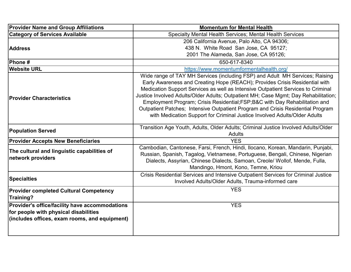| <b>Provider Name and Group Affiliations</b>                                                                                              | <b>Momentum for Mental Health</b>                                                                                                                                                                                                                                                                                                                                                                                                                                                                                                                                                      |
|------------------------------------------------------------------------------------------------------------------------------------------|----------------------------------------------------------------------------------------------------------------------------------------------------------------------------------------------------------------------------------------------------------------------------------------------------------------------------------------------------------------------------------------------------------------------------------------------------------------------------------------------------------------------------------------------------------------------------------------|
| <b>Category of Services Available</b>                                                                                                    | Specialty Mental Health Services; Mental Health Services                                                                                                                                                                                                                                                                                                                                                                                                                                                                                                                               |
|                                                                                                                                          | 206 California Avenue, Palo Alto, CA 94306;                                                                                                                                                                                                                                                                                                                                                                                                                                                                                                                                            |
| <b>Address</b>                                                                                                                           | 438 N. White Road San Jose, CA 95127;                                                                                                                                                                                                                                                                                                                                                                                                                                                                                                                                                  |
|                                                                                                                                          | 2001 The Alameda, San Jose, CA 95126;                                                                                                                                                                                                                                                                                                                                                                                                                                                                                                                                                  |
| Phone#                                                                                                                                   | 650-617-8340                                                                                                                                                                                                                                                                                                                                                                                                                                                                                                                                                                           |
| <b>Website URL</b>                                                                                                                       | https://www.momentumformentalhealth.org/                                                                                                                                                                                                                                                                                                                                                                                                                                                                                                                                               |
| <b>Provider Characteristics</b>                                                                                                          | Wide range of TAY MH Services (including FSP) and Adult MH Services; Raising<br>Early Awareness and Creating Hope (REACH); Provides Crisis Residential with<br>Medication Support Services as well as Intensive Outpatient Services to Criminal<br>Justice Involved Adults/Older Adults; Outpatient MH; Case Mgmt; Day Rehabilitation;<br>Employment Program; Crisis Residential; FSP; B&C with Day Rehabilitation and<br>Outpatient Patches; Intensive Outpatient Program and Crisis Residential Program<br>with Medication Support for Criminal Justice Involved Adults/Older Adults |
| <b>Population Served</b>                                                                                                                 | Transition Age Youth, Adults, Older Adults; Criminal Justice Involved Adults/Older<br><b>Adults</b>                                                                                                                                                                                                                                                                                                                                                                                                                                                                                    |
| <b>Provider Accepts New Beneficiaries</b>                                                                                                | <b>YES</b>                                                                                                                                                                                                                                                                                                                                                                                                                                                                                                                                                                             |
| The cultural and linguistic capabilities of<br>network providers                                                                         | Cambodian, Cantonese, Farsi, French, Hindi, Ilocano, Korean, Mandarin, Punjabi,<br>Russian, Spanish, Tagalog, Vietnamese, Portuguese, Bengali, Chinese, Nigerian<br>Dialects, Assyrian, Chinese Dialects, Samoan, Creole/ Wollof, Mende, Fulla,<br>Mandingo, Hmont, Kono, Temne, Kriou                                                                                                                                                                                                                                                                                                 |
| <b>Specialties</b>                                                                                                                       | Crisis Residential Services and Intensive Outpatient Services for Criminal Justice<br>Involved Adults/Older Adults, Trauma-informed care                                                                                                                                                                                                                                                                                                                                                                                                                                               |
| <b>Provider completed Cultural Competency</b><br>Training?                                                                               | <b>YES</b>                                                                                                                                                                                                                                                                                                                                                                                                                                                                                                                                                                             |
| Provider's office/facility have accommodations<br>for people with physical disabilities<br>(includes offices, exam rooms, and equipment) | <b>YES</b>                                                                                                                                                                                                                                                                                                                                                                                                                                                                                                                                                                             |
|                                                                                                                                          |                                                                                                                                                                                                                                                                                                                                                                                                                                                                                                                                                                                        |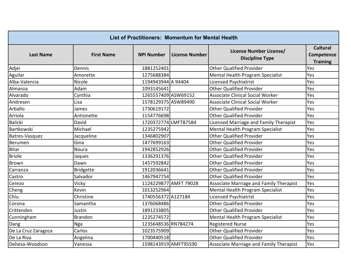|                     |                   |                      | <b>List of Practitioners: Momentum for Mental Health</b> |                                                   |                                                  |
|---------------------|-------------------|----------------------|----------------------------------------------------------|---------------------------------------------------|--------------------------------------------------|
| <b>Last Name</b>    | <b>First Name</b> | <b>NPI Number</b>    | <b>License Number</b>                                    | License Number License/<br><b>Discipline Type</b> | <b>Cultural</b><br>Competence<br><b>Training</b> |
| Adjei               | Dennis            | 1881252401           |                                                          | <b>Other Qualified Provider</b>                   | Yes                                              |
| Aguilar             | Amorette          | 1275688384           |                                                          | Mental Health Program Specialist                  | Yes                                              |
| Alba-Valencia       | Nicole            | 1194943944 A 94404   |                                                          | Licensed Psychiatrist                             | Yes                                              |
| Almanza             | Adam              | 1093145641           |                                                          | <b>Other Qualified Provider</b>                   | Yes                                              |
| Alvarado            | Cynthia           | 1265557409 ASW69152  |                                                          | <b>Associate Clinical Social Worker</b>           | Yes                                              |
| Andresen            | Lisa              | 1578129375 ASW89490  |                                                          | <b>Associate Clinical Social Worker</b>           | Yes                                              |
| Arballo             | James             | 1730619172           |                                                          | <b>Other Qualified Provider</b>                   | Yes                                              |
| Arriola             | Antionette        | 1154776698           |                                                          | <b>Other Qualified Provider</b>                   | Yes                                              |
| <b>Balicki</b>      | David             | 1720372774 LMFT87584 |                                                          | Licensed Marriage and Family Therapist            | Yes                                              |
| Bartkowski          | Michael           | 1235275942           |                                                          | Mental Health Program Specialist                  | Yes                                              |
| Batres-Vasquez      | Jacqueline        | 1346802907           |                                                          | <b>Other Qualified Provider</b>                   | Yes                                              |
| Berumen             | Gina              | 1477699163           |                                                          | <b>Other Qualified Provider</b>                   | Yes                                              |
| <b>Bitar</b>        | Noura             | 1942852926           |                                                          | <b>Other Qualified Provider</b>                   | Yes                                              |
| <b>Briole</b>       | Jaques            | 1336291376           |                                                          | <b>Other Qualified Provider</b>                   | Yes                                              |
| <b>Brown</b>        | Dawn              | 1457592842           |                                                          | <b>Other Qualified Provider</b>                   | Yes                                              |
| Carranza            | <b>Bridgette</b>  | 1912036641           |                                                          | <b>Other Qualified Provider</b>                   | Yes                                              |
| Castro              | Salvador          | 1467947754           |                                                          | <b>Other Qualified Provider</b>                   | Yes                                              |
| Cerezo              | Vicky             |                      | 1124229877 AMFT 79028                                    | Associate Marriage and Family Therapist           | Yes                                              |
| Cheng               | Kevin             | 1013252964           |                                                          | Mental Health Program Specialist                  | Yes                                              |
| Chiu                | Christine         | 1740556372 A127184   |                                                          | Licensed Psychiatrist                             | Yes                                              |
| Corona              | Samantha          | 1376068486           |                                                          | <b>Other Qualified Provider</b>                   | Yes                                              |
| Crittenden          | Justin            | 1891233805           |                                                          | <b>Other Qualified Provider</b>                   | Yes                                              |
| Cunningham          | <b>Brandon</b>    | 1235274572           |                                                          | Mental Health Program Specialist                  | Yes                                              |
| Dang                | Nga               | 1235648536 RN784274  |                                                          | <b>Registered Nurse</b>                           | Yes                                              |
| De La Cruz Zaragoza | Carlos            | 1023575909           |                                                          | <b>Other Qualified Provider</b>                   | Yes                                              |
| De La Riva          | Angelina          | 1700440518           |                                                          | <b>Other Qualified Provider</b>                   | Yes                                              |
| Dehesa-Woodson      | Vanessa           | 1598143919 AMFT95590 |                                                          | Associate Marriage and Family Therapist           | Yes                                              |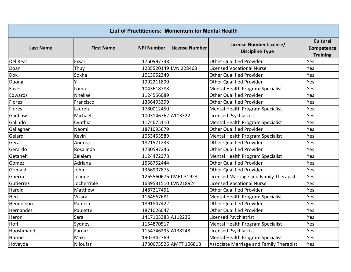| List of Practitioners: Momentum for Mental Health |                   |                       |                        |                                                   |                                                  |  |
|---------------------------------------------------|-------------------|-----------------------|------------------------|---------------------------------------------------|--------------------------------------------------|--|
| <b>Last Name</b>                                  | <b>First Name</b> | <b>NPI Number</b>     | <b>License Number</b>  | License Number License/<br><b>Discipline Type</b> | <b>Cultural</b><br>Competence<br><b>Training</b> |  |
| Del Real                                          | Exsar             | 1760997738            |                        | <b>Other Qualified Provider</b>                   | Yes                                              |  |
| Doan                                              | Thuy              | 1235520149 LVN 228468 |                        | <b>Licensed Vocational Nurse</b>                  | Yes                                              |  |
| Dok                                               | Sokha             | 1013052349            |                        | <b>Other Qualified Provider</b>                   | Yes                                              |  |
| Duong                                             |                   | 1992211890            |                        | <b>Other Qualified Provider</b>                   | Yes                                              |  |
| Eaves                                             | Loma              | 1043618788            |                        | Mental Health Program Specialist                  | Yes                                              |  |
| Edwards                                           | Nnekae            | 1124556089            |                        | <b>Other Qualified Provider</b>                   | Yes                                              |  |
| Flores                                            | Francisco         | 1356493399            |                        | <b>Other Qualified Provider</b>                   | Yes                                              |  |
| Flores                                            | Lauren            | 1780012450            |                        | Mental Health Program Specialist                  | Yes                                              |  |
| Gadbaw                                            | Michael           | 1003146762 A113322    |                        | Licensed Psychiatrist                             | Yes                                              |  |
| Galindo                                           | Cynthia           | 1174675110            |                        | Mental Health Program Specialist                  | Yes                                              |  |
| Gallagher                                         | Naomi             | 1871095679            |                        | <b>Other Qualified Provider</b>                   | Yes                                              |  |
| Gelardi                                           | Kevin             | 1053453589            |                        | Mental Health Program Specialist                  | Yes                                              |  |
| Gera                                              | Andrea            | 1821571233            |                        | <b>Other Qualified Provider</b>                   | Yes                                              |  |
| Gerardo                                           | Rosalinda         | 1730597246            |                        | <b>Other Qualified Provider</b>                   | Yes                                              |  |
| Getaneh                                           | Zelalem           | 1124472378            |                        | Mental Health Program Specialist                  | Yes                                              |  |
| Gomez                                             | Adriana           | 1558752444            |                        | <b>Other Qualified Provider</b>                   | Yes                                              |  |
| Grimaldi                                          | John              | 1366907875            |                        | <b>Other Qualified Provider</b>                   | Yes                                              |  |
| Guerra                                            | Jeanne            | 1265560676 LMFT 31923 |                        | Licensed Marriage and Family Therapist            | Yes                                              |  |
| Gutierrez                                         | Jocherrible       | 1639531510 LVN218924  |                        | <b>Licensed Vocational Nurse</b>                  | Yes                                              |  |
| Harold                                            | Matthew           | 1487217451            |                        | <b>Other Qualified Provider</b>                   | Yes                                              |  |
| Hen                                               | Visara            | 1164567681            |                        | Mental Health Program Specialist                  | Yes                                              |  |
| Henderson                                         | Pamela            | 1891847422            |                        | <b>Other Qualified Provider</b>                   | Yes                                              |  |
| Hernandez                                         | Paulette          | 1871026047            |                        | <b>Other Qualified Provider</b>                   | Yes                                              |  |
| Heron                                             | Sara              | 1417103383 A112236    |                        | Licensed Psychiatrist                             | Yes                                              |  |
| Hoff                                              | Sydney            | 1154870517            |                        | Mental Health Program Specialist                  | Yes                                              |  |
| Hooshmand                                         | Farnaz            | 1154746295 A138248    |                        | Licensed Psychiatrist                             | Yes                                              |  |
| Horibe                                            | Maki              | 1902342769            |                        | Mental Health Program Specialist                  | Yes                                              |  |
| Hoveyda                                           | Niloufar          |                       | 1730673526 AMFT 106818 | Associate Marriage and Family Therapist           | Yes                                              |  |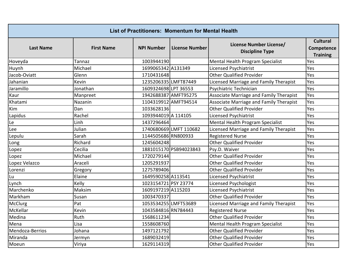| List of Practitioners: Momentum for Mental Health |                   |                      |                        |                                                   |                                                  |  |
|---------------------------------------------------|-------------------|----------------------|------------------------|---------------------------------------------------|--------------------------------------------------|--|
| <b>Last Name</b>                                  | <b>First Name</b> | <b>NPI Number</b>    | <b>License Number</b>  | License Number License/<br><b>Discipline Type</b> | <b>Cultural</b><br>Competence<br><b>Training</b> |  |
| Hoveyda                                           | <b>Tannaz</b>     | 1003944190           |                        | Mental Health Program Specialist                  | Yes                                              |  |
| Huynh                                             | Michael           | 1699065342 A131349   |                        | Licensed Psychiatrist                             | Yes                                              |  |
| Jacob-Oviatt                                      | Glenn             | 1710431648           |                        | Other Qualified Provider                          | Yes                                              |  |
| Jahanian                                          | Kevin             | 1235206335 LMFT87449 |                        | Licensed Marriage and Family Therapist            | Yes                                              |  |
| Jaramillo                                         | Jonathan          | 1609324698 LPT 36553 |                        | Psychiatric Technician                            | Yes                                              |  |
| Kaur                                              | Manpreet          | 1942688387 AMFT95275 |                        | Associate Marriage and Family Therapist           | Yes                                              |  |
| Khatami                                           | Nazanin           | 1104319912 AMFT94514 |                        | Associate Marriage and Family Therapist           | Yes                                              |  |
| Kim                                               | Dan               | 1033628136           |                        | <b>Other Qualified Provider</b>                   | Yes                                              |  |
| Lapidus                                           | Rachel            | 1093944019 A 114105  |                        | Licensed Psychiatrist                             | Yes                                              |  |
| Le                                                | Linh              | 1437296464           |                        | Mental Health Program Specialist                  | Yes                                              |  |
| Lee                                               | Julian            |                      | 1740680669 LMFT 110682 | Licensed Marriage and Family Therapist            | Yes                                              |  |
| Lepulu                                            | Sarah             | 1144505686 RN800933  |                        | <b>Registered Nurse</b>                           | Yes                                              |  |
| Long                                              | Richard           | 1245604248           |                        | <b>Other Qualified Provider</b>                   | Yes                                              |  |
| Lopez                                             | Cecilia           |                      | 1881015170 PSB94023843 | Psy.D. Waiver                                     | Yes                                              |  |
| Lopez                                             | Michael           | 1720279144           |                        | <b>Other Qualified Provider</b>                   | Yes                                              |  |
| Lopez Velazco                                     | Araceli           | 1205291937           |                        | <b>Other Qualified Provider</b>                   | Yes                                              |  |
| Lorenzi                                           | Gregory           | 1275789406           |                        | <b>Other Qualified Provider</b>                   | Yes                                              |  |
| Lu                                                | Elaine            | 1649590258 A113541   |                        | Licensed Psychiatrist                             | Yes                                              |  |
| Lynch                                             | Kelly             | 1023154721 PSY 23774 |                        | Licensed Psychologist                             | Yes                                              |  |
| Marchenko                                         | Maksim            | 1609197219 A115203   |                        | Licensed Psychiatrist                             | Yes                                              |  |
| Markham                                           | Susan             | 1003470337           |                        | <b>Other Qualified Provider</b>                   | Yes                                              |  |
| McClurg                                           | Pat               | 1053534255 LMFT53689 |                        | Licensed Marriage and Family Therapist            | Yes                                              |  |
| McKellar                                          | Kevin             | 1043584816 RN784443  |                        | <b>Registered Nurse</b>                           | Yes                                              |  |
| Medina                                            | Ruth              | 1568611234           |                        | Other Qualified Provider                          | Yes                                              |  |
| Mena                                              | Lisa              | 1558608760           |                        | Mental Health Program Specialist                  | Yes                                              |  |
| Mendoza-Berrios                                   | Johana            | 1497121792           |                        | <b>Other Qualified Provider</b>                   | Yes                                              |  |
| Miranda                                           | Jermyn            | 1689032419           |                        | <b>Other Qualified Provider</b>                   | Yes                                              |  |
| Moeun                                             | Viriya            | 1629114319           |                        | <b>Other Qualified Provider</b>                   | Yes                                              |  |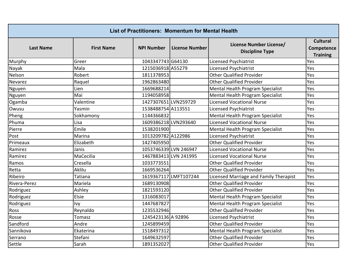| List of Practitioners: Momentum for Mental Health |                   |                       |                       |                                                   |                                                  |  |
|---------------------------------------------------|-------------------|-----------------------|-----------------------|---------------------------------------------------|--------------------------------------------------|--|
| <b>Last Name</b>                                  | <b>First Name</b> | <b>NPI Number</b>     | <b>License Number</b> | License Number License/<br><b>Discipline Type</b> | <b>Cultural</b><br>Competence<br><b>Training</b> |  |
| Murphy                                            | Greer             | 1043347743 G64130     |                       | Licensed Psychiatrist                             | Yes                                              |  |
| Nayak                                             | Mala              | 1215036918 A55279     |                       | Licensed Psychiatrist                             | Yes                                              |  |
| Nelson                                            | Robert            | 1811378953            |                       | <b>Other Qualified Provider</b>                   | Yes                                              |  |
| Nevarez                                           | Raquel            | 1962863480            |                       | <b>Other Qualified Provider</b>                   | Yes                                              |  |
| Nguyen                                            | Lien              | 1669688214            |                       | Mental Health Program Specialist                  | Yes                                              |  |
| Nguyen                                            | Mai               | 1194058958            |                       | Mental Health Program Specialist                  | Yes                                              |  |
| Ogamba                                            | Valentine         | 1427307651 LVN259729  |                       | <b>Licensed Vocational Nurse</b>                  | Yes                                              |  |
| Owusu                                             | Yasmin            | 1538488754 A113551    |                       | Licensed Psychiatrist                             | Yes                                              |  |
| Pheng                                             | Sokhamony         | 1144366832            |                       | Mental Health Program Specialist                  | Yes                                              |  |
| Phuma                                             | Lisa              | 1609386218LVN293640   |                       | <b>Licensed Vocational Nurse</b>                  | Yes                                              |  |
| Pierre                                            | Emile             | 1538201900            |                       | Mental Health Program Specialist                  | Yes                                              |  |
| Post                                              | Marina            | 1013209782 A122986    |                       | Licensed Psychiatrist                             | Yes                                              |  |
| Primeaux                                          | Elizabeth         | 1427405950            |                       | Other Qualified Provider                          | Yes                                              |  |
| Ramirez                                           | Janis             | 1053746339 LVN 246947 |                       | <b>Licensed Vocational Nurse</b>                  | Yes                                              |  |
| Ramirez                                           | MaCecilia         | 1467883413 LVN 241995 |                       | <b>Licensed Vocational Nurse</b>                  | Yes                                              |  |
| Ramos                                             | Cresella          | 1033773551            |                       | <b>Other Qualified Provider</b>                   | Yes                                              |  |
| Retta                                             | Aklilu            | 1669536264            |                       | Other Qualified Provider                          | Yes                                              |  |
| Ribeiro                                           | Tatiana           |                       | 1619367117 LMFT107244 | Licensed Marriage and Family Therapist            | Yes                                              |  |
| Rivera-Perez                                      | Mariela           | 1689130908            |                       | <b>Other Qualified Provider</b>                   | Yes                                              |  |
| Rodriguez                                         | Ashley            | 1821593120            |                       | <b>Other Qualified Provider</b>                   | Yes                                              |  |
| Rodriguez                                         | Elsie             | 1316083017            |                       | Mental Health Program Specialist                  | Yes                                              |  |
| Rodriguez                                         | Ivy               | 1447687827            |                       | Mental Health Program Specialist                  | Yes                                              |  |
| Ross                                              | Reynaldo          | 1235532946            |                       | <b>Other Qualified Provider</b>                   | Yes                                              |  |
| Rosse                                             | Tomasz            | 1245423136 A 92896    |                       | Licensed Psychiatrist                             | Yes                                              |  |
| Sandford                                          | Andre             | 1245899459            |                       | <b>Other Qualified Provider</b>                   | Yes                                              |  |
| Sannikova                                         | Ekaterina         | 1518497312            |                       | Mental Health Program Specialist                  | Yes                                              |  |
| Serrano                                           | Stefani           | 1649632597            |                       | <b>Other Qualified Provider</b>                   | Yes                                              |  |
| Settle                                            | Sarah             | 1891352027            |                       | <b>Other Qualified Provider</b>                   | Yes                                              |  |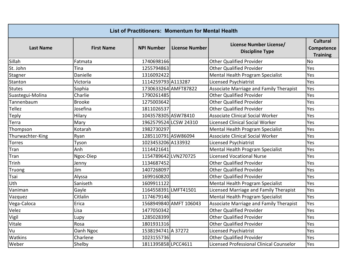| List of Practitioners: Momentum for Mental Health |                   |                      |                        |                                                   |                                                  |  |
|---------------------------------------------------|-------------------|----------------------|------------------------|---------------------------------------------------|--------------------------------------------------|--|
| <b>Last Name</b>                                  | <b>First Name</b> | <b>NPI Number</b>    | <b>License Number</b>  | License Number License/<br><b>Discipline Type</b> | <b>Cultural</b><br>Competence<br><b>Training</b> |  |
| Sillah                                            | Fatmata           | 1740698166           |                        | <b>Other Qualified Provider</b>                   | <b>No</b>                                        |  |
| St. John                                          | Tina              | 1255794863           |                        | <b>Other Qualified Provider</b>                   | Yes                                              |  |
| Stagner                                           | Danielle          | 1316092422           |                        | Mental Health Program Specialist                  | Yes                                              |  |
| Stanton                                           | Victoria          | 1114259793 A113287   |                        | Licensed Psychiatrist                             | Yes                                              |  |
| <b>Stutes</b>                                     | Sophia            | 1730633264 AMFT87822 |                        | Associate Marriage and Family Therapist           | Yes                                              |  |
| Suastegui-Molina                                  | Charlie           | 1790261485           |                        | <b>Other Qualified Provider</b>                   | Yes                                              |  |
| Tannenbaum                                        | <b>Brooke</b>     | 1275003642           |                        | <b>Other Qualified Provider</b>                   | Yes                                              |  |
| Tellez                                            | Josefina          | 1811026537           |                        | <b>Other Qualified Provider</b>                   | Yes                                              |  |
| <b>Teply</b>                                      | Hilary            | 1043578305 ASW78410  |                        | <b>Associate Clinical Social Worker</b>           | Yes                                              |  |
| Terra                                             | Mary              |                      | 1962579524 LCSW 24310  | <b>Licensed Clinical Social Worker</b>            | Yes                                              |  |
| Thompson                                          | Kotarah           | 1982730297           |                        | Mental Health Program Specialist                  | Yes                                              |  |
| Thurwachter-King                                  | Ryan              | 1285110791 ASW86094  |                        | Associate Clinical Social Worker                  | Yes                                              |  |
| Torres                                            | Tyson             | 1023453206 A133932   |                        | Licensed Psychiatrist                             | Yes                                              |  |
| Tran                                              | Anh               | 1114421641           |                        | Mental Health Program Specialist                  | Yes                                              |  |
| Tran                                              | Ngoc-Diep         | 1154789642 LVN270725 |                        | <b>Licensed Vocational Nurse</b>                  | Yes                                              |  |
| <b>Trinh</b>                                      | Jenny             | 1134687452           |                        | <b>Other Qualified Provider</b>                   | Yes                                              |  |
| Truong                                            | Jim               | 1407268097           |                        | <b>Other Qualified Provider</b>                   | Yes                                              |  |
| Tsai                                              | Alyssa            | 1699160820           |                        | <b>Other Qualified Provider</b>                   | Yes                                              |  |
| Uth                                               | Saniseth          | 1609911122           |                        | Mental Health Program Specialist                  | Yes                                              |  |
| Vaniman                                           | Gayle             | 1164558391 LMFT41501 |                        | Licensed Marriage and Family Therapist            | Yes                                              |  |
| Vazquez                                           | Citlalin          | 1174679146           |                        | Mental Health Program Specialist                  | Yes                                              |  |
| Vega-Caloca                                       | Erica             |                      | 1568949840 AMFT 106043 | Associate Marriage and Family Therapist           | Yes                                              |  |
| Velez                                             | Lisa              | 1477050342           |                        | <b>Other Qualified Provider</b>                   | Yes                                              |  |
| Vigil                                             | Lupy              | 1285028399           |                        | <b>Other Qualified Provider</b>                   | Yes                                              |  |
| Vitale                                            | Rosa              | 1801931316           |                        | <b>Other Qualified Provider</b>                   | Yes                                              |  |
| Vu                                                | Oanh Ngoc         | 1538194741 A 37272   |                        | Licensed Psychiatrist                             | Yes                                              |  |
| Watkins                                           | Charlene          | 1023155736           |                        | <b>Other Qualified Provider</b>                   | Yes                                              |  |
| Weber                                             | Shelby            | 1811395858 LPCC4611  |                        | Licensed Professional Clinical Counselor          | Yes                                              |  |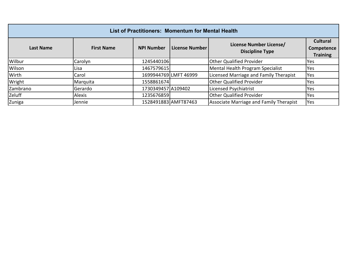| <b>List of Practitioners: Momentum for Mental Health</b> |                   |                      |                       |                                                   |                                                  |  |
|----------------------------------------------------------|-------------------|----------------------|-----------------------|---------------------------------------------------|--------------------------------------------------|--|
| <b>Last Name</b>                                         | <b>First Name</b> | <b>NPI Number</b>    | License Number        | License Number License/<br><b>Discipline Type</b> | <b>Cultural</b><br>Competence<br><b>Training</b> |  |
| Wilbur                                                   | Carolyn           | 1245440106           |                       | <b>Other Qualified Provider</b>                   | Yes                                              |  |
| Wilson                                                   | Lisa              | 1467579615           |                       | Mental Health Program Specialist                  | Yes                                              |  |
| Wirth                                                    | Carol             |                      | 1699944769 LMFT 46999 | Licensed Marriage and Family Therapist            | Yes                                              |  |
| Wright                                                   | Marquita          | 1558861674           |                       | <b>Other Qualified Provider</b>                   | Yes.                                             |  |
| Zambrano                                                 | Gerardo           | 1730349457 A109402   |                       | Licensed Psychiatrist                             | Yes                                              |  |
| Zeluff                                                   | Alexis            | 1235676859           |                       | <b>Other Qualified Provider</b>                   | Yes                                              |  |
| Zuniga                                                   | Jennie            | 1528491883 AMFT87463 |                       | <b>Associate Marriage and Family Therapist</b>    | Yes                                              |  |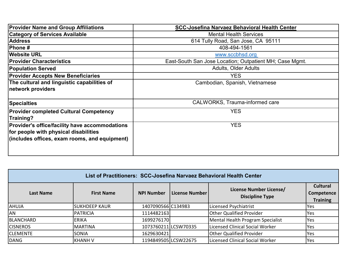| <b>Provider Name and Group Affiliations</b>           | <b>SCC-Josefina Narvaez Behavioral Health Center</b>    |
|-------------------------------------------------------|---------------------------------------------------------|
| <b>Category of Services Available</b>                 | <b>Mental Health Services</b>                           |
| <b>Address</b>                                        | 614 Tully Road, San Jose, CA 95111                      |
| Phone #                                               | 408-494-1561                                            |
| <b>Website URL</b>                                    | www.sccbhsd.org                                         |
| <b>Provider Characteristics</b>                       | East-South San Jose Location; Outpatient MH; Case Mgmt. |
| <b>Population Served</b>                              | <b>Adults, Older Adults</b>                             |
| <b>Provider Accepts New Beneficiaries</b>             | <b>YES</b>                                              |
| The cultural and linguistic capabilities of           | Cambodian, Spanish, Vietnamese                          |
| network providers                                     |                                                         |
|                                                       |                                                         |
| <b>Specialties</b>                                    | CALWORKS, Trauma-informed care                          |
| <b>Provider completed Cultural Competency</b>         | <b>YES</b>                                              |
| Training?                                             |                                                         |
| <b>Provider's office/facility have accommodations</b> | <b>YES</b>                                              |
| for people with physical disabilities                 |                                                         |
| $ $ (includes offices, exam rooms, and equipment)     |                                                         |
|                                                       |                                                         |
|                                                       |                                                         |

| List of Practitioners: SCC-Josefina Narvaez Behavioral Health Center |                      |                      |                |                                                   |                                                  |  |
|----------------------------------------------------------------------|----------------------|----------------------|----------------|---------------------------------------------------|--------------------------------------------------|--|
| Last Name                                                            | <b>First Name</b>    | <b>NPI Number</b>    | License Number | License Number License/<br><b>Discipline Type</b> | <b>Cultural</b><br>Competence<br><b>Training</b> |  |
| <b>AHUJA</b>                                                         | <b>SUKHDEEP KAUR</b> | 1407090566 C134983   |                | Licensed Psychiatrist                             | Yes                                              |  |
| <b>AN</b>                                                            | <b>PATRICIA</b>      | 1114482163           |                | <b>Other Qualified Provider</b>                   | Yes                                              |  |
| BLANCHARD                                                            | <b>ERIKA</b>         | 1699276170           |                | Mental Health Program Specialist                  | Yes                                              |  |
| <b>CISNEROS</b>                                                      | <b>MARTINA</b>       | 1073760211 LCSW70335 |                | Licensed Clinical Social Worker                   | Yes                                              |  |
| <b>CLEMENTE</b>                                                      | <b>SONIA</b>         | 1629630421           |                | <b>Other Qualified Provider</b>                   | Yes                                              |  |
| <b>DANG</b>                                                          | <b>KHANH V</b>       | 1194849505 LCSW22675 |                | Licensed Clinical Social Worker                   | Yes                                              |  |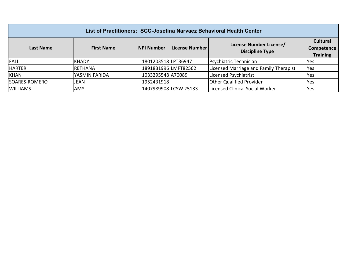| List of Practitioners: SCC-Josefina Narvaez Behavioral Health Center |                   |                      |                       |                                                   |                                                  |
|----------------------------------------------------------------------|-------------------|----------------------|-----------------------|---------------------------------------------------|--------------------------------------------------|
| <b>Last Name</b>                                                     | <b>First Name</b> | <b>NPI Number</b>    | License Number        | License Number License/<br><b>Discipline Type</b> | <b>Cultural</b><br>Competence<br><b>Training</b> |
| <b>FALL</b>                                                          | <b>KHADY</b>      | 1801203518 LPT36947  |                       | Psychiatric Technician                            | <b>Yes</b>                                       |
| <b>HARTER</b>                                                        | <b>RETHANA</b>    | 1891831996 LMFT82562 |                       | Licensed Marriage and Family Therapist            | <b>Yes</b>                                       |
| <b>KHAN</b>                                                          | YASMIN FARIDA     | 1033295548 A70089    |                       | Licensed Psychiatrist                             | <b>Yes</b>                                       |
| SOARES-ROMERO                                                        | <b>JEAN</b>       | 1952431918           |                       | <b>Other Qualified Provider</b>                   | <b>Yes</b>                                       |
| <b>WILLIAMS</b>                                                      | AMY               |                      | 1407989908 LCSW 25133 | <b>Licensed Clinical Social Worker</b>            | <b>Yes</b>                                       |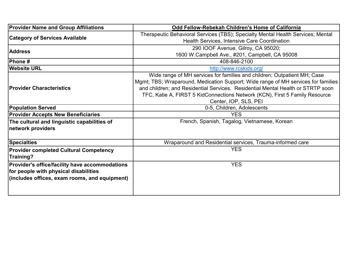| <b>Provider Name and Group Affiliations</b>    | Odd Fellow-Rebekah Children's Home of California                                  |  |  |  |  |
|------------------------------------------------|-----------------------------------------------------------------------------------|--|--|--|--|
|                                                | Therapeutic Behavioral Services (TBS); Specialty Mental Health Services; Mental   |  |  |  |  |
| <b>Category of Services Available</b>          | Health Services, Intensive Care Coordination                                      |  |  |  |  |
| <b>Address</b>                                 | 290 IOOF Avenue, Gilroy, CA 95020;                                                |  |  |  |  |
|                                                | 1600 W.Campbell Ave., #201, Campbell, CA 95008                                    |  |  |  |  |
| Phone#                                         | 408-846-2100                                                                      |  |  |  |  |
| <b>Website URL</b>                             | http://www.rcskids.org/                                                           |  |  |  |  |
|                                                | Wide range of MH services for families and children; Outpatient MH; Case          |  |  |  |  |
|                                                | Mgmt; TBS; Wraparound, Medication Support; Wide range of MH services for families |  |  |  |  |
| <b>Provider Characteristics</b>                | and children; and Residential Services. Residential Mental Health or STRTP soon   |  |  |  |  |
|                                                | TFC, Katie A, FIRST 5 KidConnections Network (KCN), First 5 Family Resource       |  |  |  |  |
|                                                | Center, IOP, SLS, PEI                                                             |  |  |  |  |
| <b>Population Served</b>                       | 0-5, Children, Adolescents                                                        |  |  |  |  |
| <b>Provider Accepts New Beneficiaries</b>      | <b>YES</b>                                                                        |  |  |  |  |
| The cultural and linguistic capabilities of    | French, Spanish, Tagalog, Vietnamese, Korean                                      |  |  |  |  |
| network providers                              |                                                                                   |  |  |  |  |
| <b>Specialties</b>                             | Wraparound and Residential services, Trauma-informed care                         |  |  |  |  |
| <b>Provider completed Cultural Competency</b>  | <b>YES</b>                                                                        |  |  |  |  |
| Training?                                      |                                                                                   |  |  |  |  |
| Provider's office/facility have accommodations | <b>YES</b>                                                                        |  |  |  |  |
| for people with physical disabilities          |                                                                                   |  |  |  |  |
| (includes offices, exam rooms, and equipment)  |                                                                                   |  |  |  |  |
|                                                |                                                                                   |  |  |  |  |
|                                                |                                                                                   |  |  |  |  |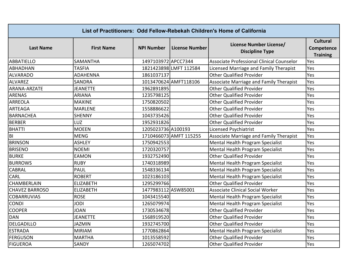| List of Practitioners: Odd Fellow-Rebekah Children's Home of California |                   |                     |                        |                                                   |                                                  |
|-------------------------------------------------------------------------|-------------------|---------------------|------------------------|---------------------------------------------------|--------------------------------------------------|
| <b>Last Name</b>                                                        | <b>First Name</b> | <b>NPI Number</b>   | <b>License Number</b>  | License Number License/<br><b>Discipline Type</b> | <b>Cultural</b><br>Competence<br><b>Training</b> |
| <b>ABBATIELLO</b>                                                       | <b>SAMANTHA</b>   | 1497103972 APCC7344 |                        | Associate Professional Clinical Counselor         | Yes                                              |
| <b>ABHADHAN</b>                                                         | <b>TASFIA</b>     |                     | 1821423898 LMFT 112584 | Licensed Marriage and Family Therapist            | Yes                                              |
| <b>ALVARADO</b>                                                         | <b>ADAHENNA</b>   | 1861037137          |                        | <b>Other Qualified Provider</b>                   | Yes                                              |
| <b>ALVAREZ</b>                                                          | <b>SANDRA</b>     |                     | 1013470624 AMFT118106  | Associate Marriage and Family Therapist           | Yes                                              |
| ARANA-ARZATE                                                            | <b>JEANETTE</b>   | 1962891895          |                        | <b>Other Qualified Provider</b>                   | Yes                                              |
| <b>ARENAS</b>                                                           | <b>ARIANA</b>     | 1235798125          |                        | <b>Other Qualified Provider</b>                   | Yes                                              |
| <b>ARREOLA</b>                                                          | <b>MAXINE</b>     | 1750820502          |                        | <b>Other Qualified Provider</b>                   | Yes                                              |
| <b>ARTEAGA</b>                                                          | <b>MARLENE</b>    | 1558886622          |                        | <b>Other Qualified Provider</b>                   | Yes                                              |
| <b>BARNACHEA</b>                                                        | <b>SHENNY</b>     | 1043735426          |                        | <b>Other Qualified Provider</b>                   | Yes                                              |
| <b>BERBER</b>                                                           | LUZ               | 1952931826          |                        | <b>Other Qualified Provider</b>                   | Yes                                              |
| <b>BHATTI</b>                                                           | <b>MOEEN</b>      | 1205023736 A100193  |                        | Licensed Psychiatrist                             | Yes                                              |
| B <sub>l</sub>                                                          | <b>MENG</b>       |                     | 1710466073 AMFT 115255 | Associate Marriage and Family Therapist           | Yes                                              |
| <b>BRINSON</b>                                                          | <b>ASHLEY</b>     | 1750942553          |                        | Mental Health Program Specialist                  | Yes                                              |
| <b>BRISENO</b>                                                          | <b>NOEMI</b>      | 1720320757          |                        | Mental Health Program Specialist                  | Yes                                              |
| <b>BURKE</b>                                                            | <b>EAMON</b>      | 1932752490          |                        | <b>Other Qualified Provider</b>                   | Yes                                              |
| <b>BURROWS</b>                                                          | <b>RUBY</b>       | 1740318989          |                        | Mental Health Program Specialist                  | Yes                                              |
| <b>CABRAL</b>                                                           | <b>PAUL</b>       | 1548336134          |                        | Mental Health Program Specialist                  | Yes                                              |
| <b>CARL</b>                                                             | <b>ROBERT</b>     | 1023186103          |                        | Mental Health Program Specialist                  | Yes                                              |
| CHAMBERLAIN                                                             | <b>ELIZABETH</b>  | 1295299766          |                        | <b>Other Qualified Provider</b>                   | Yes                                              |
| <b>CHAVEZ BARROSO</b>                                                   | <b>ELIZABETH</b>  | 1477983112 ASW85001 |                        | <b>Associate Clinical Social Worker</b>           | Yes                                              |
| <b>COBARRUVIAS</b>                                                      | <b>ROSE</b>       | 1043415540          |                        | Mental Health Program Specialist                  | Yes                                              |
| <b>CONDI</b>                                                            | <b>JODI</b>       | 1265079974          |                        | Mental Health Program Specialist                  | Yes                                              |
| <b>COOPER</b>                                                           | <b>JOAN</b>       | 1730534678          |                        | <b>Other Qualified Provider</b>                   | Yes                                              |
| <b>DAN</b>                                                              | <b>JEANETTE</b>   | 1568919520          |                        | <b>Other Qualified Provider</b>                   | Yes                                              |
| <b>DELGADILLO</b>                                                       | <b>JAZMIN</b>     | 1932745700          |                        | <b>Other Qualified Provider</b>                   | Yes                                              |
| <b>ESTRADA</b>                                                          | <b>MIRIAM</b>     | 1770862864          |                        | Mental Health Program Specialist                  | Yes                                              |
| <b>FERGUSON</b>                                                         | <b>MARTHA</b>     | 1013558592          |                        | <b>Other Qualified Provider</b>                   | Yes                                              |
| <b>FIGUEROA</b>                                                         | SANDY             | 1265074702          |                        | <b>Other Qualified Provider</b>                   | Yes                                              |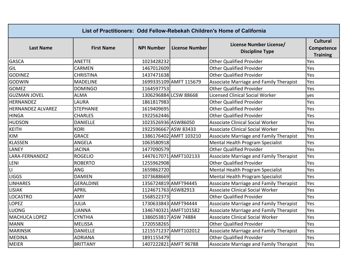| List of Practitioners: Odd Fellow-Rebekah Children's Home of California |                   |                      |                        |                                                   |                                                  |
|-------------------------------------------------------------------------|-------------------|----------------------|------------------------|---------------------------------------------------|--------------------------------------------------|
| <b>Last Name</b>                                                        | <b>First Name</b> | <b>NPI Number</b>    | <b>License Number</b>  | License Number License/<br><b>Discipline Type</b> | <b>Cultural</b><br>Competence<br><b>Training</b> |
| <b>GASCA</b>                                                            | <b>ANETTE</b>     | 1023428232           |                        | <b>Other Qualified Provider</b>                   | Yes                                              |
| GIL                                                                     | CARMEN            | 1467012609           |                        | <b>Other Qualified Provider</b>                   | Yes                                              |
| <b>GODINEZ</b>                                                          | <b>CHRISTINA</b>  | 1437471638           |                        | <b>Other Qualified Provider</b>                   | Yes                                              |
| <b>GODWIN</b>                                                           | <b>MADELINE</b>   |                      | 1699335109 AMFT 115679 | Associate Marriage and Family Therapist           | Yes                                              |
| <b>GOMEZ</b>                                                            | <b>DOMINGO</b>    | 1164597753           |                        | <b>Other Qualified Provider</b>                   | Yes                                              |
| <b>GUZMAN JOVEL</b>                                                     | <b>ALMA</b>       |                      | 1306296884 LCSW 88668  | <b>Licensed Clinical Social Worker</b>            | yes                                              |
| HERNANDEZ                                                               | LAURA             | 1861817983           |                        | <b>Other Qualified Provider</b>                   | Yes                                              |
| <b>HERNANDEZ ALVAREZ</b>                                                | <b>STEPHANIE</b>  | 1619409695           |                        | <b>Other Qualified Provider</b>                   | Yes                                              |
| <b>HINGA</b>                                                            | <b>CHARLES</b>    | 1922562446           |                        | <b>Other Qualified Provider</b>                   | Yes                                              |
| <b>HUDSON</b>                                                           | <b>DANIELLE</b>   | 1023526936 ASW86050  |                        | <b>Associate Clinical Social Worker</b>           | Yes                                              |
| <b>KEITH</b>                                                            | <b>KORI</b>       | 1922596667 ASW 83433 |                        | <b>Associate Clinical Social Worker</b>           | Yes                                              |
| <b>KIM</b>                                                              | <b>GRACE</b>      |                      | 1386176402 AMFT 103210 | Associate Marriage and Family Therapist           | Yes                                              |
| <b>KLASSEN</b>                                                          | <b>ANGELA</b>     | 1063580918           |                        | Mental Health Program Specialist                  | Yes                                              |
| LANEY                                                                   | <b>JACINA</b>     | 1477090579           |                        | <b>Other Qualified Provider</b>                   | Yes                                              |
| LARA-FERNANDEZ                                                          | <b>ROGELIO</b>    |                      | 1447617071 AMFT102133  | Associate Marriage and Family Therapist           | Yes                                              |
| LENI                                                                    | <b>ROBERTO</b>    | 1255962908           |                        | <b>Other Qualified Provider</b>                   | Yes                                              |
| $\overline{\mathsf{L}}$                                                 | <b>ANG</b>        | 1659862720           |                        | Mental Health Program Specialist                  | Yes                                              |
| <b>LIGGS</b>                                                            | <b>DAMIEN</b>     | 1073688669           |                        | Mental Health Program Specialist                  | Yes                                              |
| <b>LINHARES</b>                                                         | <b>GERALDINE</b>  | 1356724819 AMFT94445 |                        | Associate Marriage and Family Therapist           | Yes                                              |
| <b>LISIAK</b>                                                           | <b>APRIL</b>      | 1124671763 ASW82913  |                        | <b>Associate Clinical Social Worker</b>           | Yes                                              |
| <b>LOCASTRO</b>                                                         | <b>AMY</b>        | 1568522373           |                        | <b>Other Qualified Provider</b>                   | Yes                                              |
| LOPEZ                                                                   | <b>JULIA</b>      | 1730633843 AMFT94444 |                        | Associate Marriage and Family Therapist           | Yes                                              |
| <b>LUONG</b>                                                            | <b>LIANNA</b>     |                      | 1346740321 AMFT101582  | Associate Marriage and Family Therapist           | Yes                                              |
| <b>MACHUCA LOPEZ</b>                                                    | <b>CYNTHIA</b>    | 1386053817 ASW 74884 |                        | <b>Associate Clinical Social Worker</b>           | Yes                                              |
| <b>MANN</b>                                                             | <b>MELISSA</b>    | 1720558265           |                        | <b>Other Qualified Provider</b>                   | Yes                                              |
| <b>MARINSIK</b>                                                         | <b>DANIELLE</b>   |                      | 1215571237 AMFT102012  | Associate Marriage and Family Therapist           | Yes                                              |
| <b>MEDINA</b>                                                           | <b>ADRIANA</b>    | 1891155479           |                        | <b>Other Qualified Provider</b>                   | Yes                                              |
| <b>MEIER</b>                                                            | <b>BRITTANY</b>   |                      | 1407222821 AMFT 96788  | Associate Marriage and Family Therapist           | Yes                                              |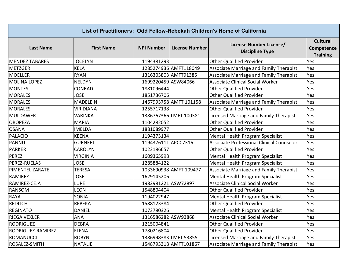| List of Practitioners: Odd Fellow-Rebekah Children's Home of California |                   |                      |                        |                                                   |                                                  |
|-------------------------------------------------------------------------|-------------------|----------------------|------------------------|---------------------------------------------------|--------------------------------------------------|
| <b>Last Name</b>                                                        | <b>First Name</b> | <b>NPI Number</b>    | <b>License Number</b>  | License Number License/<br><b>Discipline Type</b> | <b>Cultural</b><br>Competence<br><b>Training</b> |
| <b>MENDEZ TABARES</b>                                                   | <b>JOCELYN</b>    | 1194381293           |                        | Other Qualified Provider                          | Yes                                              |
| <b>METZGER</b>                                                          | <b>KELA</b>       |                      | 1285274936 AMFT118049  | Associate Marriage and Family Therapist           | Yes                                              |
| <b>MOELLER</b>                                                          | <b>RYAN</b>       | 1316303803 AMFT91385 |                        | Associate Marriage and Family Therapist           | Yes                                              |
| <b>MOLINA LOPEZ</b>                                                     | <b>NELDYN</b>     | 1699220459 ASW84066  |                        | <b>Associate Clinical Social Worker</b>           | Yes                                              |
| <b>MONTES</b>                                                           | <b>CONRAD</b>     | 1881096444           |                        | <b>Other Qualified Provider</b>                   | Yes                                              |
| <b>MORALES</b>                                                          | <b>JOSE</b>       | 1851736706           |                        | <b>Other Qualified Provider</b>                   | Yes                                              |
| <b>MORALES</b>                                                          | <b>MADELEIN</b>   |                      | 1467993758 AMFT 101158 | Associate Marriage and Family Therapist           | Yes                                              |
| <b>MORALES</b>                                                          | <b>VIRIDIANA</b>  | 1255717138           |                        | <b>Other Qualified Provider</b>                   | Yes                                              |
| <b>MULDAWER</b>                                                         | <b>VARINKA</b>    |                      | 1386767366 LMFT 100381 | Licensed Marriage and Family Therapist            | Yes                                              |
| <b>OROPEZA</b>                                                          | <b>MARIA</b>      | 1104282052           |                        | <b>Other Qualified Provider</b>                   | Yes                                              |
| <b>OSANA</b>                                                            | <b>IMELDA</b>     | 1881089977           |                        | <b>Other Qualified Provider</b>                   | Yes                                              |
| <b>PALACIO</b>                                                          | <b>KEENA</b>      | 1194373134           |                        | Mental Health Program Specialist                  | Yes                                              |
| PANNU                                                                   | <b>GURNEET</b>    | 1194376111 APCC7316  |                        | Associate Professional Clinical Counselor         | Yes                                              |
| <b>PARKER</b>                                                           | <b>CAROLYN</b>    | 1023186657           |                        | <b>Other Qualified Provider</b>                   | Yes                                              |
| <b>PEREZ</b>                                                            | <b>VIRGINIA</b>   | 1609365998           |                        | Mental Health Program Specialist                  | Yes                                              |
| PEREZ-RUELAS                                                            | <b>JOSE</b>       | 1285884122           |                        | Mental Health Program Specialist                  | Yes                                              |
| PIMENTEL ZARATE                                                         | <b>TERESA</b>     |                      | 1033690938 AMFT 109477 | Associate Marriage and Family Therapist           | Yes                                              |
| RAMIREZ                                                                 | <b>JOSE</b>       | 1629145206           |                        | Mental Health Program Specialist                  | Yes                                              |
| RAMIREZ-CEJA                                                            | <b>LUPE</b>       | 1982981221 ASW72897  |                        | <b>Associate Clinical Social Worker</b>           | Yes                                              |
| <b>RANSOM</b>                                                           | <b>LEON</b>       | 1548804404           |                        | <b>Other Qualified Provider</b>                   | Yes                                              |
| <b>RAYA</b>                                                             | SONIA             | 1194022947           |                        | Mental Health Program Specialist                  | Yes                                              |
| <b>REDLICH</b>                                                          | <b>REBEKA</b>     | 1588123384           |                        | <b>Other Qualified Provider</b>                   | Yes                                              |
| <b>REGINATO</b>                                                         | <b>DANIEL</b>     | 1073780326           |                        | Mental Health Program Specialist                  | Yes                                              |
| <b>RIEGA VEXLER</b>                                                     | <b>ANA</b>        | 1316586282 ASW93868  |                        | <b>Associate Clinical Social Worker</b>           | Yes                                              |
| <b>RODRIGUEZ</b>                                                        | <b>DEBRA</b>      | 1215004841           |                        | <b>Other Qualified Provider</b>                   | Yes                                              |
| RODRIGUEZ-RAMIREZ                                                       | <b>ELENA</b>      | 1780216804           |                        | <b>Other Qualified Provider</b>                   | Yes                                              |
| <b>ROMANUCCI</b>                                                        | <b>ROBYN</b>      |                      | 1386998383 LMFT 53855  | Licensed Marriage and Family Therapist            | Yes                                              |
| ROSALEZ-SMITH                                                           | <b>NATALIE</b>    |                      | 1548793318 AMFT101867  | Associate Marriage and Family Therapist           | Yes                                              |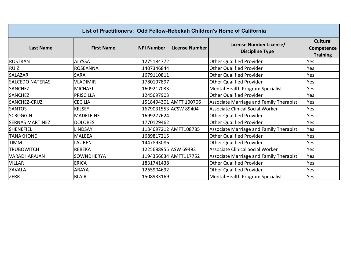| List of Practitioners: Odd Fellow-Rebekah Children's Home of California |                   |                      |                        |                                                   |                                                  |
|-------------------------------------------------------------------------|-------------------|----------------------|------------------------|---------------------------------------------------|--------------------------------------------------|
| <b>Last Name</b>                                                        | <b>First Name</b> | <b>NPI Number</b>    | <b>License Number</b>  | License Number License/<br><b>Discipline Type</b> | <b>Cultural</b><br>Competence<br><b>Training</b> |
| <b>ROSTRAN</b>                                                          | <b>ALYSSA</b>     | 1275184772           |                        | <b>Other Qualified Provider</b>                   | Yes                                              |
| <b>RUIZ</b>                                                             | <b>ROSEANNA</b>   | 1407346844           |                        | <b>Other Qualified Provider</b>                   | Yes                                              |
| SALAZAR                                                                 | <b>SARA</b>       | 1679110811           |                        | <b>Other Qualified Provider</b>                   | Yes                                              |
| <b>SALCEDO NATERAS</b>                                                  | <b>VLADIMIR</b>   | 1780197897           |                        | <b>Other Qualified Provider</b>                   | Yes                                              |
| SANCHEZ                                                                 | <b>MICHAEL</b>    | 1609217033           |                        | Mental Health Program Specialist                  | Yes                                              |
| <b>SANCHEZ</b>                                                          | <b>PRISCILLA</b>  | 1245697903           |                        | <b>Other Qualified Provider</b>                   | Yes                                              |
| SANCHEZ-CRUZ                                                            | <b>CECILIA</b>    |                      | 1518494301 AMFT 100706 | Associate Marriage and Family Therapist           | Yes                                              |
| <b>SANTOS</b>                                                           | <b>KELSEY</b>     |                      | 1679031553 ACSW 89404  | <b>Associate Clinical Social Worker</b>           | Yes                                              |
| <b>SCROGGIN</b>                                                         | <b>MADELEINE</b>  | 1699277624           |                        | <b>Other Qualified Provider</b>                   | Yes                                              |
| <b>SERNAS MARTINEZ</b>                                                  | <b>DOLORES</b>    | 1770129462           |                        | <b>Other Qualified Provider</b>                   | Yes                                              |
| <b>SHENEFIEL</b>                                                        | <b>LINDSAY</b>    |                      | 1134697212 AMFT108785  | Associate Marriage and Family Therapist           | Yes                                              |
| <b>TANAKHONE</b>                                                        | <b>MALEEA</b>     | 1689817215           |                        | <b>Other Qualified Provider</b>                   | Yes                                              |
| <b>TIMM</b>                                                             | LAUREN            | 1447893086           |                        | <b>Other Qualified Provider</b>                   | Yes                                              |
| <b>TRUBOWITCH</b>                                                       | <b>REBEKA</b>     | 1225688955 ASW 69493 |                        | <b>Associate Clinical Social Worker</b>           | Yes                                              |
| VARADHARAJAN                                                            | SOWNDHERYA        |                      | 1194356634 AMFT117752  | Associate Marriage and Family Therapist           | Yes                                              |
| <b>VILLAR</b>                                                           | <b>ERICA</b>      | 1831741438           |                        | <b>Other Qualified Provider</b>                   | Yes                                              |
| ZAVALA                                                                  | <b>ARAYA</b>      | 1265904692           |                        | <b>Other Qualified Provider</b>                   | Yes                                              |
| ZERR                                                                    | <b>BLAIR</b>      | 1508933169           |                        | Mental Health Program Specialist                  | Yes                                              |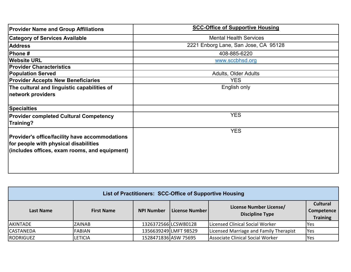| <b>Provider Name and Group Affiliations</b>                                                                                                     | <b>SCC-Office of Supportive Housing</b> |
|-------------------------------------------------------------------------------------------------------------------------------------------------|-----------------------------------------|
| <b>Category of Services Available</b>                                                                                                           | <b>Mental Health Services</b>           |
| <b>Address</b>                                                                                                                                  | 2221 Enborg Lane, San Jose, CA 95128    |
| Phone#                                                                                                                                          | 408-885-6220                            |
| <b>Website URL</b>                                                                                                                              | www.sccbhsd.org                         |
| <b>Provider Characteristics</b>                                                                                                                 |                                         |
| <b>Population Served</b>                                                                                                                        | <b>Adults, Older Adults</b>             |
| <b>Provider Accepts New Beneficiaries</b>                                                                                                       | <b>YES</b>                              |
| The cultural and linguistic capabilities of                                                                                                     | English only                            |
| network providers                                                                                                                               |                                         |
| <b>Specialties</b>                                                                                                                              |                                         |
| <b>Provider completed Cultural Competency</b><br>Training?                                                                                      | <b>YES</b>                              |
| <b>Provider's office/facility have accommodations</b><br>for people with physical disabilities<br>(includes offices, exam rooms, and equipment) | <b>YES</b>                              |

| List of Practitioners: SCC-Office of Supportive Housing |                   |                      |                       |                                                   |                                                  |
|---------------------------------------------------------|-------------------|----------------------|-----------------------|---------------------------------------------------|--------------------------------------------------|
| Last Name                                               | <b>First Name</b> | <b>NPI Number</b>    | License Number        | License Number License/<br><b>Discipline Type</b> | <b>Cultural</b><br>Competence<br><b>Training</b> |
| <b>AKINTADE</b>                                         | <b>ZAINAB</b>     | 1326372566 LCSW80128 |                       | Licensed Clinical Social Worker                   | IYes                                             |
| <b>CASTANEDA</b>                                        | <b>FABIAN</b>     |                      | 1356639249 LMFT 98529 | Licensed Marriage and Family Therapist            | <b>Yes</b>                                       |
| <b>RODRIGUEZ</b>                                        | <b>LETICIA</b>    | 1528471836 ASW 75695 |                       | Associate Clinical Social Worker                  | <b>Yes</b>                                       |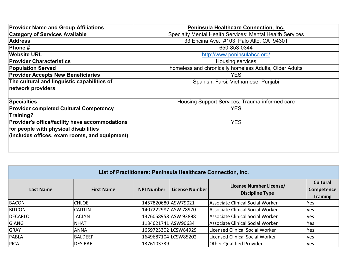| <b>Provider Name and Group Affiliations</b>           | Peninsula Healthcare Connection, Inc.                    |
|-------------------------------------------------------|----------------------------------------------------------|
| <b>Category of Services Available</b>                 | Specialty Mental Health Services; Mental Health Services |
| <b>Address</b>                                        | 33 Encina Ave., #103, Palo Alto, CA 94301                |
| Phone#                                                | 650-853-0344                                             |
| <b>Website URL</b>                                    | http://www.peninsulahcc.org/                             |
| <b>Provider Characteristics</b>                       | <b>Housing services</b>                                  |
| <b>Population Served</b>                              | homeless and chronically homeless Adults, Older Adults   |
| <b>Provider Accepts New Beneficiaries</b>             | <b>YES</b>                                               |
| The cultural and linguistic capabilities of           | Spanish, Farsi, Vietnamese, Punjabi                      |
| network providers                                     |                                                          |
|                                                       |                                                          |
| <b>Specialties</b>                                    | Housing Support Services, Trauma-informed care           |
| <b>Provider completed Cultural Competency</b>         | <b>YES</b>                                               |
| Training?                                             |                                                          |
| <b>Provider's office/facility have accommodations</b> | <b>YES</b>                                               |
| for people with physical disabilities                 |                                                          |
| $ $ (includes offices, exam rooms, and equipment)     |                                                          |
|                                                       |                                                          |
|                                                       |                                                          |

| List of Practitioners: Peninsula Healthcare Connection, Inc. |                   |                      |                      |                                                   |                                                  |
|--------------------------------------------------------------|-------------------|----------------------|----------------------|---------------------------------------------------|--------------------------------------------------|
| <b>Last Name</b>                                             | <b>First Name</b> | <b>NPI Number</b>    | License Number       | License Number License/<br><b>Discipline Type</b> | <b>Cultural</b><br>Competence<br><b>Training</b> |
| <b>BACON</b>                                                 | <b>CHLOE</b>      | 1457820680 ASW79021  |                      | Associate Clinical Social Worker                  | Yes                                              |
| <b>BITCON</b>                                                | <b>CAITLIN</b>    | 1407222987 ASW 78970 |                      | Associate Clinical Social Worker                  | yes                                              |
| <b>DECARLO</b>                                               | <b>JACLYN</b>     | 1376058958 ASW 93898 |                      | Associate Clinical Social Worker                  | yes                                              |
| <b>GIANG</b>                                                 | <b>NHAT</b>       | 1134621741 ASW90634  |                      | Associate Clinical Social Worker                  | Yes                                              |
| <b>GRAY</b>                                                  | <b>ANNA</b>       |                      | 1659723302 LCSW84929 | Licensed Clinical Social Worker                   | Yes                                              |
| <b>PABLA</b>                                                 | <b>BALDEEP</b>    |                      | 1649687104 LCSW85202 | Licensed Clinical Social Worker                   | yes                                              |
| PICA                                                         | <b>DESIRAE</b>    | 1376103739           |                      | <b>Other Qualified Provider</b>                   | yes                                              |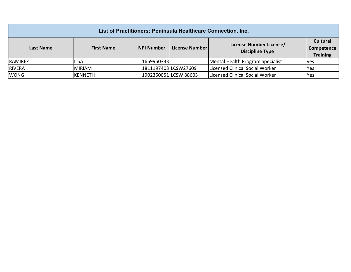| List of Practitioners: Peninsula Healthcare Connection, Inc. |                   |                      |                       |                                                   |                                                  |
|--------------------------------------------------------------|-------------------|----------------------|-----------------------|---------------------------------------------------|--------------------------------------------------|
| Last Name                                                    | <b>First Name</b> | <b>NPI Number</b>    | License Number        | License Number License/<br><b>Discipline Type</b> | <b>Cultural</b><br>Competence<br><b>Training</b> |
| <b>RAMIREZ</b>                                               | <b>LISA</b>       | 1669950333           |                       | Mental Health Program Specialist                  | yes                                              |
| <b>RIVERA</b>                                                | <b>MIRIAM</b>     | 1811197403 LCSW27609 |                       | Licensed Clinical Social Worker                   | <b>Yes</b>                                       |
| <b>WONG</b>                                                  | <b>IKENNETH</b>   |                      | 1902350051 LCSW 88603 | Licensed Clinical Social Worker                   | <b>Yes</b>                                       |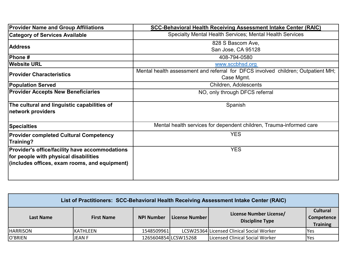| <b>Provider Name and Group Affiliations</b>                                                                                              | <b>SCC-Behavioral Health Receiving Assessment Intake Center (RAIC)</b>                         |
|------------------------------------------------------------------------------------------------------------------------------------------|------------------------------------------------------------------------------------------------|
| <b>Category of Services Available</b>                                                                                                    | Specialty Mental Health Services; Mental Health Services                                       |
| <b>Address</b>                                                                                                                           | 828 S Bascom Ave,<br>San Jose, CA 95128                                                        |
| <b>Phone#</b>                                                                                                                            | 408-794-0580                                                                                   |
| <b>Website URL</b>                                                                                                                       | www.sccbhsd.org                                                                                |
| <b>Provider Characteristics</b>                                                                                                          | Mental health assessment and referral for DFCS involved children; Outpatient MH;<br>Case Mgmt. |
| <b>Population Served</b>                                                                                                                 | Children, Adolescents                                                                          |
| <b>Provider Accepts New Beneficiaries</b>                                                                                                | NO, only through DFCS referral                                                                 |
| The cultural and linguistic capabilities of<br>network providers                                                                         | Spanish                                                                                        |
| <b>Specialties</b>                                                                                                                       | Mental health services for dependent children, Trauma-informed care                            |
| <b>Provider completed Cultural Competency</b><br>Training?                                                                               | <b>YES</b>                                                                                     |
| Provider's office/facility have accommodations<br>for people with physical disabilities<br>(includes offices, exam rooms, and equipment) | <b>YES</b>                                                                                     |

| List of Practitioners: SCC-Behavioral Health Receiving Assessment Intake Center (RAIC) |                   |                      |                |                                                   |                                                  |
|----------------------------------------------------------------------------------------|-------------------|----------------------|----------------|---------------------------------------------------|--------------------------------------------------|
| Last Name                                                                              | <b>First Name</b> | <b>NPI Number</b>    | License Number | License Number License/<br><b>Discipline Type</b> | <b>Cultural</b><br>Competence<br><b>Training</b> |
| <b>HARRISON</b>                                                                        | <b>IKATHLEEN</b>  | 1548509961           |                | LCSW25364 Licensed Clinical Social Worker         | lYes                                             |
| O'BRIEN                                                                                | JEAN F            | 1265604854 LCSW15268 |                | Licensed Clinical Social Worker                   | <b>P</b> es                                      |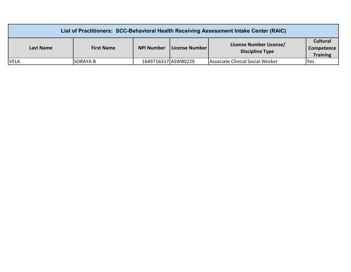| List of Practitioners: SCC-Behavioral Health Receiving Assessment Intake Center (RAIC) |                   |                     |                |                                                   |                                                         |
|----------------------------------------------------------------------------------------|-------------------|---------------------|----------------|---------------------------------------------------|---------------------------------------------------------|
| Last Name                                                                              | <b>First Name</b> | <b>NPI Number</b>   | License Number | License Number License/<br><b>Discipline Type</b> | <b>Cultural</b><br><b>Competence</b><br><b>Training</b> |
| <b>VELA</b>                                                                            | <b>SORAYA B</b>   | 1649716317 ASW80229 |                | Associate Clinical Social Worker                  | <b>Yes</b>                                              |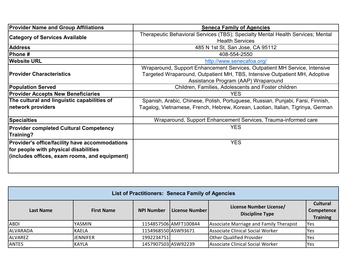| <b>Provider Name and Group Affiliations</b>                                                                                              | <b>Seneca Family of Agencies</b>                                                                                                                                                                |
|------------------------------------------------------------------------------------------------------------------------------------------|-------------------------------------------------------------------------------------------------------------------------------------------------------------------------------------------------|
| <b>Category of Services Available</b>                                                                                                    | Therapeutic Behavioral Services (TBS); Specialty Mental Health Services; Mental<br><b>Health Services</b>                                                                                       |
| <b>Address</b>                                                                                                                           | 485 N 1st St, San Jose, CA 95112                                                                                                                                                                |
| <b>Phone</b> #                                                                                                                           | 408-554-2550                                                                                                                                                                                    |
| <b>Website URL</b>                                                                                                                       | http://www.senecafoa.org/                                                                                                                                                                       |
| <b>Provider Characteristics</b>                                                                                                          | Wraparound, Support Enhancement Services, Outpatient MH Service, Intensive<br>Targeted Wraparound, Outpatient MH, TBS, Intensive Outpatient MH, Adoptive<br>Assistance Program (AAP) Wraparound |
| <b>Population Served</b>                                                                                                                 | Children, Families, Adolescents and Foster children                                                                                                                                             |
| <b>Provider Accepts New Beneficiaries</b>                                                                                                | <b>YES</b>                                                                                                                                                                                      |
| The cultural and linguistic capabilities of<br>network providers                                                                         | Spanish, Arabic, Chinese, Polish, Portuguese, Russian, Punjabi, Farsi, Finnish,<br>Tagalog, Vietnamese, French, Hebrew, Korean, Laotian, Italian, Tigrinya, German                              |
| <b>Specialties</b>                                                                                                                       | Wraparound, Support Enhancement Services, Trauma-informed care                                                                                                                                  |
| <b>Provider completed Cultural Competency</b><br>Training?                                                                               | <b>YES</b>                                                                                                                                                                                      |
| Provider's office/facility have accommodations<br>for people with physical disabilities<br>(includes offices, exam rooms, and equipment) | <b>YES</b>                                                                                                                                                                                      |

| <b>List of Practitioners: Seneca Family of Agencies</b> |                   |                                                                |                       |                                         |                 |
|---------------------------------------------------------|-------------------|----------------------------------------------------------------|-----------------------|-----------------------------------------|-----------------|
| Last Name                                               | <b>First Name</b> | License Number License/<br>License Number<br><b>NPI Number</b> |                       | <b>Cultural</b><br>Competence           |                 |
|                                                         |                   |                                                                |                       | <b>Discipline Type</b>                  | <b>Training</b> |
| <b>ABDI</b>                                             | YASMIN            |                                                                | 1154857506 AMFT100844 | Associate Marriage and Family Therapist | Yes             |
| ALVARADA                                                | <b>KAELA</b>      | 1154968550 ASW93671                                            |                       | Associate Clinical Social Worker        | <b>Yes</b>      |
| <b>ALVAREZ</b>                                          | <b>JENNIFER</b>   | 1992234751                                                     |                       | <b>Other Qualified Provider</b>         | Yes             |
| <b>ANTES</b>                                            | <b>KAYLA</b>      | 1457907503 ASW92239                                            |                       | Associate Clinical Social Worker        | <b>Yes</b>      |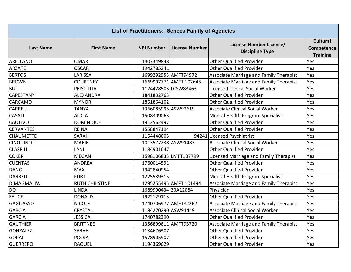| <b>List of Practitioners: Seneca Family of Agencies</b> |                       |                      |                        |                                                   |                                                  |
|---------------------------------------------------------|-----------------------|----------------------|------------------------|---------------------------------------------------|--------------------------------------------------|
| <b>Last Name</b>                                        | <b>First Name</b>     | <b>NPI Number</b>    | <b>License Number</b>  | License Number License/<br><b>Discipline Type</b> | <b>Cultural</b><br>Competence<br><b>Training</b> |
| ARELLANO                                                | <b>OMAR</b>           | 1407349848           |                        | <b>Other Qualified Provider</b>                   | Yes                                              |
| <b>ARZATE</b>                                           | <b>OSCAR</b>          | 1942785241           |                        | <b>Other Qualified Provider</b>                   | Yes                                              |
| <b>BERTOS</b>                                           | LARISSA               | 1699292953 AMFT94972 |                        | Associate Marriage and Family Therapist           | Yes                                              |
| <b>BROWN</b>                                            | <b>COURTNEY</b>       |                      | 1669997771 AMFT 102645 | Associate Marriage and Family Therapist           | Yes                                              |
| <b>BUI</b>                                              | <b>PRISCILLIA</b>     | 1124428503 LCSW83463 |                        | <b>Licensed Clinical Social Worker</b>            | Yes                                              |
| CAPESTANY                                               | ALEXANDRA             | 1841832763           |                        | <b>Other Qualified Provider</b>                   | Yes                                              |
| CARCAMO                                                 | <b>MYNOR</b>          | 1851864102           |                        | <b>Other Qualified Provider</b>                   | Yes                                              |
| <b>CARRELL</b>                                          | <b>TANYA</b>          | 1366085995 ASW92619  |                        | <b>Associate Clinical Social Worker</b>           | Yes                                              |
| <b>CASALI</b>                                           | <b>ALICIA</b>         | 1508309063           |                        | Mental Health Program Specialist                  | Yes                                              |
| <b>CAUTIVO</b>                                          | <b>DOMINIQUE</b>      | 1912562497           |                        | <b>Other Qualified Provider</b>                   | Yes                                              |
| <b>CERVANTES</b>                                        | <b>REINA</b>          | 1558847194           |                        | <b>Other Qualified Provider</b>                   | Yes                                              |
| <b>CHAUMETTE</b>                                        | <b>SARAH</b>          | 1154448603           |                        | 94241 Licensed Psychiatrist                       | Yes                                              |
| <b>CINQUINO</b>                                         | <b>MARIE</b>          | 1013577238 ASW91483  |                        | <b>Associate Clinical Social Worker</b>           | Yes                                              |
| <b>CLASPILL</b>                                         | LANI                  | 1184901647           |                        | <b>Other Qualified Provider</b>                   | Yes                                              |
| <b>COKER</b>                                            | <b>MEGAN</b>          |                      | 1598106833LMFT107799   | Licensed Marriage and Family Therapist            | Yes                                              |
| <b>CUENTAS</b>                                          | <b>ANDREA</b>         | 1760014591           |                        | <b>Other Qualified Provider</b>                   | Yes                                              |
| <b>DANG</b>                                             | <b>MAX</b>            | 1942840954           |                        | <b>Other Qualified Provider</b>                   | Yes                                              |
| <b>DARRELL</b>                                          | <b>KURT</b>           | 1225539315           |                        | Mental Health Program Specialist                  | Yes                                              |
| <b>DIMAGMALIW</b>                                       | <b>RUTH CHRISTINE</b> |                      | 1295255495 AMFT 101494 | Associate Marriage and Family Therapist           | Yes                                              |
| <b>DO</b>                                               | <b>LINDA</b>          | 1689990434 20A12084  |                        | Physician                                         | Yes                                              |
| <b>FELICE</b>                                           | <b>DONALD</b>         | 1922129113           |                        | <b>Other Qualified Provider</b>                   | Yes                                              |
| <b>GAGLIASSO</b>                                        | <b>NICOLE</b>         | 1740706977 AMFT82262 |                        | Associate Marriage and Family Therapist           | Yes                                              |
| <b>GARCIA</b>                                           | <b>CRYSTAL</b>        | 1184270290 ASW91449  |                        | <b>Associate Clinical Social Worker</b>           | Yes                                              |
| <b>GARCIA</b>                                           | <b>JESSICA</b>        | 1740782390           |                        | <b>Other Qualified Provider</b>                   | Yes                                              |
| <b>GAUTHIER</b>                                         | <b>BRITTNEE</b>       | 1356899611 AMFT93720 |                        | Associate Marriage and Family Therapist           | Yes                                              |
| <b>GONZALEZ</b>                                         | <b>SARAH</b>          | 1134676307           |                        | <b>Other Qualified Provider</b>                   | Yes                                              |
| <b>GOPAL</b>                                            | <b>POOJA</b>          | 1578905907           |                        | <b>Other Qualified Provider</b>                   | Yes                                              |
| <b>GUERRERO</b>                                         | <b>RAQUEL</b>         | 1194369629           |                        | <b>Other Qualified Provider</b>                   | Yes                                              |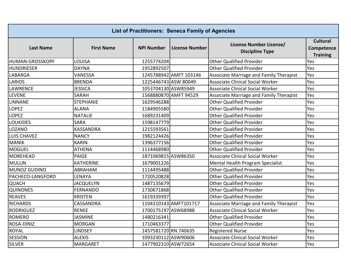| <b>List of Practitioners: Seneca Family of Agencies</b> |                   |                      |                        |                                                   |                                                  |
|---------------------------------------------------------|-------------------|----------------------|------------------------|---------------------------------------------------|--------------------------------------------------|
| <b>Last Name</b>                                        | <b>First Name</b> | <b>NPI Number</b>    | <b>License Number</b>  | License Number License/<br><b>Discipline Type</b> | <b>Cultural</b><br>Competence<br><b>Training</b> |
| HUMAN-GROSSKOPF                                         | LOUISA            | 1255774204           |                        | <b>Other Qualified Provider</b>                   | Yes                                              |
| <b>HUNDRIESER</b>                                       | <b>DAYNA</b>      | 1952892507           |                        | <b>Other Qualified Provider</b>                   | Yes                                              |
| LABARGA                                                 | VANESSA           |                      | 1245788942 AMFT 103146 | Associate Marriage and Family Therapist           | Yes                                              |
| <b>LARIOS</b>                                           | <b>BRENDA</b>     | 1225446743 ASW 80049 |                        | <b>Associate Clinical Social Worker</b>           | Yes                                              |
| LAWRENCE                                                | <b>JESSICA</b>    | 1053704130 ASW85949  |                        | Associate Clinical Social Worker                  | Yes                                              |
| <b>LEVENE</b>                                           | <b>SARAH</b>      |                      | 1568880870 AMFT 94529  | Associate Marriage and Family Therapist           | Yes                                              |
| <b>LINNANE</b>                                          | <b>STEPHANIE</b>  | 1629546288           |                        | <b>Other Qualified Provider</b>                   | Yes                                              |
| <b>LOPEZ</b>                                            | <b>ALANA</b>      | 1184905580           |                        | <b>Other Qualified Provider</b>                   | Yes                                              |
| <b>LOPEZ</b>                                            | <b>NATALIE</b>    | 1689231409           |                        | <b>Other Qualified Provider</b>                   | Yes                                              |
| <b>LOUKIDES</b>                                         | <b>SARA</b>       | 1598147779           |                        | <b>Other Qualified Provider</b>                   | Yes                                              |
| LOZANO                                                  | <b>KASSANDRA</b>  | 1215593561           |                        | <b>Other Qualified Provider</b>                   | Yes                                              |
| <b>LUIS CHAVEZ</b>                                      | <b>NANCY</b>      | 1982124426           |                        | <b>Other Qualified Provider</b>                   | Yes                                              |
| <b>MANIK</b>                                            | <b>KARIN</b>      | 1396377156           |                        | <b>Other Qualified Provider</b>                   | Yes                                              |
| <b>MOGUEL</b>                                           | <b>ATHENA</b>     | 1114468980           |                        | <b>Other Qualified Provider</b>                   | Yes                                              |
| <b>MOREHEAD</b>                                         | <b>PAIGE</b>      | 1871069815 ASW86350  |                        | <b>Associate Clinical Social Worker</b>           | Yes                                              |
| <b>MULLIN</b>                                           | <b>KATHERINE</b>  | 1679001226           |                        | Mental Health Program Specialist                  | Yes                                              |
| MUNOZ GUDINO                                            | ABRAHAM           | 1114495488           |                        | <b>Other Qualified Provider</b>                   | Yes                                              |
| PACHECO-LANGFORD                                        | LENAYA            | 1720520828           |                        | <b>Other Qualified Provider</b>                   | Yes                                              |
| <b>QUACH</b>                                            | <b>JACQUELYN</b>  | 1487135679           |                        | <b>Other Qualified Provider</b>                   | Yes                                              |
| <b>QUINONES</b>                                         | <b>FERNANDO</b>   | 1730671868           |                        | <b>Other Qualified Provider</b>                   | Yes                                              |
| <b>REAVES</b>                                           | <b>KRISTEN</b>    | 1619339397           |                        | <b>Other Qualified Provider</b>                   | Yes                                              |
| <b>RICHARDS</b>                                         | CASSANDRA         |                      | 1104310143 AMFT101717  | Associate Marriage and Family Therapist           | Yes                                              |
| <b>RODRIGUEZ</b>                                        | <b>RENEE</b>      | 1700175197 ASW68988  |                        | <b>Associate Clinical Social Worker</b>           | Yes                                              |
| <b>ROMERO</b>                                           | <b>JASMINE</b>    | 1480216341           |                        | <b>Other Qualified Provider</b>                   | Yes                                              |
| ROSA-DINIZ                                              | <b>MORGAN</b>     | 1710463377           |                        | <b>Other Qualified Provider</b>                   | Yes                                              |
| <b>ROYAL</b>                                            | <b>LINDSEY</b>    | 1457581720 RN 740635 |                        | <b>Registered Nurse</b>                           | Yes                                              |
| <b>SESSION</b>                                          | <b>ALEXIS</b>     | 1093230112 ASW90606  |                        | <b>Associate Clinical Social Worker</b>           | Yes                                              |
| <b>SILVER</b>                                           | <b>MARGARET</b>   | 1477902310 ASW72654  |                        | <b>Associate Clinical Social Worker</b>           | Yes                                              |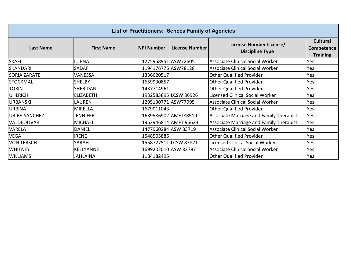| <b>List of Practitioners: Seneca Family of Agencies</b> |                   |                       |                       |                                                   |                                                  |
|---------------------------------------------------------|-------------------|-----------------------|-----------------------|---------------------------------------------------|--------------------------------------------------|
| <b>Last Name</b>                                        | <b>First Name</b> | <b>NPI Number</b>     | <b>License Number</b> | License Number License/<br><b>Discipline Type</b> | <b>Cultural</b><br>Competence<br><b>Training</b> |
| <b>SKAFI</b>                                            | LUBNA             | 1275958951 ASW72605   |                       | <b>Associate Clinical Social Worker</b>           | Yes                                              |
| SKANDARI                                                | SADAF             | 1194176776 ASW78128   |                       | Associate Clinical Social Worker                  | Yes                                              |
| <b>SORIA ZARATE</b>                                     | VANESSA           | 1336620517            |                       | <b>Other Qualified Provider</b>                   | Yes                                              |
| <b>STOCKMAL</b>                                         | <b>SHELBY</b>     | 1659930857            |                       | <b>Other Qualified Provider</b>                   | Yes                                              |
| <b>TOBIN</b>                                            | SHERIDAN          | 1437714961            |                       | <b>Other Qualified Provider</b>                   | Yes                                              |
| <b>UHLRICH</b>                                          | <b>ELIZABETH</b>  |                       | 1932583895 LCSW 86926 | Licensed Clinical Social Worker                   | Yes                                              |
| <b>URBANSKI</b>                                         | LAUREN            | 1295130771 ASW77995   |                       | Associate Clinical Social Worker                  | Yes                                              |
| <b>URBINA</b>                                           | <b>MIRELLA</b>    | 1679011043            |                       | <b>Other Qualified Provider</b>                   | Yes                                              |
| <b>URIBE-SANCHEZ</b>                                    | JENNIFER          | 1639586902 AMFT88519  |                       | <b>Associate Marriage and Family Therapist</b>    | Yes                                              |
| <b>VALDEOLIVAR</b>                                      | <b>MICHAEL</b>    |                       | 1962946814 AMFT 96623 | <b>Associate Marriage and Family Therapist</b>    | Yes                                              |
| <b>VARELA</b>                                           | <b>DANIEL</b>     | 1477960284 ASW 83719  |                       | Associate Clinical Social Worker                  | <b>Yes</b>                                       |
| <b>VEGA</b>                                             | <b>IRENE</b>      | 1548505886            |                       | <b>Other Qualified Provider</b>                   | Yes                                              |
| <b>VON TERSCH</b>                                       | <b>SARAH</b>      | 1558727511 LCSW 83871 |                       | Licensed Clinical Social Worker                   | Yes                                              |
| <b>WHITNEY</b>                                          | KELLYANNE         | 1699202010 ASW 83797  |                       | <b>Associate Clinical Social Worker</b>           | Yes                                              |
| <b>WILLIAMS</b>                                         | JAHLAINA          | 1184182495            |                       | <b>Other Qualified Provider</b>                   | <b>IYes</b>                                      |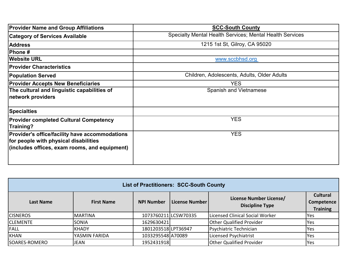| <b>Provider Name and Group Affiliations</b>           | <b>SCC-South County</b>                                  |
|-------------------------------------------------------|----------------------------------------------------------|
| <b>Category of Services Available</b>                 | Specialty Mental Health Services; Mental Health Services |
| <b>Address</b>                                        | 1215 1st St, Gilroy, CA 95020                            |
| Phone#                                                |                                                          |
| <b>Website URL</b>                                    | www.sccbhsd.org                                          |
| <b>Provider Characteristics</b>                       |                                                          |
| <b>Population Served</b>                              | Children, Adolescents, Adults, Older Adults              |
| <b>Provider Accepts New Beneficiaries</b>             | <b>YES</b>                                               |
| The cultural and linguistic capabilities of           | <b>Spanish and Vietnamese</b>                            |
| network providers                                     |                                                          |
| <b>Specialties</b>                                    |                                                          |
| <b>Provider completed Cultural Competency</b>         | <b>YES</b>                                               |
| Training?                                             |                                                          |
| <b>Provider's office/facility have accommodations</b> | <b>YES</b>                                               |
| for people with physical disabilities                 |                                                          |
| (includes offices, exam rooms, and equipment)         |                                                          |
|                                                       |                                                          |
|                                                       |                                                          |

| <b>List of Practitioners: SCC-South County</b> |                   |                      |                |                                                   |                                           |
|------------------------------------------------|-------------------|----------------------|----------------|---------------------------------------------------|-------------------------------------------|
| Last Name                                      | <b>First Name</b> | <b>NPI Number</b>    | License Number | License Number License/<br><b>Discipline Type</b> | Cultural<br>Competence<br><b>Training</b> |
| <b>CISNEROS</b>                                | <b>IMARTINA</b>   | 1073760211 LCSW70335 |                | Licensed Clinical Social Worker                   | Yes                                       |
| <b>CLEMENTE</b>                                | <b>SONIA</b>      | 1629630421           |                | <b>Other Qualified Provider</b>                   | Yes                                       |
| FALL                                           | <b>KHADY</b>      | 1801203518LPT36947   |                | Psychiatric Technician                            | Yes                                       |
| <b>KHAN</b>                                    | YASMIN FARIDA     | 1033295548 A70089    |                | Licensed Psychiatrist                             | Yes                                       |
| SOARES-ROMERO                                  | <b>JEAN</b>       | 1952431918           |                | <b>Other Qualified Provider</b>                   | Yes                                       |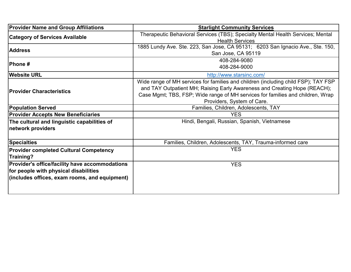| <b>Provider Name and Group Affiliations</b>    | <b>Starlight Community Services</b>                                                |
|------------------------------------------------|------------------------------------------------------------------------------------|
| <b>Category of Services Available</b>          | Therapeutic Behavioral Services (TBS); Specialty Mental Health Services; Mental    |
|                                                | <b>Health Services</b>                                                             |
| <b>Address</b>                                 | 1885 Lundy Ave. Ste. 223, San Jose, CA 95131; 6203 San Ignacio Ave., Ste. 150,     |
|                                                | San Jose, CA 95119                                                                 |
|                                                | 408-284-9080                                                                       |
| Phone#                                         | 408-284-9000                                                                       |
| <b>Website URL</b>                             | http://www.starsinc.com/                                                           |
|                                                | Wide range of MH services for families and children (including child FSP); TAY FSP |
| <b>Provider Characteristics</b>                | and TAY Outpatient MH; Raising Early Awareness and Creating Hope (REACH);          |
|                                                | Case Mgmt; TBS, FSP; Wide range of MH services for families and children, Wrap     |
|                                                | Providers, System of Care.                                                         |
| <b>Population Served</b>                       | Families, Children, Adolescents, TAY                                               |
| <b>Provider Accepts New Beneficiaries</b>      | <b>YES</b>                                                                         |
| The cultural and linguistic capabilities of    | Hindi, Bengali, Russian, Spanish, Vietnamese                                       |
| network providers                              |                                                                                    |
|                                                |                                                                                    |
| <b>Specialties</b>                             | Families, Children, Adolescents, TAY, Trauma-informed care                         |
| <b>Provider completed Cultural Competency</b>  | <b>YES</b>                                                                         |
| Training?                                      |                                                                                    |
| Provider's office/facility have accommodations | <b>YES</b>                                                                         |
| for people with physical disabilities          |                                                                                    |
| (includes offices, exam rooms, and equipment)  |                                                                                    |
|                                                |                                                                                    |
|                                                |                                                                                    |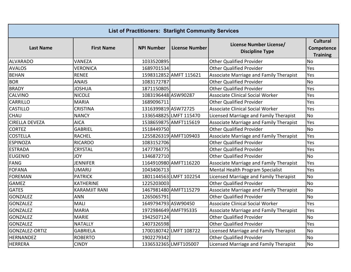| <b>List of Practitioners: Starlight Community Services</b> |                      |                      |                        |                                                   |                                                  |
|------------------------------------------------------------|----------------------|----------------------|------------------------|---------------------------------------------------|--------------------------------------------------|
| <b>Last Name</b>                                           | <b>First Name</b>    | <b>NPI Number</b>    | <b>License Number</b>  | License Number License/<br><b>Discipline Type</b> | <b>Cultural</b><br>Competence<br><b>Training</b> |
| <b>ALVARADO</b>                                            | VANEZA               | 1033520895           |                        | <b>Other Qualified Provider</b>                   | <b>No</b>                                        |
| <b>AVALOS</b>                                              | <b>VERONICA</b>      | 1689701534           |                        | <b>Other Qualified Provider</b>                   | Yes                                              |
| <b>BEHAN</b>                                               | <b>RENEE</b>         |                      | 1598312852 AMFT 115621 | Associate Marriage and Family Therapist           | Yes                                              |
| <b>BOR</b>                                                 | <b>ANAIS</b>         | 1083172787           |                        | <b>Other Qualified Provider</b>                   | <b>No</b>                                        |
| <b>BRADY</b>                                               | <b>JOSHUA</b>        | 1871150805           |                        | <b>Other Qualified Provider</b>                   | Yes                                              |
| <b>CALVINO</b>                                             | <b>NICOLE</b>        | 1083196448 ASW90287  |                        | <b>Associate Clinical Social Worker</b>           | Yes                                              |
| <b>CARRILLO</b>                                            | <b>MARIA</b>         | 1689096711           |                        | <b>Other Qualified Provider</b>                   | Yes                                              |
| <b>CASTILLO</b>                                            | <b>CRISTINA</b>      | 1316399819 ASW72725  |                        | <b>Associate Clinical Social Worker</b>           | Yes                                              |
| <b>CHAU</b>                                                | <b>NANCY</b>         |                      | 1336548825 LMFT 115470 | Licensed Marriage and Family Therapist            | <b>No</b>                                        |
| <b>CIRELLA DEVEZA</b>                                      | <b>AICA</b>          |                      | 1538659875 AMFT115619  | Associate Marriage and Family Therapist           | Yes                                              |
| <b>CORTEZ</b>                                              | <b>GABRIEL</b>       | 1518449750           |                        | <b>Other Qualified Provider</b>                   | <b>No</b>                                        |
| <b>COSTELLA</b>                                            | <b>RACHEL</b>        |                      | 1255826319 AMFT109403  | Associate Marriage and Family Therapist           | Yes                                              |
| <b>ESPINOZA</b>                                            | <b>RICARDO</b>       | 1083152706           |                        | <b>Other Qualified Provider</b>                   | Yes                                              |
| <b>ESTRADA</b>                                             | <b>CRYSTAL</b>       | 1477784775           |                        | <b>Other Qualified Provider</b>                   | Yes                                              |
| <b>EUGENIO</b>                                             | <b>JOY</b>           | 1346872710           |                        | <b>Other Qualified Provider</b>                   | <b>No</b>                                        |
| <b>FANG</b>                                                | <b>JENNIFER</b>      |                      | 1164910980 AMFT116220  | Associate Marriage and Family Therapist           | Yes                                              |
| <b>FOFANA</b>                                              | <b>UMARU</b>         | 1043406713           |                        | Mental Health Program Specialist                  | Yes                                              |
| <b>FOREMAN</b>                                             | <b>PATRICK</b>       |                      | 1801144563 LMFT 102254 | Licensed Marriage and Family Therapist            | <b>No</b>                                        |
| <b>GAMEZ</b>                                               | <b>KATHERINE</b>     | 1225203003           |                        | <b>Other Qualified Provider</b>                   | <b>No</b>                                        |
| <b>GATES</b>                                               | <b>KARAMJIT RANI</b> |                      | 1467981480 AMFT115279  | Associate Marriage and Family Therapist           | <b>No</b>                                        |
| <b>GONZALEZ</b>                                            | <b>ANN</b>           | 1265065791           |                        | <b>Other Qualified Provider</b>                   | <b>No</b>                                        |
| <b>GONZALEZ</b>                                            | <b>MALI</b>          | 1649794793 ASW90450  |                        | <b>Associate Clinical Social Worker</b>           | Yes                                              |
| <b>GONZALEZ</b>                                            | <b>MARIA</b>         | 1972984649 AMFT95335 |                        | Associate Marriage and Family Therapist           | Yes                                              |
| <b>GONZALEZ</b>                                            | <b>MARIE</b>         | 1942507124           |                        | <b>Other Qualified Provider</b>                   | <b>No</b>                                        |
| <b>GONZALEZ</b>                                            | <b>NATALLY</b>       | 1407326598           |                        | <b>Other Qualified Provider</b>                   | Yes                                              |
| GONZALEZ-ORTIZ                                             | <b>GABRIELA</b>      |                      | 1700180742 LMFT 108722 | Licensed Marriage and Family Therapist            | <b>No</b>                                        |
| HERNANDEZ                                                  | <b>ROBERTO</b>       | 1902279342           |                        | <b>Other Qualified Provider</b>                   | <b>No</b>                                        |
| <b>HERRERA</b>                                             | <b>CINDY</b>         |                      | 1336532365 LMFT105007  | Licensed Marriage and Family Therapist            | <b>No</b>                                        |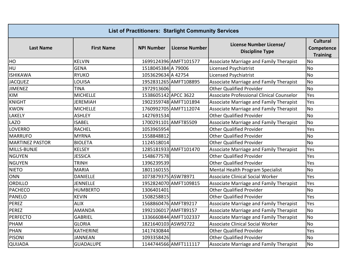| <b>List of Practitioners: Starlight Community Services</b> |                   |                      |                       |                                                   |                                                  |
|------------------------------------------------------------|-------------------|----------------------|-----------------------|---------------------------------------------------|--------------------------------------------------|
| <b>Last Name</b>                                           | <b>First Name</b> | <b>NPI Number</b>    | <b>License Number</b> | License Number License/<br><b>Discipline Type</b> | <b>Cultural</b><br>Competence<br><b>Training</b> |
| HO                                                         | <b>KELVIN</b>     |                      | 1699124396 AMFT101577 | Associate Marriage and Family Therapist           | <b>No</b>                                        |
| HU                                                         | <b>GENA</b>       | 1518045384 A 79006   |                       | Licensed Psychiatrist                             | <b>No</b>                                        |
| <b>ISHIKAWA</b>                                            | <b>RYUKO</b>      | 1053629634 A 42754   |                       | Licensed Psychiatrist                             | <b>No</b>                                        |
| <b>JACQUEZ</b>                                             | LOUISA            |                      | 1952831265 AMFT108895 | Associate Marriage and Family Therapist           | <b>No</b>                                        |
| <b>JIMENEZ</b>                                             | <b>TINA</b>       | 1972913606           |                       | <b>Other Qualified Provider</b>                   | <b>No</b>                                        |
| KIM                                                        | <b>MICHELLE</b>   | 1538605142 APCC 3622 |                       | Associate Professional Clinical Counselor         | Yes                                              |
| <b>KNIGHT</b>                                              | <b>JEREMIAH</b>   |                      | 1902359748 AMFT101894 | Associate Marriage and Family Therapist           | Yes                                              |
| <b>KWON</b>                                                | <b>MICHELLE</b>   |                      | 1760992705 AMFT112074 | Associate Marriage and Family Therapist           | <b>No</b>                                        |
| LAKELY                                                     | <b>ASHLEY</b>     | 1427691534           |                       | <b>Other Qualified Provider</b>                   | <b>No</b>                                        |
| <b>LAZO</b>                                                | <b>ISABEL</b>     | 1700291101 AMFT85509 |                       | Associate Marriage and Family Therapist           | <b>No</b>                                        |
| <b>LOVERRO</b>                                             | <b>RACHEL</b>     | 1053965954           |                       | <b>Other Qualified Provider</b>                   | Yes                                              |
| <b>MARRUFO</b>                                             | <b>MYRNA</b>      | 1558848812           |                       | <b>Other Qualified Provider</b>                   | <b>No</b>                                        |
| <b>MARTINEZ PASTOR</b>                                     | <b>BIOLETA</b>    | 1124518014           |                       | <b>Other Qualified Provider</b>                   | <b>No</b>                                        |
| MILLS-BUNJE                                                | <b>KELSEY</b>     |                      | 1285181933 AMFT101470 | Associate Marriage and Family Therapist           | Yes                                              |
| <b>NGUYEN</b>                                              | <b>JESSICA</b>    | 1548677578           |                       | <b>Other Qualified Provider</b>                   | Yes                                              |
| <b>NGUYEN</b>                                              | <b>TRINH</b>      | 1396239539           |                       | <b>Other Qualified Provider</b>                   | Yes                                              |
| <b>NIETO</b>                                               | <b>MARIA</b>      | 1801160155           |                       | Mental Health Program Specialist                  | <b>No</b>                                        |
| <b>ONN</b>                                                 | <b>DANIELLE</b>   | 1073879375 ASW78971  |                       | <b>Associate Clinical Social Worker</b>           | Yes                                              |
| <b>ORDILLO</b>                                             | <b>JENNELLE</b>   |                      | 1952824070 AMFT109815 | Associate Marriage and Family Therapist           | Yes                                              |
| <b>PACHECO</b>                                             | <b>HUMBERTO</b>   | 1306401401           |                       | <b>Other Qualified Provider</b>                   | <b>No</b>                                        |
| <b>PANELO</b>                                              | <b>KEVIN</b>      | 1508258815           |                       | <b>Other Qualified Provider</b>                   | Yes                                              |
| <b>PEREZ</b>                                               | <b>ALIX</b>       | 1568860476 AMFT89217 |                       | Associate Marriage and Family Therapist           | Yes                                              |
| <b>PEREZ</b>                                               | <b>AMANDA</b>     | 1992106017 AMFT89157 |                       | Associate Marriage and Family Therapist           | <b>No</b>                                        |
| <b>PERFECTO</b>                                            | <b>GABRIEL</b>    |                      | 1336660844 AMFT102337 | Associate Marriage and Family Therapist           | <b>No</b>                                        |
| PHAM                                                       | <b>GLORIA</b>     | 1821640103 ASW92722  |                       | <b>Associate Clinical Social Worker</b>           | <b>No</b>                                        |
| <b>PHAN</b>                                                | <b>KATHERINE</b>  | 1417430844           |                       | <b>Other Qualified Provider</b>                   | Yes                                              |
| <b>PISONI</b>                                              | <b>JANNEAN</b>    | 1093358426           |                       | <b>Other Qualified Provider</b>                   | <b>No</b>                                        |
| QUIJADA                                                    | <b>GUADALUPE</b>  |                      | 1144744566 AMFT111117 | Associate Marriage and Family Therapist           | <b>No</b>                                        |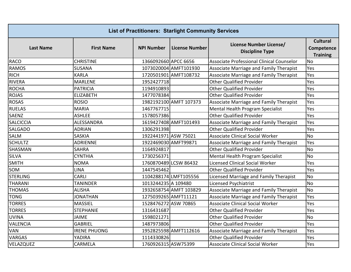| <b>List of Practitioners: Starlight Community Services</b> |                     |                      |                        |                                                   |                                                  |  |
|------------------------------------------------------------|---------------------|----------------------|------------------------|---------------------------------------------------|--------------------------------------------------|--|
| <b>Last Name</b>                                           | <b>First Name</b>   | <b>NPI Number</b>    | <b>License Number</b>  | License Number License/<br><b>Discipline Type</b> | <b>Cultural</b><br>Competence<br><b>Training</b> |  |
| <b>RACO</b>                                                | <b>CHRISTINE</b>    | 1366092660 APCC 6656 |                        | Associate Professional Clinical Counselor         | <b>No</b>                                        |  |
| <b>RAMOS</b>                                               | <b>SUSANA</b>       |                      | 1073020004 AMFT101930  | Associate Marriage and Family Therapist           | Yes                                              |  |
| <b>RICH</b>                                                | <b>KARLA</b>        |                      | 1720501901 AMFT108732  | Associate Marriage and Family Therapist           | Yes                                              |  |
| <b>RIVERA</b>                                              | <b>MARLENE</b>      | 1952427718           |                        | <b>Other Qualified Provider</b>                   | Yes                                              |  |
| <b>ROCHA</b>                                               | <b>PATRICIA</b>     | 1194910893           |                        | <b>Other Qualified Provider</b>                   | Yes                                              |  |
| <b>ROJAS</b>                                               | <b>ELIZABETH</b>    | 1477078384           |                        | <b>Other Qualified Provider</b>                   | Yes                                              |  |
| <b>ROSAS</b>                                               | <b>ROSIO</b>        |                      | 1982192100 AMFT 107373 | Associate Marriage and Family Therapist           | Yes                                              |  |
| <b>RUELAS</b>                                              | <b>MARIA</b>        | 1467767715           |                        | Mental Health Program Specialist                  | Yes                                              |  |
| <b>SAENZ</b>                                               | <b>ASHLEE</b>       | 1578057386           |                        | <b>Other Qualified Provider</b>                   | Yes                                              |  |
| <b>SALCICCIA</b>                                           | ALESSANDRA          |                      | 1619427408 AMFT101493  | Associate Marriage and Family Therapist           | Yes                                              |  |
| <b>SALGADO</b>                                             | <b>ADRIAN</b>       | 1306291398           |                        | <b>Other Qualified Provider</b>                   | Yes                                              |  |
| SALM                                                       | <b>SASKIA</b>       | 1922441971 ASW 75021 |                        | <b>Associate Clinical Social Worker</b>           | <b>No</b>                                        |  |
| <b>SCHULTZ</b>                                             | ADRIENNE            | 1922469030 AMFT99871 |                        | Associate Marriage and Family Therapist           | Yes                                              |  |
| SHASMAN                                                    | <b>SAHRA</b>        | 1164924817           |                        | <b>Other Qualified Provider</b>                   | <b>No</b>                                        |  |
| <b>SILVA</b>                                               | <b>CYNTHIA</b>      | 1730256371           |                        | Mental Health Program Specialist                  | <b>No</b>                                        |  |
| <b>SMITH</b>                                               | <b>NOMA</b>         |                      | 1760870489 LCSW 86432  | <b>Licensed Clinical Social Worker</b>            | Yes                                              |  |
| SOM                                                        | <b>LINA</b>         | 1447545462           |                        | <b>Other Qualified Provider</b>                   | Yes                                              |  |
| <b>STERLING</b>                                            | <b>CARLI</b>        |                      | 1104288174 LMFT105556  | Licensed Marriage and Family Therapist            | <b>No</b>                                        |  |
| <b>THARANI</b>                                             | <b>TANINDER</b>     | 1013244235 A 109480  |                        | Licensed Psychiatrist                             | <b>No</b>                                        |  |
| <b>THOMAS</b>                                              | <b>ALISHA</b>       |                      | 1932658754 AMFT 103829 | Associate Marriage and Family Therapist           | <b>No</b>                                        |  |
| <b>TONG</b>                                                | <b>JONATHAN</b>     | 1275039265 AMFT11121 |                        | Associate Marriage and Family Therapist           | Yes                                              |  |
| <b>TORRES</b>                                              | <b>MASSIEL</b>      | 1528476272 ASW 70865 |                        | <b>Associate Clinical Social Worker</b>           | Yes                                              |  |
| <b>TORRES</b>                                              | <b>STEPHANIE</b>    | 1316431687           |                        | <b>Other Qualified Provider</b>                   | Yes                                              |  |
| <b>UVINA</b>                                               | <b>JAIME</b>        | 1598021271           |                        | <b>Other Qualified Provider</b>                   | <b>No</b>                                        |  |
| VALENCIA                                                   | <b>GABRIEL</b>      | 1487973806           |                        | <b>Other Qualified Provider</b>                   | Yes                                              |  |
| VAN                                                        | <b>IRENE PHUONG</b> |                      | 1952825598 AMFT112616  | Associate Marriage and Family Therapist           | Yes                                              |  |
| <b>VARGAS</b>                                              | YADIRA              | 1114330826           |                        | <b>Other Qualified Provider</b>                   | Yes                                              |  |
| VELAZQUEZ                                                  | CARMELA             | 1760926315 ASW75399  |                        | <b>Associate Clinical Social Worker</b>           | Yes                                              |  |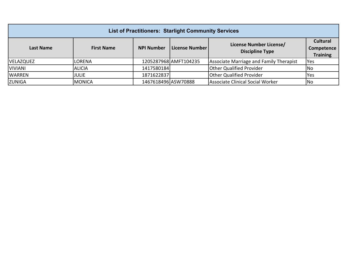| <b>List of Practitioners: Starlight Community Services</b> |                                        |                     |                         |                                         |                 |  |
|------------------------------------------------------------|----------------------------------------|---------------------|-------------------------|-----------------------------------------|-----------------|--|
|                                                            | <b>NPI Number</b><br><b>First Name</b> |                     | License Number License/ | <b>Cultural</b>                         |                 |  |
| Last Name                                                  |                                        |                     | License Number          | <b>Discipline Type</b>                  | Competence      |  |
|                                                            |                                        |                     |                         |                                         | <b>Training</b> |  |
| <b>VELAZQUEZ</b>                                           | LORENA                                 |                     | 1205287968 AMFT104235   | Associate Marriage and Family Therapist | <b>Yes</b>      |  |
| <b>VIVIANI</b>                                             | <b>ALICIA</b>                          | 1417580184          |                         | <b>Other Qualified Provider</b>         | No.             |  |
| <b>WARREN</b>                                              | <b>JULIE</b>                           | 1871622837          |                         | <b>Other Qualified Provider</b>         | Yes             |  |
| <b>ZUNIGA</b>                                              | <b>MONICA</b>                          | 1467618496 ASW70888 |                         | Associate Clinical Social Worker        | No              |  |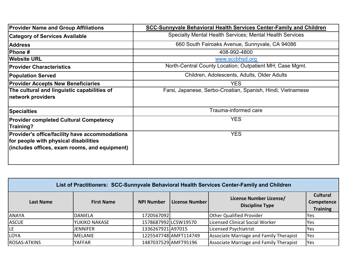| <b>Provider Name and Group Affiliations</b>                                                                                                     | SCC-Sunnyvale Behavioral Health Services Center-Family and Children |  |  |  |  |  |
|-------------------------------------------------------------------------------------------------------------------------------------------------|---------------------------------------------------------------------|--|--|--|--|--|
| <b>Category of Services Available</b>                                                                                                           | Specialty Mental Health Services; Mental Health Services            |  |  |  |  |  |
| <b>Address</b>                                                                                                                                  | 660 South Fairoaks Avenue, Sunnyvale, CA 94086                      |  |  |  |  |  |
| Phone #                                                                                                                                         | 408-992-4800                                                        |  |  |  |  |  |
| <b>Website URL</b>                                                                                                                              | www.sccbhsd.org                                                     |  |  |  |  |  |
| <b>Provider Characteristics</b>                                                                                                                 | North-Central County Location; Outpatient MH; Case Mgmt.            |  |  |  |  |  |
| <b>Population Served</b>                                                                                                                        | Children, Adolescents, Adults, Older Adults                         |  |  |  |  |  |
| <b>Provider Accepts New Beneficiaries</b>                                                                                                       | <b>YES</b>                                                          |  |  |  |  |  |
| The cultural and linguistic capabilities of<br>network providers                                                                                | Farsi, Japanese, Serbo-Croatian, Spanish, Hindi, Vietnamese         |  |  |  |  |  |
| <b>Specialties</b>                                                                                                                              | Trauma-informed care                                                |  |  |  |  |  |
| <b>Provider completed Cultural Competency</b><br>Training?                                                                                      | <b>YES</b>                                                          |  |  |  |  |  |
| <b>Provider's office/facility have accommodations</b><br>for people with physical disabilities<br>(includes offices, exam rooms, and equipment) | <b>YES</b>                                                          |  |  |  |  |  |

| List of Practitioners: SCC-Sunnyvale Behavioral Health Services Center-Family and Children |                   |                      |                       |                                                   |                                                  |  |  |
|--------------------------------------------------------------------------------------------|-------------------|----------------------|-----------------------|---------------------------------------------------|--------------------------------------------------|--|--|
| Last Name                                                                                  | <b>First Name</b> | <b>NPI Number</b>    | License Number        | License Number License/<br><b>Discipline Type</b> | <b>Cultural</b><br>Competence<br><b>Training</b> |  |  |
| <b>ANAYA</b>                                                                               | DANIELA           | 1720567092           |                       | <b>Other Qualified Provider</b>                   | Yes                                              |  |  |
| <b>ASCUE</b>                                                                               | YUKIKO NAKASE     | 1578687992 LCSW19570 |                       | Licensed Clinical Social Worker                   | Yes                                              |  |  |
| LE.                                                                                        | <b>JENNIFER</b>   | 1336267921 A97015    |                       | Licensed Psychiatrist                             | Yes                                              |  |  |
| LOYA                                                                                       | <b>MELANIE</b>    |                      | 1225547748 AMFT114749 | Associate Marriage and Family Therapist           | Yes                                              |  |  |
| <b>ROSAS-ATKINS</b>                                                                        | <b>YAFFAR</b>     |                      | 1487037529 AMFT95196  | Associate Marriage and Family Therapist           | Yes                                              |  |  |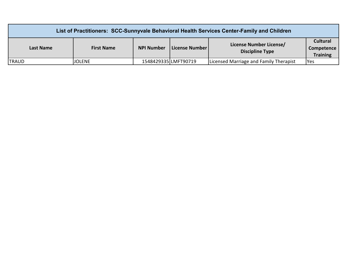| List of Practitioners: SCC-Sunnyvale Behavioral Health Services Center-Family and Children                                                                                  |               |                      |  |                                        |            |  |
|-----------------------------------------------------------------------------------------------------------------------------------------------------------------------------|---------------|----------------------|--|----------------------------------------|------------|--|
| <b>Cultural</b><br>License Number License/<br><b>NPI Number</b><br>  License Number  <br><b>First Name</b><br>Last Name<br>Competence<br><b>Discipline Type</b><br>Training |               |                      |  |                                        |            |  |
| <b>TRAUD</b>                                                                                                                                                                | <b>JOLENE</b> | 1548429335 LMFT90719 |  | Licensed Marriage and Family Therapist | <b>Yes</b> |  |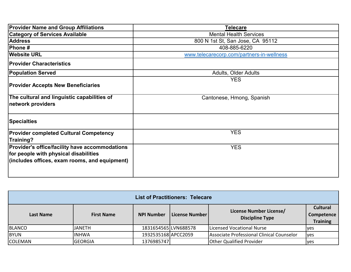| <b>Provider Name and Group Affiliations</b>                                                                                              | <b>Telecare</b>                           |
|------------------------------------------------------------------------------------------------------------------------------------------|-------------------------------------------|
| <b>Category of Services Available</b>                                                                                                    | <b>Mental Health Services</b>             |
| <b>Address</b>                                                                                                                           | 800 N 1st St, San Jose, CA 95112          |
| Phone#                                                                                                                                   | 408-885-6220                              |
| <b>Website URL</b>                                                                                                                       | www.telecarecorp.com/partners-in-wellness |
| <b>Provider Characteristics</b>                                                                                                          |                                           |
| <b>Population Served</b>                                                                                                                 | <b>Adults, Older Adults</b>               |
| <b>Provider Accepts New Beneficiaries</b>                                                                                                | <b>YES</b>                                |
| The cultural and linguistic capabilities of<br>network providers                                                                         | Cantonese, Hmong, Spanish                 |
| <b>Specialties</b>                                                                                                                       |                                           |
| <b>Provider completed Cultural Competency</b><br>Training?                                                                               | <b>YES</b>                                |
| Provider's office/facility have accommodations<br>for people with physical disabilities<br>(includes offices, exam rooms, and equipment) | <b>YES</b>                                |

| List of Practitioners: Telecare                                                                                              |                |                      |  |                                           |                                                  |  |
|------------------------------------------------------------------------------------------------------------------------------|----------------|----------------------|--|-------------------------------------------|--------------------------------------------------|--|
| License Number License/<br><b>NPI Number</b><br>l License Number<br><b>First Name</b><br>Last Name<br><b>Discipline Type</b> |                |                      |  |                                           | <b>Cultural</b><br>Competence<br><b>Training</b> |  |
| <b>BLANCO</b>                                                                                                                | <b>JANETH</b>  | 1831654565 LVN688578 |  | <b>Licensed Vocational Nurse</b>          | yes                                              |  |
| <b>BYUN</b>                                                                                                                  | <b>INHWA</b>   | 1932535168 APCC2059  |  | Associate Professional Clinical Counselor | yes                                              |  |
| <b>COLEMAN</b>                                                                                                               | <b>GEORGIA</b> | 1376985747           |  | <b>Other Qualified Provider</b>           | <b>lyes</b>                                      |  |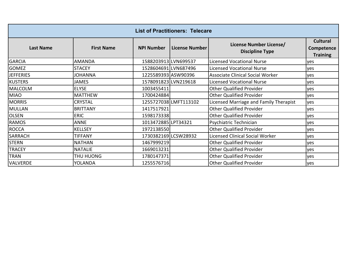| <b>List of Practitioners: Telecare</b> |                   |                      |                      |                                                   |                                                  |  |
|----------------------------------------|-------------------|----------------------|----------------------|---------------------------------------------------|--------------------------------------------------|--|
| <b>Last Name</b>                       | <b>First Name</b> | <b>NPI Number</b>    | License Number       | License Number License/<br><b>Discipline Type</b> | <b>Cultural</b><br>Competence<br><b>Training</b> |  |
| <b>GARCIA</b>                          | <b>AMANDA</b>     | 1588203913 LVN699537 |                      | <b>Licensed Vocational Nurse</b>                  | yes                                              |  |
| <b>GOMEZ</b>                           | <b>STACEY</b>     | 1528604691 LVN687496 |                      | <b>Licensed Vocational Nurse</b>                  | yes                                              |  |
| <b>JEFFERIES</b>                       | <b>JOHANNA</b>    | 1225589393 ASW90396  |                      | Associate Clinical Social Worker                  | yes                                              |  |
| <b>KUSTERS</b>                         | JAMES             | 1578091823 LVN219618 |                      | <b>Licensed Vocational Nurse</b>                  | yes                                              |  |
| <b>MALCOLM</b>                         | <b>ELYSE</b>      | 1003455411           |                      | <b>Other Qualified Provider</b>                   | yes                                              |  |
| <b>MIAO</b>                            | <b>MATTHEW</b>    | 1700424884           |                      | <b>Other Qualified Provider</b>                   | yes                                              |  |
| <b>MORRIS</b>                          | CRYSTAL           |                      | 1255727038LMFT113102 | Licensed Marriage and Family Therapist            | yes                                              |  |
| <b>MULLAN</b>                          | <b>BRITTANY</b>   | 1417517921           |                      | <b>Other Qualified Provider</b>                   | yes                                              |  |
| <b>OLSEN</b>                           | <b>ERIC</b>       | 1598173338           |                      | <b>Other Qualified Provider</b>                   | yes                                              |  |
| <b>RAMOS</b>                           | ANNE              | 1013472885 LPT34321  |                      | Psychiatric Technician                            | yes                                              |  |
| <b>ROCCA</b>                           | <b>KELLSEY</b>    | 1972138550           |                      | <b>Other Qualified Provider</b>                   | yes                                              |  |
| <b>SARRACH</b>                         | <b>TIFFANY</b>    | 1730382169 LCSW28932 |                      | <b>Licensed Clinical Social Worker</b>            | yes                                              |  |
| <b>STERN</b>                           | <b>NATHAN</b>     | 1467999219           |                      | <b>Other Qualified Provider</b>                   | yes                                              |  |
| <b>TRACEY</b>                          | <b>NATALIE</b>    | 1669013231           |                      | <b>Other Qualified Provider</b>                   | yes                                              |  |
| <b>TRAN</b>                            | THU HUONG         | 1780147371           |                      | <b>Other Qualified Provider</b>                   | yes                                              |  |
| VALVERDE                               | YOLANDA           | 1255576716           |                      | <b>Other Qualified Provider</b>                   | yes                                              |  |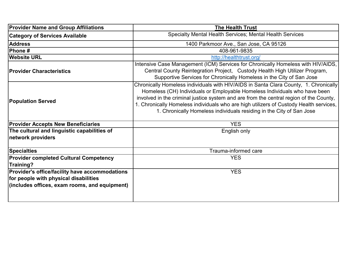| <b>Provider Name and Group Affiliations</b>                | <b>The Health Trust</b>                                                                                                                                                                                                                                                                                                                                                                                                        |
|------------------------------------------------------------|--------------------------------------------------------------------------------------------------------------------------------------------------------------------------------------------------------------------------------------------------------------------------------------------------------------------------------------------------------------------------------------------------------------------------------|
| <b>Category of Services Available</b>                      | Specialty Mental Health Services; Mental Health Services                                                                                                                                                                                                                                                                                                                                                                       |
| <b>Address</b>                                             | 1400 Parkmoor Ave., San Jose, CA 95126                                                                                                                                                                                                                                                                                                                                                                                         |
| Phone #                                                    | 408-961-9835                                                                                                                                                                                                                                                                                                                                                                                                                   |
| <b>Website URL</b>                                         | http://healthtrust.org/                                                                                                                                                                                                                                                                                                                                                                                                        |
| <b>Provider Characteristics</b>                            | Intensive Case Management (ICM) Services for Chronically Homeless with HIV/AIDS,<br>Central County Reintegration Project, Custody Health High Utilizer Program,<br>Supportive Services for Chronically Homeless in the City of San Jose                                                                                                                                                                                        |
| <b>Population Served</b>                                   | Chronically Homeless individuals with HIV/AIDS in Santa Clara County, 1. Chronically<br>Homeless (CH) Individuals or Employable Homeless Individuals who have been<br>involved in the criminal justice system and are from the central region of the County,<br>1. Chronically Homeless individuals who are high utilizers of Custody Health services,<br>1. Chronically Homeless individuals residing in the City of San Jose |
| <b>Provider Accepts New Beneficiaries</b>                  | <b>YES</b>                                                                                                                                                                                                                                                                                                                                                                                                                     |
| The cultural and linguistic capabilities of                | English only                                                                                                                                                                                                                                                                                                                                                                                                                   |
| network providers                                          |                                                                                                                                                                                                                                                                                                                                                                                                                                |
| <b>Specialties</b>                                         | Trauma-informed care                                                                                                                                                                                                                                                                                                                                                                                                           |
| <b>Provider completed Cultural Competency</b><br>Training? | <b>YES</b>                                                                                                                                                                                                                                                                                                                                                                                                                     |
| Provider's office/facility have accommodations             | <b>YES</b>                                                                                                                                                                                                                                                                                                                                                                                                                     |
| for people with physical disabilities                      |                                                                                                                                                                                                                                                                                                                                                                                                                                |
| (includes offices, exam rooms, and equipment)              |                                                                                                                                                                                                                                                                                                                                                                                                                                |
|                                                            |                                                                                                                                                                                                                                                                                                                                                                                                                                |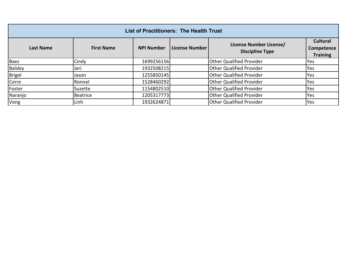| <b>List of Practitioners: The Health Trust</b> |                   |                   |                       |                                                   |                                                         |  |  |
|------------------------------------------------|-------------------|-------------------|-----------------------|---------------------------------------------------|---------------------------------------------------------|--|--|
| <b>Last Name</b>                               | <b>First Name</b> | <b>NPI Number</b> | <b>License Number</b> | License Number License/<br><b>Discipline Type</b> | <b>Cultural</b><br><b>Competence</b><br><b>Training</b> |  |  |
| <b>Baez</b>                                    | Cindy             | 1699256156        |                       | <b>Other Qualified Provider</b>                   | Yes                                                     |  |  |
| <b>Balsley</b>                                 | Jeri              | 1932508215        |                       | <b>Other Qualified Provider</b>                   | Yes                                                     |  |  |
| <b>Brigel</b>                                  | Jason             | 1255850145        |                       | <b>Other Qualified Provider</b>                   | Yes                                                     |  |  |
| Corre                                          | Ronnel            | 1528460292        |                       | <b>Other Qualified Provider</b>                   | Yes                                                     |  |  |
| Foster                                         | Suzette           | 1154802510        |                       | <b>Other Qualified Provider</b>                   | Yes                                                     |  |  |
| Naranjo                                        | <b>Beatrice</b>   | 1205317773        |                       | <b>Other Qualified Provider</b>                   | Yes                                                     |  |  |
| Vong                                           | Linh              | 1932624871        |                       | <b>Other Qualified Provider</b>                   | Yes                                                     |  |  |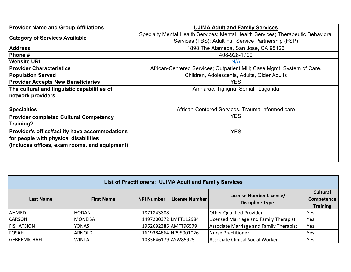| <b>Provider Name and Group Affiliations</b>    | <b>UJIMA Adult and Family Services</b>                                           |  |  |  |
|------------------------------------------------|----------------------------------------------------------------------------------|--|--|--|
| <b>Category of Services Available</b>          | Specialty Mental Health Services; Mental Health Services; Therapeutic Behavioral |  |  |  |
|                                                | Services (TBS); Adult Full Service Partnership (FSP)                             |  |  |  |
| <b>Address</b>                                 | 1898 The Alameda, San Jose, CA 95126                                             |  |  |  |
| Phone #                                        | 408-928-1700                                                                     |  |  |  |
| <b>Website URL</b>                             | N/A                                                                              |  |  |  |
| <b>Provider Characteristics</b>                | African-Centered Services; Outpatient MH; Case Mgmt, System of Care.             |  |  |  |
| <b>Population Served</b>                       | Children, Adolescents, Adults, Older Adults                                      |  |  |  |
| <b>Provider Accepts New Beneficiaries</b>      | <b>YES</b>                                                                       |  |  |  |
| The cultural and linguistic capabilities of    | Amharac, Tigrigna, Somali, Luganda                                               |  |  |  |
| network providers                              |                                                                                  |  |  |  |
|                                                |                                                                                  |  |  |  |
| <b>Specialties</b>                             | African-Centered Services, Trauma-informed care                                  |  |  |  |
| <b>Provider completed Cultural Competency</b>  | <b>YES</b>                                                                       |  |  |  |
| Training?                                      |                                                                                  |  |  |  |
| Provider's office/facility have accommodations | <b>YES</b>                                                                       |  |  |  |
| for people with physical disabilities          |                                                                                  |  |  |  |
| (includes offices, exam rooms, and equipment)  |                                                                                  |  |  |  |
|                                                |                                                                                  |  |  |  |
|                                                |                                                                                  |  |  |  |

| <b>List of Practitioners: UJIMA Adult and Family Services</b>                                                              |                |                      |                       |                                         |     |  |  |
|----------------------------------------------------------------------------------------------------------------------------|----------------|----------------------|-----------------------|-----------------------------------------|-----|--|--|
| License Number License/<br><b>NPI Number</b><br>License Number<br><b>First Name</b><br>Last Name<br><b>Discipline Type</b> |                |                      |                       |                                         |     |  |  |
| AHMED                                                                                                                      | <b>HODAN</b>   | 1871843888           |                       | <b>Other Qualified Provider</b>         | Yes |  |  |
| <b>CARSON</b>                                                                                                              | <b>MONEISA</b> |                      | 1497200372LMFT112984  | Licensed Marriage and Family Therapist  | Yes |  |  |
| <b>FISHATSION</b>                                                                                                          | <b>YONAS</b>   | 1952692386 AMFT96579 |                       | Associate Marriage and Family Therapist | Yes |  |  |
| FOSAH                                                                                                                      | <b>ARNOLD</b>  |                      | 1619384864 NP95001026 | Nurse Practitioner                      | Yes |  |  |
| <b>GEBREMICHAEL</b>                                                                                                        | <b>WINTA</b>   | 1033646179 ASW85925  |                       | Associate Clinical Social Worker        | Yes |  |  |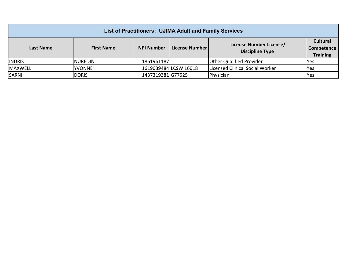| List of Practitioners: UJIMA Adult and Family Services                                                                     |                |                   |                       |                                 |                                                  |  |
|----------------------------------------------------------------------------------------------------------------------------|----------------|-------------------|-----------------------|---------------------------------|--------------------------------------------------|--|
| License Number License/<br>License Number<br><b>NPI Number</b><br><b>First Name</b><br>Last Name<br><b>Discipline Type</b> |                |                   |                       |                                 | <b>Cultural</b><br>Competence<br><b>Training</b> |  |
| <b>INDRIS</b>                                                                                                              | <b>NUREDIN</b> | 1861961187        |                       | <b>Other Qualified Provider</b> | <b>Yes</b>                                       |  |
| <b>MAXWELL</b>                                                                                                             | <b>YVONNE</b>  |                   | 1619039484 LCSW 16018 | Licensed Clinical Social Worker | <b>Yes</b>                                       |  |
| <b>SARNI</b>                                                                                                               | <b>DORIS</b>   | 1437319381 G77525 |                       | Physician                       | lYes                                             |  |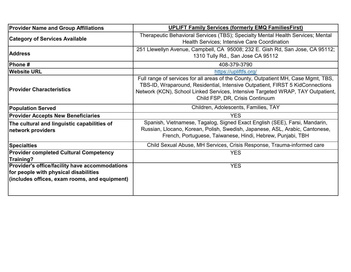| <b>Provider Name and Group Affiliations</b>                                                                                              | <b>UPLIFT Family Services (formerly EMQ FamiliesFirst)</b>                                                                                                                                                                                                                                |
|------------------------------------------------------------------------------------------------------------------------------------------|-------------------------------------------------------------------------------------------------------------------------------------------------------------------------------------------------------------------------------------------------------------------------------------------|
| <b>Category of Services Available</b>                                                                                                    | Therapeutic Behavioral Services (TBS); Specialty Mental Health Services; Mental<br>Health Services; Intensive Care Coordination                                                                                                                                                           |
| <b>Address</b>                                                                                                                           | 251 Llewellyn Avenue, Campbell, CA 95008; 232 E. Gish Rd, San Jose, CA 95112;<br>1310 Tully Rd., San Jose CA 95112                                                                                                                                                                        |
| <b>Phone#</b>                                                                                                                            | 408-379-3790                                                                                                                                                                                                                                                                              |
| <b>Website URL</b>                                                                                                                       | https://upliftfs.org/                                                                                                                                                                                                                                                                     |
| <b>Provider Characteristics</b>                                                                                                          | Full range of services for all areas of the County, Outpatient MH, Case Mgmt, TBS,<br>TBS-ID, Wraparound, Residential, Intensive Outpatient, FIRST 5 KidConnections<br>Network (KCN), School Linked Services, Intensive Targeted WRAP, TAY Outpatient,<br>Child FSP, DR, Crisis Continuum |
| <b>Population Served</b>                                                                                                                 | Children, Adolescents, Families, TAY                                                                                                                                                                                                                                                      |
| <b>Provider Accepts New Beneficiaries</b>                                                                                                | <b>YES</b>                                                                                                                                                                                                                                                                                |
| The cultural and linguistic capabilities of<br>network providers                                                                         | Spanish, Vietnamese, Tagalog, Signed Exact English (SEE), Farsi, Mandarin,<br>Russian, Llocano, Korean, Polish, Swedish, Japanese, ASL, Arabic, Cantonese,<br>French, Portuguese, Taiwanese, Hindi, Hebrew, Punjabi, TBH                                                                  |
| <b>Specialties</b>                                                                                                                       | Child Sexual Abuse, MH Services, Crisis Response, Trauma-informed care                                                                                                                                                                                                                    |
| <b>Provider completed Cultural Competency</b><br>Training?                                                                               | <b>YES</b>                                                                                                                                                                                                                                                                                |
| Provider's office/facility have accommodations<br>for people with physical disabilities<br>(includes offices, exam rooms, and equipment) | <b>YES</b>                                                                                                                                                                                                                                                                                |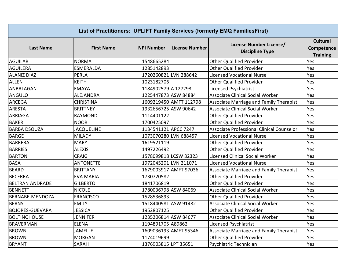| List of Practitioners: UPLIFT Family Services (formerly EMQ Families First) |                   |                       |                        |                                                   |                                                  |  |
|-----------------------------------------------------------------------------|-------------------|-----------------------|------------------------|---------------------------------------------------|--------------------------------------------------|--|
| <b>Last Name</b>                                                            | <b>First Name</b> | <b>NPI Number</b>     | <b>License Number</b>  | License Number License/<br><b>Discipline Type</b> | <b>Cultural</b><br>Competence<br><b>Training</b> |  |
| <b>AGUILAR</b>                                                              | <b>NORMA</b>      | 1548665284            |                        | <b>Other Qualified Provider</b>                   | Yes                                              |  |
| <b>AGUILERA</b>                                                             | <b>ESMERALDA</b>  | 1285142893            |                        | <b>Other Qualified Provider</b>                   | Yes                                              |  |
| <b>ALANIZ DIAZ</b>                                                          | <b>PERLA</b>      | 1720260821 LVN 288642 |                        | <b>Licensed Vocational Nurse</b>                  | Yes                                              |  |
| <b>ALLEN</b>                                                                | <b>KEITH</b>      | 1023182706            |                        | <b>Other Qualified Provider</b>                   | Yes                                              |  |
| ANBALAGAN                                                                   | <b>EMAYA</b>      | 1184902579 A 127293   |                        | Licensed Psychiatrist                             | Yes                                              |  |
| <b>ANGULO</b>                                                               | <b>ALEJANDRA</b>  | 1225447873 ASW 84884  |                        | Associate Clinical Social Worker                  | Yes                                              |  |
| <b>ARCEGA</b>                                                               | <b>CHRISTINA</b>  |                       | 1609219450 AMFT 112798 | Associate Marriage and Family Therapist           | Yes                                              |  |
| <b>ARESTA</b>                                                               | <b>BRITTNEY</b>   | 1932656725 ASW 90642  |                        | <b>Associate Clinical Social Worker</b>           | Yes                                              |  |
| <b>ARRIAGA</b>                                                              | <b>RAYMOND</b>    | 1114401122            |                        | <b>Other Qualified Provider</b>                   | Yes                                              |  |
| <b>BAKER</b>                                                                | <b>NOOR</b>       | 1700425097            |                        | <b>Other Qualified Provider</b>                   | Yes                                              |  |
| <b>BARBA DSOUZA</b>                                                         | <b>JACQUELINE</b> | 1134541121 APCC 7247  |                        | Associate Professional Clinical Counselor         | Yes                                              |  |
| <b>BARGE</b>                                                                | <b>MILADY</b>     | 1073070280 LVN 688457 |                        | <b>Licensed Vocational Nurse</b>                  | Yes                                              |  |
| <b>BARRERA</b>                                                              | <b>MARY</b>       | 1619521119            |                        | <b>Other Qualified Provider</b>                   | Yes                                              |  |
| <b>BARRIES</b>                                                              | <b>ALEXIS</b>     | 1497226492            |                        | <b>Other Qualified Provider</b>                   | Yes                                              |  |
| <b>BARTON</b>                                                               | <b>CRAIG</b>      |                       | 1578099818 LCSW 82323  | <b>Licensed Clinical Social Worker</b>            | Yes                                              |  |
| <b>BASA</b>                                                                 | <b>ANTONETTE</b>  | 1972045201 LVN 211071 |                        | <b>Licensed Vocational Nurse</b>                  | Yes                                              |  |
| <b>BEARD</b>                                                                | <b>BRITTANY</b>   |                       | 1679003917 AMFT 97036  | Associate Marriage and Family Therapist           | Yes                                              |  |
| <b>BECERRA</b>                                                              | <b>EVA MARIA</b>  | 1730720582            |                        | <b>Other Qualified Provider</b>                   | Yes                                              |  |
| <b>BELTRAN ANDRADE</b>                                                      | <b>GILBERTO</b>   | 1841706819            |                        | <b>Other Qualified Provider</b>                   | Yes                                              |  |
| <b>BENNETT</b>                                                              | <b>NICOLE</b>     | 1780036798 ASW 84069  |                        | Associate Clinical Social Worker                  | Yes                                              |  |
| BERNABE-MENDOZA                                                             | <b>FRANCISCO</b>  | 1528536893            |                        | <b>Other Qualified Provider</b>                   | Yes                                              |  |
| <b>BERNS</b>                                                                | <b>EMILY</b>      | 1518440981 ASW 91482  |                        | <b>Associate Clinical Social Worker</b>           | Yes                                              |  |
| <b>BOJORES-GUEVARA</b>                                                      | <b>JESSICA</b>    | 1952807125            |                        | <b>Other Qualified Provider</b>                   | Yes                                              |  |
| <b>BOLTINGHOUSE</b>                                                         | <b>JENNIFER</b>   | 1235206814 ASW 84677  |                        | Associate Clinical Social Worker                  | Yes                                              |  |
| <b>BRAVERMAN</b>                                                            | <b>ELENA</b>      | 1194891705 A89862     |                        | Licensed Psychiatrist                             | Yes                                              |  |
| <b>BROWN</b>                                                                | <b>JAMELLE</b>    |                       | 1609036193 AMFT 95346  | Associate Marriage and Family Therapist           | Yes                                              |  |
| <b>BROWN</b>                                                                | <b>MORGAN</b>     | 1174019699            |                        | <b>Other Qualified Provider</b>                   | Yes                                              |  |
| <b>BRYANT</b>                                                               | <b>SARAH</b>      | 1376903815 LPT 35651  |                        | Psychiatric Technician                            | Yes                                              |  |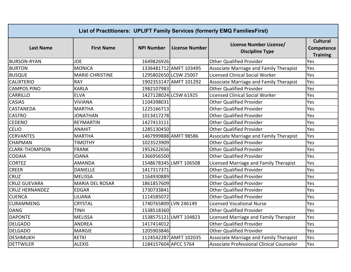| List of Practitioners: UPLIFT Family Services (formerly EMQ Families First) |                        |                       |                        |                                                   |                                                  |  |
|-----------------------------------------------------------------------------|------------------------|-----------------------|------------------------|---------------------------------------------------|--------------------------------------------------|--|
| <b>Last Name</b>                                                            | <b>First Name</b>      | <b>NPI Number</b>     | <b>License Number</b>  | License Number License/<br><b>Discipline Type</b> | <b>Cultural</b><br>Competence<br><b>Training</b> |  |
| <b>BURSON-RYAN</b>                                                          | <b>JOE</b>             | 1649826926            |                        | <b>Other Qualified Provider</b>                   | Yes                                              |  |
| <b>BURTON</b>                                                               | <b>MONICA</b>          |                       | 1336481712 AMFT 103495 | Associate Marriage and Family Therapist           | Yes                                              |  |
| <b>BUSQUE</b>                                                               | MARIE-CHRISTINE        |                       | 1295802650 LCSW 25007  | <b>Licensed Clinical Social Worker</b>            | Yes                                              |  |
| <b>CALIXTERIO</b>                                                           | <b>RAY</b>             |                       | 1902353147 AMFT 101292 | Associate Marriage and Family Therapist           | Yes                                              |  |
| <b>CAMPOS PINO</b>                                                          | <b>KARLA</b>           | 1982107983            |                        | <b>Other Qualified Provider</b>                   | Yes                                              |  |
| <b>CARRILLO</b>                                                             | <b>ELVA</b>            |                       | 1427128024 LCSW 61925  | <b>Licensed Clinical Social Worker</b>            | Yes                                              |  |
| <b>CASIAS</b>                                                               | <b>VIVIANA</b>         | 1104398031            |                        | <b>Other Qualified Provider</b>                   | Yes                                              |  |
| <b>CASTANEDA</b>                                                            | <b>MARTHA</b>          | 1225166713            |                        | <b>Other Qualified Provider</b>                   | Yes                                              |  |
| <b>CASTRO</b>                                                               | <b>JONATHAN</b>        | 1013417278            |                        | <b>Other Qualified Provider</b>                   | Yes                                              |  |
| <b>CEDENO</b>                                                               | <b>REYMARTIN</b>       | 1427413111            |                        | <b>Other Qualified Provider</b>                   | Yes                                              |  |
| <b>CELIO</b>                                                                | <b>ANAHIT</b>          | 1285130450            |                        | <b>Other Qualified Provider</b>                   | Yes                                              |  |
| <b>CERVANTES</b>                                                            | <b>MARTHA</b>          |                       | 1467999888 AMFT 98586  | Associate Marriage and Family Therapist           | Yes                                              |  |
| <b>CHAPMAN</b>                                                              | <b>TIMOTHY</b>         | 1023523909            |                        | <b>Other Qualified Provider</b>                   | Yes                                              |  |
| <b>CLARK-THOMPSON</b>                                                       | <b>FRANK</b>           | 1952622656            |                        | <b>Other Qualified Provider</b>                   | Yes                                              |  |
| <b>CODAIA</b>                                                               | <b>IOANA</b>           | 1366956500            |                        | <b>Other Qualified Provider</b>                   | Yes                                              |  |
| <b>CORTEZ</b>                                                               | <b>AMANDA</b>          |                       | 1548678345 LMFT 106508 | Licensed Marriage and Family Therapist            | Yes                                              |  |
| <b>CREER</b>                                                                | <b>DANIELLE</b>        | 1417317371            |                        | <b>Other Qualified Provider</b>                   | Yes                                              |  |
| <b>CRUZ</b>                                                                 | <b>MELISSA</b>         | 1164930889            |                        | <b>Other Qualified Provider</b>                   | Yes                                              |  |
| <b>CRUZ GUEVARA</b>                                                         | <b>MARIA DEL ROSAR</b> | 1861857609            |                        | <b>Other Qualified Provider</b>                   | Yes                                              |  |
| <b>CRUZ HERNANDEZ</b>                                                       | <b>EDGAR</b>           | 1730733841            |                        | <b>Other Qualified Provider</b>                   | Yes                                              |  |
| <b>CUENCA</b>                                                               | LILIANA                | 1114585072            |                        | <b>Other Qualified Provider</b>                   | Yes                                              |  |
| <b>CURAMMENG</b>                                                            | <b>CRYSTAL</b>         | 1740765809 LVN 246149 |                        | <b>Licensed Vocational Nurse</b>                  | Yes                                              |  |
| <b>DANG</b>                                                                 | <b>TINH</b>            | 1538518360            |                        | <b>Other Qualified Provider</b>                   | Yes                                              |  |
| <b>DAPONTE</b>                                                              | <b>MELISSA</b>         |                       | 1538575121 LMFT 104823 | Licensed Marriage and Family Therapist            | Yes                                              |  |
| <b>DELGADO</b>                                                              | <b>ANDREA</b>          | 1417414012            |                        | <b>Other Qualified Provider</b>                   | Yes                                              |  |
| <b>DELGADO</b>                                                              | <b>MARGIE</b>          | 1205903846            |                        | <b>Other Qualified Provider</b>                   | Yes                                              |  |
| <b>DESHMUKH</b>                                                             | <b>KETKI</b>           |                       | 1124542287 AMFT 102035 | Associate Marriage and Family Therapist           | Yes                                              |  |
| <b>DETTWILER</b>                                                            | <b>ALEXIS</b>          | 1184157604 APCC 5764  |                        | Associate Professional Clinical Counselor         | Yes                                              |  |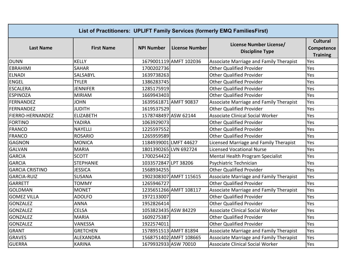| List of Practitioners: UPLIFT Family Services (formerly EMQ Families First) |                   |                       |                        |                                                   |                                                  |  |
|-----------------------------------------------------------------------------|-------------------|-----------------------|------------------------|---------------------------------------------------|--------------------------------------------------|--|
| <b>Last Name</b>                                                            | <b>First Name</b> | <b>NPI Number</b>     | <b>License Number</b>  | License Number License/<br><b>Discipline Type</b> | <b>Cultural</b><br>Competence<br><b>Training</b> |  |
| <b>DUNN</b>                                                                 | <b>KELLY</b>      |                       | 1679001119 AMFT 102036 | Associate Marriage and Family Therapist           | Yes                                              |  |
| <b>EBRAHIMI</b>                                                             | <b>SAHAR</b>      | 1700202736            |                        | <b>Other Qualified Provider</b>                   | Yes                                              |  |
| <b>ELNADI</b>                                                               | SALSABYL          | 1639738263            |                        | <b>Other Qualified Provider</b>                   | Yes                                              |  |
| <b>ENGEL</b>                                                                | <b>TYLER</b>      | 1386283745            |                        | <b>Other Qualified Provider</b>                   | Yes                                              |  |
| <b>ESCALERA</b>                                                             | <b>JENNIFER</b>   | 1285175919            |                        | <b>Other Qualified Provider</b>                   | Yes                                              |  |
| <b>ESPINOZA</b>                                                             | <b>MIRIAM</b>     | 1669943403            |                        | <b>Other Qualified Provider</b>                   | Yes                                              |  |
| <b>FERNANDEZ</b>                                                            | <b>JOHN</b>       |                       | 1639561871 AMFT 90837  | Associate Marriage and Family Therapist           | Yes                                              |  |
| <b>FERNANDEZ</b>                                                            | JUDITH            | 1619537529            |                        | <b>Other Qualified Provider</b>                   | Yes                                              |  |
| FIERRO-HERNANDEZ                                                            | <b>ELIZABETH</b>  | 1578748497 ASW 62144  |                        | Associate Clinical Social Worker                  | Yes                                              |  |
| <b>FORTINO</b>                                                              | YADIRA            | 1063929073            |                        | <b>Other Qualified Provider</b>                   | Yes                                              |  |
| <b>FRANCO</b>                                                               | <b>NAYELLI</b>    | 1225597552            |                        | <b>Other Qualified Provider</b>                   | Yes                                              |  |
| <b>FRANCO</b>                                                               | <b>ROSARIO</b>    | 1265959589            |                        | <b>Other Qualified Provider</b>                   | Yes                                              |  |
| <b>GAGNON</b>                                                               | <b>MONICA</b>     | 1184939001 LMFT 44627 |                        | Licensed Marriage and Family Therapist            | Yes                                              |  |
| <b>GALVAN</b>                                                               | <b>MARIA</b>      | 1801390265 LVN 692724 |                        | <b>Licensed Vocational Nurse</b>                  | Yes                                              |  |
| <b>GARCIA</b>                                                               | <b>SCOTT</b>      | 1700254422            |                        | Mental Health Program Specialist                  | Yes                                              |  |
| <b>GARCIA</b>                                                               | <b>STEPHANIE</b>  | 1033572847 LPT 38206  |                        | Psychiatric Technician                            | Yes                                              |  |
| <b>GARCIA CRISTINO</b>                                                      | <b>JESSICA</b>    | 1568934255            |                        | <b>Other Qualified Provider</b>                   | Yes                                              |  |
| <b>GARCIA-RUIZ</b>                                                          | <b>SUSANA</b>     |                       | 1902308307 AMFT 115615 | <b>Associate Marriage and Family Therapist</b>    | Yes                                              |  |
| <b>GARRETT</b>                                                              | <b>TOMMY</b>      | 1265946727            |                        | <b>Other Qualified Provider</b>                   | Yes                                              |  |
| <b>GOLDMAN</b>                                                              | <b>MONET</b>      |                       | 1235651266 AMFT 108117 | Associate Marriage and Family Therapist           | Yes                                              |  |
| <b>GOMEZ VILLA</b>                                                          | <b>ADOLFO</b>     | 1972133007            |                        | <b>Other Qualified Provider</b>                   | Yes                                              |  |
| <b>GONZALEZ</b>                                                             | <b>ANNA</b>       | 1952826414            |                        | <b>Other Qualified Provider</b>                   | Yes                                              |  |
| <b>GONZALEZ</b>                                                             | <b>CELSA</b>      | 1053823435 ASW 84229  |                        | <b>Associate Clinical Social Worker</b>           | Yes                                              |  |
| <b>GONZALEZ</b>                                                             | <b>MARIA</b>      | 1609275387            |                        | <b>Other Qualified Provider</b>                   | Yes                                              |  |
| <b>GONZALEZ</b>                                                             | VANESSA           | 1922574011            |                        | <b>Other Qualified Provider</b>                   | Yes                                              |  |
| <b>GRANT</b>                                                                | <b>GRETCHEN</b>   |                       | 1578951513 AMFT 81894  | <b>Associate Marriage and Family Therapist</b>    | Yes                                              |  |
| <b>GRAVES</b>                                                               | ALEXANDRA         |                       | 1568751402 AMFT 108665 | Associate Marriage and Family Therapist           | Yes                                              |  |
| <b>GUERRA</b>                                                               | <b>KARINA</b>     | 1679932933 ASW 70010  |                        | Associate Clinical Social Worker                  | Yes                                              |  |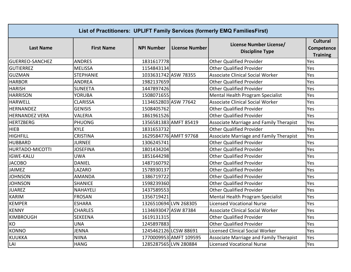| List of Practitioners: UPLIFT Family Services (formerly EMQ FamiliesFirst) |                   |                       |                        |                                                   |                                                  |  |
|----------------------------------------------------------------------------|-------------------|-----------------------|------------------------|---------------------------------------------------|--------------------------------------------------|--|
| <b>Last Name</b>                                                           | <b>First Name</b> | <b>NPI Number</b>     | <b>License Number</b>  | License Number License/<br><b>Discipline Type</b> | <b>Cultural</b><br>Competence<br><b>Training</b> |  |
| <b>GUERREO-SANCHEZ</b>                                                     | <b>ANDRES</b>     | 1831617778            |                        | <b>Other Qualified Provider</b>                   | Yes                                              |  |
| <b>GUTIERREZ</b>                                                           | <b>MELISSA</b>    | 1154843134            |                        | <b>Other Qualified Provider</b>                   | Yes                                              |  |
| <b>GUZMAN</b>                                                              | <b>STEPHANIE</b>  | 1033631742 ASW 78355  |                        | <b>Associate Clinical Social Worker</b>           | Yes                                              |  |
| <b>HARBOR</b>                                                              | <b>ANDREA</b>     | 1982137659            |                        | <b>Other Qualified Provider</b>                   | Yes                                              |  |
| <b>HARISH</b>                                                              | <b>SUNEETA</b>    | 1447897426            |                        | <b>Other Qualified Provider</b>                   | Yes                                              |  |
| <b>HARRISON</b>                                                            | <b>YORUBA</b>     | 1508071655            |                        | Mental Health Program Specialist                  | Yes                                              |  |
| <b>HARWELL</b>                                                             | <b>CLARISSA</b>   | 1134652803 ASW 77642  |                        | <b>Associate Clinical Social Worker</b>           | Yes                                              |  |
| <b>HERNANDEZ</b>                                                           | <b>GENISIS</b>    | 1508405762            |                        | <b>Other Qualified Provider</b>                   | Yes                                              |  |
| <b>HERNANDEZ VERA</b>                                                      | <b>VALERIA</b>    | 1861961526            |                        | <b>Other Qualified Provider</b>                   | Yes                                              |  |
| <b>HERTZBERG</b>                                                           | <b>PHUONG</b>     |                       | 1356581383 AMFT 85419  | Associate Marriage and Family Therapist           | Yes                                              |  |
| <b>HIEB</b>                                                                | <b>KYLE</b>       | 1831653732            |                        | <b>Other Qualified Provider</b>                   | Yes                                              |  |
| <b>HIGHFILL</b>                                                            | <b>CRISTINA</b>   |                       | 1629584776 AMFT 97768  | Associate Marriage and Family Therapist           | Yes                                              |  |
| <b>HUBBARD</b>                                                             | <b>JURNEE</b>     | 1306245741            |                        | <b>Other Qualified Provider</b>                   | Yes                                              |  |
| HURTADO-MICOTTI                                                            | <b>JOSEFINA</b>   | 1801434204            |                        | <b>Other Qualified Provider</b>                   | Yes                                              |  |
| <b>IGWE-KALU</b>                                                           | <b>UWA</b>        | 1851644298            |                        | <b>Other Qualified Provider</b>                   | Yes                                              |  |
| <b>JACOBO</b>                                                              | <b>DANIEL</b>     | 1487160792            |                        | <b>Other Qualified Provider</b>                   | Yes                                              |  |
| <b>JAIMEZ</b>                                                              | <b>LAZARO</b>     | 1578930137            |                        | <b>Other Qualified Provider</b>                   | Yes                                              |  |
| <b>JOHNSON</b>                                                             | <b>AMANDA</b>     | 1386719722            |                        | <b>Other Qualified Provider</b>                   | Yes                                              |  |
| <b>JOHNSON</b>                                                             | <b>SHANICE</b>    | 1598239360            |                        | <b>Other Qualified Provider</b>                   | Yes                                              |  |
| <b>JUAREZ</b>                                                              | <b>NAHAYELI</b>   | 1437589553            |                        | <b>Other Qualified Provider</b>                   | Yes                                              |  |
| <b>KARIM</b>                                                               | <b>FROSAN</b>     | 1356719421            |                        | Mental Health Program Specialist                  | Yes                                              |  |
| <b>KEMPER</b>                                                              | <b>ESHARA</b>     | 1326510694 LVN 268305 |                        | <b>Licensed Vocational Nurse</b>                  | Yes                                              |  |
| <b>KENNY</b>                                                               | <b>CHARLES</b>    | 1134693047 ASW 87384  |                        | <b>Associate Clinical Social Worker</b>           | Yes                                              |  |
| <b>KIMBROUGH</b>                                                           | SEKEENA           | 1619131315            |                        | <b>Other Qualified Provider</b>                   | Yes                                              |  |
| KO                                                                         | <b>UNA</b>        | 1245897883            |                        | <b>Other Qualified Provider</b>                   | Yes                                              |  |
| <b>KONNO</b>                                                               | <b>JENNA</b>      | 1245462126 LCSW 88691 |                        | <b>Licensed Clinical Social Worker</b>            | Yes                                              |  |
| <b>KUUKKA</b>                                                              | <b>NIINA</b>      |                       | 1770009953 AMFT 109595 | Associate Marriage and Family Therapist           | Yes                                              |  |
| LAI                                                                        | <b>HANG</b>       | 1285287565 LVN 280884 |                        | <b>Licensed Vocational Nurse</b>                  | Yes                                              |  |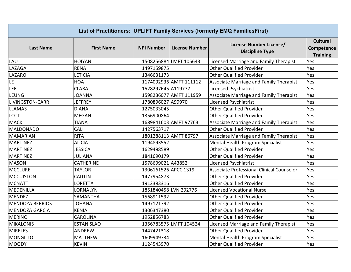| List of Practitioners: UPLIFT Family Services (formerly EMQ FamiliesFirst) |                   |                       |                        |                                                   |                                                  |  |
|----------------------------------------------------------------------------|-------------------|-----------------------|------------------------|---------------------------------------------------|--------------------------------------------------|--|
| <b>Last Name</b>                                                           | <b>First Name</b> | <b>NPI Number</b>     | <b>License Number</b>  | License Number License/<br><b>Discipline Type</b> | <b>Cultural</b><br>Competence<br><b>Training</b> |  |
| LAU                                                                        | <b>HOIYAN</b>     |                       | 1508256884 LMFT 105643 | Licensed Marriage and Family Therapist            | Yes                                              |  |
| LAZAGA                                                                     | <b>RENA</b>       | 1497159875            |                        | <b>Other Qualified Provider</b>                   | Yes                                              |  |
| LAZARO                                                                     | LETICIA           | 1346631173            |                        | <b>Other Qualified Provider</b>                   | Yes                                              |  |
| LE                                                                         | <b>HOA</b>        |                       | 1174092936 AMFT 111112 | Associate Marriage and Family Therapist           | Yes                                              |  |
| <b>LEE</b>                                                                 | <b>CLARA</b>      | 1528297645 A119777    |                        | Licensed Psychiatrist                             | Yes                                              |  |
| <b>LEUNG</b>                                                               | <b>JOANNA</b>     |                       | 1598236077 AMFT 111959 | Associate Marriage and Family Therapist           | Yes                                              |  |
| <b>LIVINGSTON-CARR</b>                                                     | <b>JEFFREY</b>    | 1780896027 A99970     |                        | Licensed Psychiatrist                             | Yes                                              |  |
| <b>LLAMAS</b>                                                              | <b>DIANA</b>      | 1275033045            |                        | <b>Other Qualified Provider</b>                   | Yes                                              |  |
| LOTT                                                                       | <b>MEGAN</b>      | 1356900864            |                        | <b>Other Qualified Provider</b>                   | Yes                                              |  |
| <b>MACK</b>                                                                | <b>TIANA</b>      |                       | 1689841603 AMFT 97763  | Associate Marriage and Family Therapist           | Yes                                              |  |
| <b>MALDONADO</b>                                                           | CALI              | 1427563717            |                        | <b>Other Qualified Provider</b>                   | Yes                                              |  |
| <b>MAMARIAN</b>                                                            | <b>RITA</b>       |                       | 1801288113 AMFT 86797  | Associate Marriage and Family Therapist           | Yes                                              |  |
| <b>MARTINEZ</b>                                                            | <b>ALICIA</b>     | 1194893552            |                        | Mental Health Program Specialist                  | Yes                                              |  |
| <b>MARTINEZ</b>                                                            | <b>JESSICA</b>    | 1629498589            |                        | <b>Other Qualified Provider</b>                   | Yes                                              |  |
| <b>MARTINEZ</b>                                                            | JULIANA           | 1841690179            |                        | <b>Other Qualified Provider</b>                   | Yes                                              |  |
| <b>MASON</b>                                                               | <b>CATHERINE</b>  | 1578699021 A43852     |                        | Licensed Psychiatrist                             | Yes                                              |  |
| <b>MCCLURE</b>                                                             | <b>TAYLOR</b>     | 1306161526 APCC 1319  |                        | Associate Professional Clinical Counselor         | Yes                                              |  |
| <b>MCCUISTON</b>                                                           | CAITLIN           | 1477954873            |                        | <b>Other Qualified Provider</b>                   | Yes                                              |  |
| <b>MCNATT</b>                                                              | LORETTA           | 1912383316            |                        | <b>Other Qualified Provider</b>                   | Yes                                              |  |
| <b>MEDENILLA</b>                                                           | LORNALYN          | 1851840458 LVN 292776 |                        | <b>Licensed Vocational Nurse</b>                  | Yes                                              |  |
| <b>MENDEZ</b>                                                              | SAMANTHA          | 1568911592            |                        | <b>Other Qualified Provider</b>                   | Yes                                              |  |
| <b>MENDOZA BERRIOS</b>                                                     | <b>JOHANA</b>     | 1497121792            |                        | <b>Other Qualified Provider</b>                   | Yes                                              |  |
| <b>MENDOZA GARCIA</b>                                                      | <b>KENIA</b>      | 1306347380            |                        | <b>Other Qualified Provider</b>                   | Yes                                              |  |
| <b>MERINO</b>                                                              | <b>CAROLINA</b>   | 1952856783            |                        | <b>Other Qualified Provider</b>                   | Yes                                              |  |
| <b>MIKALONIS</b>                                                           | <b>ESTANISLAO</b> |                       | 1356783575 LMFT 104524 | Licensed Marriage and Family Therapist            | Yes                                              |  |
| <b>MIRELES</b>                                                             | ANDREW            | 1447421318            |                        | <b>Other Qualified Provider</b>                   | Yes                                              |  |
| <b>MONGILLO</b>                                                            | <b>MATTHEW</b>    | 1609949734            |                        | Mental Health Program Specialist                  | Yes                                              |  |
| <b>MOODY</b>                                                               | <b>KEVIN</b>      | 1124543970            |                        | <b>Other Qualified Provider</b>                   | Yes                                              |  |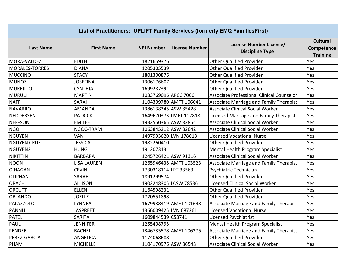| List of Practitioners: UPLIFT Family Services (formerly EMQ Families First) |                    |                       |                        |                                                   |                                                  |  |
|-----------------------------------------------------------------------------|--------------------|-----------------------|------------------------|---------------------------------------------------|--------------------------------------------------|--|
| <b>Last Name</b>                                                            | <b>First Name</b>  | <b>NPI Number</b>     | <b>License Number</b>  | License Number License/<br><b>Discipline Type</b> | <b>Cultural</b><br>Competence<br><b>Training</b> |  |
| MORA-VALDEZ                                                                 | <b>EDITH</b>       | 1821659376            |                        | <b>Other Qualified Provider</b>                   | Yes                                              |  |
| <b>MORALES-TORRES</b>                                                       | <b>DIANA</b>       | 1205305539            |                        | <b>Other Qualified Provider</b>                   | Yes                                              |  |
| <b>MUCCINO</b>                                                              | <b>STACY</b>       | 1801300876            |                        | <b>Other Qualified Provider</b>                   | Yes                                              |  |
| <b>MUNOZ</b>                                                                | <b>JOSEFINA</b>    | 1306176607            |                        | <b>Other Qualified Provider</b>                   | Yes                                              |  |
| <b>MURRILLO</b>                                                             | <b>CYNTHIA</b>     | 1699287391            |                        | <b>Other Qualified Provider</b>                   | Yes                                              |  |
| <b>MURULI</b>                                                               | <b>MARTIN</b>      | 1033769096 APCC 7060  |                        | Associate Professional Clinical Counselor         | Yes                                              |  |
| <b>NAFF</b>                                                                 | <b>SARAH</b>       |                       | 1104309780 AMFT 106041 | <b>Associate Marriage and Family Therapist</b>    | Yes                                              |  |
| <b>NAVARRO</b>                                                              | <b>AMANDA</b>      | 1386138345 ASW 85428  |                        | <b>Associate Clinical Social Worker</b>           | Yes                                              |  |
| NEDDERSEN                                                                   | <b>PATRICK</b>     |                       | 1649670373LMFT 112818  | Licensed Marriage and Family Therapist            | Yes                                              |  |
| <b>NEFFSON</b>                                                              | <b>EMILEE</b>      | 1932550365 ASW 83854  |                        | Associate Clinical Social Worker                  | Yes                                              |  |
| <b>NGO</b>                                                                  | NGOC-TRAM          | 1063845212 ASW 82642  |                        | <b>Associate Clinical Social Worker</b>           | Yes                                              |  |
| <b>NGUYEN</b>                                                               | <b>VAN</b>         | 1497993620 LVN 178013 |                        | <b>Licensed Vocational Nurse</b>                  | Yes                                              |  |
| <b>NGUYEN CRUZ</b>                                                          | <b>JESSICA</b>     | 1982260410            |                        | <b>Other Qualified Provider</b>                   | Yes                                              |  |
| NGUYEN2                                                                     | <b>HUNG</b>        | 1912073131            |                        | Mental Health Program Specialist                  | Yes                                              |  |
| <b>NIKITTIN</b>                                                             | <b>BARBARA</b>     | 1245726421 ASW 91316  |                        | <b>Associate Clinical Social Worker</b>           | Yes                                              |  |
| <b>NOON</b>                                                                 | <b>LISA LAUREN</b> |                       | 1265946438 AMFT 103523 | Associate Marriage and Family Therapist           | Yes                                              |  |
| O'HAGAN                                                                     | <b>CEVIN</b>       | 1730318114 LPT 33563  |                        | Psychiatric Technician                            | Yes                                              |  |
| <b>OLIPHANT</b>                                                             | <b>SARAH</b>       | 1891299574            |                        | <b>Other Qualified Provider</b>                   | Yes                                              |  |
| <b>ORACH</b>                                                                | <b>ALLISON</b>     |                       | 1902248305 LCSW 78536  | <b>Licensed Clinical Social Worker</b>            | Yes                                              |  |
| <b>ORCUTT</b>                                                               | <b>ELLEN</b>       | 1164598231            |                        | <b>Other Qualified Provider</b>                   | Yes                                              |  |
| <b>ORLANDO</b>                                                              | <b>JOELLE</b>      | 1720551898            |                        | <b>Other Qualified Provider</b>                   | Yes                                              |  |
| PALAZZOLO                                                                   | <b>LYNNEA</b>      |                       | 1679938419 AMFT 101643 | Associate Marriage and Family Therapist           | Yes                                              |  |
| PANNU                                                                       | <b>JASPREET</b>    | 1366009425 LVN 687361 |                        | <b>Licensed Vocational Nurse</b>                  | Yes                                              |  |
| <b>PATEL</b>                                                                | <b>SARITA</b>      | 1609844539 C53741     |                        | Licensed Psychiatrist                             | Yes                                              |  |
| PAUL                                                                        | <b>JENNIFER</b>    | 1255408795            |                        | Mental Health Program Specialist                  | Yes                                              |  |
| <b>PENDER</b>                                                               | <b>RACHEL</b>      |                       | 1346735578 AMFT 106275 | Associate Marriage and Family Therapist           | Yes                                              |  |
| PEREZ-GARCIA                                                                | <b>ANGELICA</b>    | 1174068688            |                        | <b>Other Qualified Provider</b>                   | Yes                                              |  |
| PHAM                                                                        | <b>MICHELLE</b>    | 1104170976 ASW 86548  |                        | <b>Associate Clinical Social Worker</b>           | Yes                                              |  |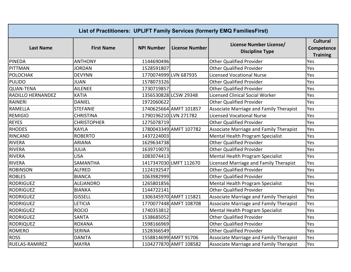| List of Practitioners: UPLIFT Family Services (formerly EMQ Families First) |                    |                       |                                                                            |                                                |                                                  |  |  |  |
|-----------------------------------------------------------------------------|--------------------|-----------------------|----------------------------------------------------------------------------|------------------------------------------------|--------------------------------------------------|--|--|--|
| <b>Last Name</b>                                                            | <b>First Name</b>  | <b>NPI Number</b>     | License Number License/<br><b>License Number</b><br><b>Discipline Type</b> |                                                | <b>Cultural</b><br>Competence<br><b>Training</b> |  |  |  |
| <b>PINEDA</b>                                                               | <b>ANTHONY</b>     | 1144690496            |                                                                            | <b>Other Qualified Provider</b>                | Yes                                              |  |  |  |
| PITTMAN                                                                     | <b>JORDAN</b>      | 1528591807            |                                                                            | <b>Other Qualified Provider</b>                | Yes                                              |  |  |  |
| <b>POLOCHAK</b>                                                             | <b>DEVYNN</b>      | 1770074999 LVN 687935 |                                                                            | <b>Licensed Vocational Nurse</b>               | Yes                                              |  |  |  |
| <b>PULIDO</b>                                                               | <b>JUAN</b>        | 1578073326            |                                                                            | <b>Other Qualified Provider</b>                | Yes                                              |  |  |  |
| <b>QUAN-TENA</b>                                                            | <b>AILENEE</b>     | 1730719857            |                                                                            | <b>Other Qualified Provider</b>                | Yes                                              |  |  |  |
| RADILLO HERNANDEZ                                                           | <b>KATIA</b>       |                       | 1356530828 LCSW 29348                                                      | <b>Licensed Clinical Social Worker</b>         | Yes                                              |  |  |  |
| RAINERI                                                                     | <b>DANIEL</b>      | 1972060622            |                                                                            | <b>Other Qualified Provider</b>                | Yes                                              |  |  |  |
| <b>RAMELLA</b>                                                              | <b>STEFANIE</b>    |                       | 1740625664 AMFT 101857                                                     | Associate Marriage and Family Therapist        | Yes                                              |  |  |  |
| <b>REMIGIO</b>                                                              | <b>CHRISTINA</b>   | 1790196210 LVN 271782 |                                                                            | <b>Licensed Vocational Nurse</b>               | Yes                                              |  |  |  |
| <b>REYES</b>                                                                | <b>CHRISTOPHER</b> | 1275078719            |                                                                            | <b>Other Qualified Provider</b>                | Yes                                              |  |  |  |
| <b>RHODES</b>                                                               | <b>KAYLA</b>       |                       | 1780043349 AMFT 107782                                                     | Associate Marriage and Family Therapist        | Yes                                              |  |  |  |
| RINCAND                                                                     | <b>ROBERTO</b>     | 1437224003            |                                                                            | Mental Health Program Specialist               | Yes                                              |  |  |  |
| <b>RIVERA</b>                                                               | <b>ARIANA</b>      | 1629634738            |                                                                            | <b>Other Qualified Provider</b>                | Yes                                              |  |  |  |
| <b>RIVERA</b>                                                               | JULIA              | 1639719073            |                                                                            | <b>Other Qualified Provider</b>                | Yes                                              |  |  |  |
| <b>RIVERA</b>                                                               | <b>LISA</b>        | 1083074413            |                                                                            | Mental Health Program Specialist               | Yes                                              |  |  |  |
| <b>RIVERA</b>                                                               | <b>SAMANTHA</b>    |                       | 1417347030 LMFT 112670                                                     | Licensed Marriage and Family Therapist         | Yes                                              |  |  |  |
| <b>ROBINSON</b>                                                             | <b>ALFRED</b>      | 1124192547            |                                                                            | <b>Other Qualified Provider</b>                | Yes                                              |  |  |  |
| <b>ROBLES</b>                                                               | <b>BIANCA</b>      | 1063982999            |                                                                            | <b>Other Qualified Provider</b>                | Yes                                              |  |  |  |
| <b>RODRIGUEZ</b>                                                            | ALEJANDRO          | 1265801856            |                                                                            | Mental Health Program Specialist               | Yes                                              |  |  |  |
| <b>RODRIGUEZ</b>                                                            | <b>BIANKA</b>      | 1144722141            |                                                                            | <b>Other Qualified Provider</b>                | Yes                                              |  |  |  |
| <b>RODRIGUEZ</b>                                                            | <b>GISSELL</b>     |                       | 1306345970 AMFT 115821                                                     | Associate Marriage and Family Therapist        | Yes                                              |  |  |  |
| <b>RODRIGUEZ</b>                                                            | LETICIA            |                       | 1770077448 AMFT 108708                                                     | Associate Marriage and Family Therapist        | Yes                                              |  |  |  |
| <b>RODRIGUEZ</b>                                                            | <b>ROCIO</b>       | 1740353812            |                                                                            | Mental Health Program Specialist               | Yes                                              |  |  |  |
| <b>RODRIGUEZ</b>                                                            | <b>SANTA</b>       | 1538685052            |                                                                            | <b>Other Qualified Provider</b>                | Yes                                              |  |  |  |
| <b>RODRIQUEZ</b>                                                            | <b>ROXANA</b>      | 1598166969            |                                                                            | <b>Other Qualified Provider</b>                | Yes                                              |  |  |  |
| <b>ROMERO</b>                                                               | <b>SERINA</b>      | 1528366549            |                                                                            | <b>Other Qualified Provider</b>                | Yes                                              |  |  |  |
| <b>ROSS</b>                                                                 | <b>DANITA</b>      |                       | 1558814699 AMFT 91706                                                      | Associate Marriage and Family Therapist        | Yes                                              |  |  |  |
| RUELAS-RAMIREZ                                                              | <b>MAYRA</b>       |                       | 1104277870 AMFT 108582                                                     | <b>Associate Marriage and Family Therapist</b> | Yes                                              |  |  |  |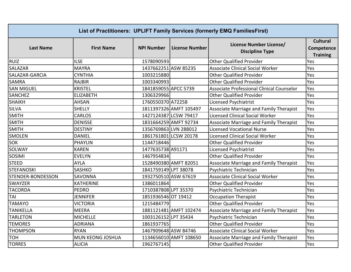| List of Practitioners: UPLIFT Family Services (formerly EMQ Families First) |                   |                       |                                                                            |                                           |                                                  |  |  |  |
|-----------------------------------------------------------------------------|-------------------|-----------------------|----------------------------------------------------------------------------|-------------------------------------------|--------------------------------------------------|--|--|--|
| <b>Last Name</b>                                                            | <b>First Name</b> | <b>NPI Number</b>     | License Number License/<br><b>License Number</b><br><b>Discipline Type</b> |                                           | <b>Cultural</b><br>Competence<br><b>Training</b> |  |  |  |
| <b>RUIZ</b>                                                                 | <b>ILSE</b>       | 1578090593            |                                                                            | <b>Other Qualified Provider</b>           | Yes                                              |  |  |  |
| <b>SALAZAR</b>                                                              | <b>MAYRA</b>      | 1437662251 ASW 85235  |                                                                            | Associate Clinical Social Worker          | Yes                                              |  |  |  |
| SALAZAR-GARCIA                                                              | <b>CYNTHIA</b>    | 1003215880            |                                                                            | <b>Other Qualified Provider</b>           | Yes                                              |  |  |  |
| <b>SAMRA</b>                                                                | <b>RAJBIR</b>     | 1003340993            |                                                                            | <b>Other Qualified Provider</b>           | Yes                                              |  |  |  |
| <b>SAN MIGUEL</b>                                                           | <b>KRISTEL</b>    | 1841859055 APCC 5739  |                                                                            | Associate Professional Clinical Counselor | Yes                                              |  |  |  |
| SANCHEZ                                                                     | <b>ELIZABETH</b>  | 1306329966            |                                                                            | <b>Other Qualified Provider</b>           | Yes                                              |  |  |  |
| <b>SHAIKH</b>                                                               | <b>AHSAN</b>      | 1760550370 A72258     |                                                                            | Licensed Psychiatrist                     | Yes                                              |  |  |  |
| <b>SILVA</b>                                                                | <b>SHELLY</b>     |                       | 1811397326 AMFT 105497                                                     | Associate Marriage and Family Therapist   | Yes                                              |  |  |  |
| <b>SMITH</b>                                                                | <b>CARLOS</b>     |                       | 1427124387 LCSW 79417                                                      | Licensed Clinical Social Worker           | Yes                                              |  |  |  |
| <b>SMITH</b>                                                                | <b>DENISSE</b>    |                       | 1831664259 AMFT 92734                                                      | Associate Marriage and Family Therapist   | Yes                                              |  |  |  |
| <b>SMITH</b>                                                                | <b>DESTINY</b>    | 1356769863 LVN 288012 |                                                                            | <b>Licensed Vocational Nurse</b>          | Yes                                              |  |  |  |
| <b>SMOLEN</b>                                                               | <b>DANIEL</b>     |                       | 1861761801 LCSW 20178                                                      | <b>Licensed Clinical Social Worker</b>    | Yes                                              |  |  |  |
| SOK                                                                         | PHAYLIN           | 1144718446            |                                                                            | <b>Other Qualified Provider</b>           | Yes                                              |  |  |  |
| SOLWAY                                                                      | <b>KAREN</b>      | 1477635738 A91171     |                                                                            | Licensed Psychiatrist                     | Yes                                              |  |  |  |
| SOSIMI                                                                      | <b>EVELYN</b>     | 1467954834            |                                                                            | <b>Other Qualified Provider</b>           | Yes                                              |  |  |  |
| <b>STEED</b>                                                                | <b>AYLA</b>       |                       | 1528490380 AMFT 82051                                                      | Associate Marriage and Family Therapist   | Yes                                              |  |  |  |
| <b>STEFANOSKI</b>                                                           | <b>SASHKO</b>     | 1841759149 LPT 38078  |                                                                            | Psychiatric Technician                    | Yes                                              |  |  |  |
| STENDER-BONDESSON                                                           | SAVONNA           | 1932750510 ASW 67619  |                                                                            | Associate Clinical Social Worker          | Yes                                              |  |  |  |
| SWAYZER                                                                     | <b>KATHERINE</b>  | 1386011864            |                                                                            | <b>Other Qualified Provider</b>           | Yes                                              |  |  |  |
| <b>TACORDA</b>                                                              | <b>PEDRO</b>      | 1710387808 LPT 35370  |                                                                            | Psychiatric Technician                    | Yes                                              |  |  |  |
| <b>TAI</b>                                                                  | <b>JENNIFER</b>   | 1851936546 OT 19412   |                                                                            | <b>Occupation Therapist</b>               | Yes                                              |  |  |  |
| <b>TAMAYO</b>                                                               | <b>VICTORIA</b>   | 1215484779            |                                                                            | <b>Other Qualified Provider</b>           | Yes                                              |  |  |  |
| <b>TANIKELLA</b>                                                            | <b>MEERA</b>      |                       | 1881121481 AMFT 102474                                                     | Associate Marriage and Family Therapist   | Yes                                              |  |  |  |
| <b>TARLETON</b>                                                             | <b>MICHELLE</b>   | 1003126152 LPT 35434  |                                                                            | Psychiatric Technician                    | Yes                                              |  |  |  |
| <b>TEMORES</b>                                                              | <b>ADRIANA</b>    | 1861937765            |                                                                            | <b>Other Qualified Provider</b>           | Yes                                              |  |  |  |
| <b>THOMPSON</b>                                                             | <b>RYAN</b>       | 1467909648 ASW 84746  |                                                                            | <b>Associate Clinical Social Worker</b>   | Yes                                              |  |  |  |
| <b>TOH</b>                                                                  | MUN KEONG JOSHUA  |                       | 1134656010 AMFT 108650                                                     | Associate Marriage and Family Therapist   | Yes                                              |  |  |  |
| <b>TORRES</b>                                                               | <b>ALICIA</b>     | 1962767145            |                                                                            | <b>Other Qualified Provider</b>           | Yes                                              |  |  |  |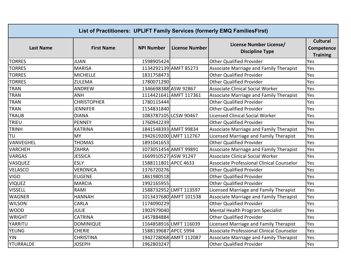| List of Practitioners: UPLIFT Family Services (formerly EMQ Families First) |                    |                      |                                                                            |                                           |                                                  |  |  |  |
|-----------------------------------------------------------------------------|--------------------|----------------------|----------------------------------------------------------------------------|-------------------------------------------|--------------------------------------------------|--|--|--|
| <b>Last Name</b>                                                            | <b>First Name</b>  | <b>NPI Number</b>    | License Number License/<br><b>License Number</b><br><b>Discipline Type</b> |                                           | <b>Cultural</b><br>Competence<br><b>Training</b> |  |  |  |
| <b>TORRES</b>                                                               | <b>JUAN</b>        | 1598905424           |                                                                            | <b>Other Qualified Provider</b>           | Yes                                              |  |  |  |
| <b>TORRES</b>                                                               | <b>MARISA</b>      |                      | 1134292139 AMFT 85273                                                      | Associate Marriage and Family Therapist   | Yes                                              |  |  |  |
| <b>TORRES</b>                                                               | <b>MICHELLE</b>    | 1831758473           |                                                                            | <b>Other Qualified Provider</b>           | Yes                                              |  |  |  |
| <b>TORRES</b>                                                               | <b>ZULEMA</b>      | 1780071290           |                                                                            | <b>Other Qualified Provider</b>           | Yes                                              |  |  |  |
| <b>TRAN</b>                                                                 | ANDREW             | 1346698388 ASW 92867 |                                                                            | <b>Associate Clinical Social Worker</b>   | Yes                                              |  |  |  |
| <b>TRAN</b>                                                                 | <b>ANH</b>         |                      | 1114421641 AMFT 117361                                                     | Associate Marriage and Family Therapist   | Yes                                              |  |  |  |
| <b>TRAN</b>                                                                 | <b>CHRISTOPHER</b> | 1780115444           |                                                                            | <b>Other Qualified Provider</b>           | Yes                                              |  |  |  |
| <b>TRAN</b>                                                                 | <b>JENNIFER</b>    | 1154831840           |                                                                            | <b>Other Qualified Provider</b>           | Yes                                              |  |  |  |
| <b>TRAUB</b>                                                                | <b>DIANA</b>       |                      | 1083787105 LCSW 90467                                                      | <b>Licensed Clinical Social Worker</b>    | Yes                                              |  |  |  |
| TRIEU                                                                       | <b>PENNEY</b>      | 1760942239           |                                                                            | <b>Other Qualified Provider</b>           | Yes                                              |  |  |  |
| <b>TRINH</b>                                                                | <b>KATRINA</b>     |                      | 1841548393 AMFT 99834                                                      | Associate Marriage and Family Therapist   | Yes                                              |  |  |  |
| TU                                                                          | <b>MY</b>          |                      | 1942619200 LMFT 112767                                                     | Licensed Marriage and Family Therapist    | Yes                                              |  |  |  |
| VANVEGHEL                                                                   | <b>THOMAS</b>      | 1891041653           |                                                                            | <b>Other Qualified Provider</b>           | Yes                                              |  |  |  |
| <b>VARCHEH</b>                                                              | <b>ZAHRA</b>       |                      | 1073051454 AMFT 99891                                                      | Associate Marriage and Family Therapist   | Yes                                              |  |  |  |
| <b>VARGAS</b>                                                               | <b>JESSICA</b>     | 1669910527 ASW 91247 |                                                                            | <b>Associate Clinical Social Worker</b>   | Yes                                              |  |  |  |
| <b>VASQUEZ</b>                                                              | <b>ESLY</b>        | 1588111801 APCC 4633 |                                                                            | Associate Professional Clinical Counselor | Yes                                              |  |  |  |
| <b>VELASCO</b>                                                              | <b>VERONICA</b>    | 1376720276           |                                                                            | <b>Other Qualified Provider</b>           | Yes                                              |  |  |  |
| <b>VIGO</b>                                                                 | <b>EUGENE</b>      | 1861980518           |                                                                            | <b>Other Qualified Provider</b>           | Yes                                              |  |  |  |
| <b>VIQUEZ</b>                                                               | <b>MARCIA</b>      | 1992165955           |                                                                            | <b>Other Qualified Provider</b>           | Yes                                              |  |  |  |
| <b>VISSELL</b>                                                              | RAMI               |                      | 1588732952 LMFT 113597                                                     | Licensed Marriage and Family Therapist    | Yes                                              |  |  |  |
| <b>WAGNER</b>                                                               | <b>HANNAH</b>      |                      | 1013437680 AMFT 101538                                                     | Associate Marriage and Family Therapist   | Yes                                              |  |  |  |
| <b>WILSON</b>                                                               | CARLA              | 1174090229           |                                                                            | <b>Other Qualified Provider</b>           | Yes                                              |  |  |  |
| <b>WOOD</b>                                                                 | <b>JULIE</b>       | 1902979040           |                                                                            | Mental Health Program Specialist          | Yes                                              |  |  |  |
| <b>WRIGHT</b>                                                               | <b>CATRINA</b>     | 1457884884           |                                                                            | <b>Other Qualified Provider</b>           | Yes                                              |  |  |  |
| <b>YARRITU</b>                                                              | <b>DOMINIQUE</b>   |                      | 1164858916 LMFT 116039                                                     | Licensed Marriage and Family Therapist    | Yes                                              |  |  |  |
| <b>YEUNG</b>                                                                | <b>CHERIE</b>      | 1588139687 APCC 5994 |                                                                            | Associate Professional Clinical Counselor | Yes                                              |  |  |  |
| <b>YIN</b>                                                                  | <b>CHRISTINA</b>   |                      | 1942728068 AMFT 112087                                                     | Associate Marriage and Family Therapist   | Yes                                              |  |  |  |
| <b>YTURRALDE</b>                                                            | <b>JOSEPH</b>      | 1962803247           |                                                                            | <b>Other Qualified Provider</b>           | Yes                                              |  |  |  |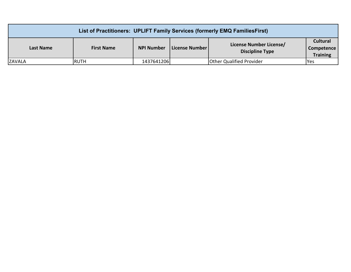| List of Practitioners: UPLIFT Family Services (formerly EMQ Families First)                                                    |             |            |  |                                 |            |  |  |
|--------------------------------------------------------------------------------------------------------------------------------|-------------|------------|--|---------------------------------|------------|--|--|
| License Number License/<br>  License Number  <br><b>NPI Number</b><br>Last Name<br><b>First Name</b><br><b>Discipline Type</b> |             |            |  |                                 |            |  |  |
| <b>ZAVALA</b>                                                                                                                  | <b>RUTH</b> | 1437641206 |  | <b>Other Qualified Provider</b> | <b>Yes</b> |  |  |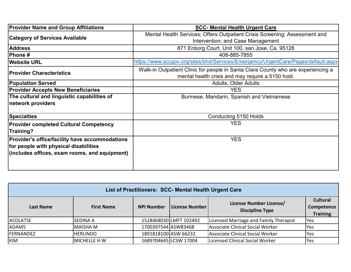| <b>Provider Name and Group Affiliations</b>    | <b>SCC- Mental Health Urgent Care</b>                                             |  |  |  |  |  |
|------------------------------------------------|-----------------------------------------------------------------------------------|--|--|--|--|--|
|                                                | Mental Health Services; Offers Outpatient Crisis Screening; Assessment and        |  |  |  |  |  |
| <b>Category of Services Available</b>          | Intervention; and Case Management                                                 |  |  |  |  |  |
| <b>Address</b>                                 | 871 Enborg Court, Unit 100, san Jose, Ca. 95128                                   |  |  |  |  |  |
| Phone #                                        | 408-885-7855                                                                      |  |  |  |  |  |
| <b>Website URL</b>                             | https://www.sccgov.org/sites/bhd/Services/Emergency/UrgentCare/Pages/default.aspx |  |  |  |  |  |
| <b>Provider Characteristics</b>                | Walk-in Outpatient Clinic for people in Santa Clara County who are experiencing a |  |  |  |  |  |
|                                                | mental health crisis and may require a 5150 hold.                                 |  |  |  |  |  |
| <b>Population Served</b>                       | <b>Adults, Older Adults</b>                                                       |  |  |  |  |  |
| <b>Provider Accepts New Beneficiaries</b>      | <b>YES</b>                                                                        |  |  |  |  |  |
| The cultural and linguistic capabilities of    | Burmese, Mandarin, Spanish and Vietnamese                                         |  |  |  |  |  |
| network providers                              |                                                                                   |  |  |  |  |  |
|                                                |                                                                                   |  |  |  |  |  |
| <b>Specialties</b>                             | Conducting 5150 Holds                                                             |  |  |  |  |  |
| <b>Provider completed Cultural Competency</b>  | <b>YES</b>                                                                        |  |  |  |  |  |
| Training?                                      |                                                                                   |  |  |  |  |  |
| Provider's office/facility have accommodations | <b>YES</b>                                                                        |  |  |  |  |  |
| for people with physical disabilities          |                                                                                   |  |  |  |  |  |
| (includes offices, exam rooms, and equipment)  |                                                                                   |  |  |  |  |  |
|                                                |                                                                                   |  |  |  |  |  |
|                                                |                                                                                   |  |  |  |  |  |

| List of Practitioners: SCC- Mental Health Urgent Care |                   |                      |                        |                                                   |                                                  |  |  |  |  |
|-------------------------------------------------------|-------------------|----------------------|------------------------|---------------------------------------------------|--------------------------------------------------|--|--|--|--|
| Last Name                                             | <b>First Name</b> | <b>NPI Number</b>    | License Number         | License Number License/<br><b>Discipline Type</b> | <b>Cultural</b><br>Competence<br><b>Training</b> |  |  |  |  |
| <b>ACOLATSE</b>                                       | <b>SEDINA A</b>   |                      | 1528468030 LMFT 102492 | Licensed Marriage and Family Therapist            | Yes                                              |  |  |  |  |
| <b>ADAMS</b>                                          | <b>MAISHA M</b>   | 1700397544 ASW83468  |                        | Associate Clinical Social Worker                  | lYes                                             |  |  |  |  |
| FERNANDEZ                                             | <b>HERLINDO</b>   | 1891818100 ASW 66232 |                        | Associate Clinical Social Worker                  | Yes                                              |  |  |  |  |
| <b>KIM</b>                                            | MICHELLE H W      |                      | 1689704645 LCSW 17004  | Licensed Clinical Social Worker                   | Yes                                              |  |  |  |  |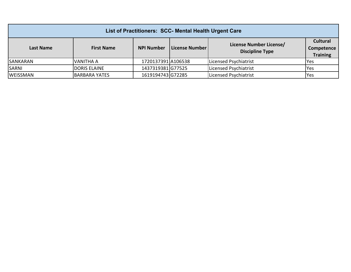| List of Practitioners: SCC- Mental Health Urgent Care |                      |                    |                                                   |                                                  |      |  |  |  |
|-------------------------------------------------------|----------------------|--------------------|---------------------------------------------------|--------------------------------------------------|------|--|--|--|
| <b>Last Name</b>                                      | <b>First Name</b>    | License Number     | License Number License/<br><b>Discipline Type</b> | <b>Cultural</b><br>Competence<br><b>Training</b> |      |  |  |  |
| <b>SANKARAN</b>                                       | <b>VANITHA A</b>     | 1720137391 A106538 |                                                   | Licensed Psychiatrist                            | lYes |  |  |  |
| <b>SARNI</b>                                          | <b>DORIS ELAINE</b>  | 1437319381G77525   |                                                   | Licensed Psychiatrist                            | lYes |  |  |  |
| <b>WEISSMAN</b>                                       | <b>BARBARA YATES</b> | 1619194743 G72285  |                                                   | Licensed Psychiatrist                            | Yes  |  |  |  |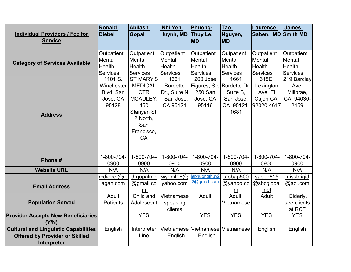| <b>Individual Providers / Fee for</b><br><b>Service</b>                                             | <b>Ronald</b><br><b>Diebel</b>                           | <b>Abilash</b><br>Gopal                                                                                                   | <b>Nhi Yen</b><br>Huynh, MD                                        | Phuong-<br>Thuy Le,<br><b>MD</b>                                      | <u>Tao</u><br>Nguyen,<br><b>MD</b>                 | <u>Laurence</u><br>Saben, MD Smith MD                    | <b>James</b>                                          |
|-----------------------------------------------------------------------------------------------------|----------------------------------------------------------|---------------------------------------------------------------------------------------------------------------------------|--------------------------------------------------------------------|-----------------------------------------------------------------------|----------------------------------------------------|----------------------------------------------------------|-------------------------------------------------------|
| <b>Category of Services Available</b>                                                               | <b>Outpatient</b><br>Mental<br>Health<br><b>Services</b> | Outpatient<br>Mental<br>Health<br><b>Services</b>                                                                         | Outpatient<br>Mental<br><b>Health</b><br>Services                  | Outpatient<br>Mental<br>Health<br><b>Services</b>                     | Outpatient<br>Mental<br>Health<br><b>Services</b>  | Outpatient<br>Mental<br>Health<br><b>Services</b>        | Outpatient<br>Mental<br>Health<br>Services            |
| <b>Address</b>                                                                                      | 1101 S.<br>Winchester<br>Blvd, San<br>Jose, CA<br>95128  | <b>ST MARY'S</b><br><b>MEDICAL</b><br><b>CTR</b><br>MCAULEY,<br>450<br>Stanyan St,<br>2 North,<br>San<br>Francisco,<br>CA | 1661<br><b>Burdette</b><br>Dr., Suite N<br>, San Jose,<br>CA 95121 | 200 Jose<br>Figures, Ste Burdette Dr.<br>250 San<br>Jose, CA<br>95116 | 1661<br>Suite B,<br>San Jose,<br>CA 95121-<br>1681 | 615E.<br>Lexington<br>Ave, El<br>Cajon CA,<br>92020-4617 | 219 Barclay<br>Ave,<br>Millbrae,<br>CA 94030-<br>2459 |
| Phone#                                                                                              | 1-800-704-<br>0900                                       | 1-800-704-<br>0900                                                                                                        | 1-800-704-<br>0900                                                 | $1 - 800 - 704 -$<br>0900                                             | 1-800-704-<br>0900                                 | 1-800-704-<br>0900                                       | 1-800-704-<br>0900                                    |
| <b>Website URL</b>                                                                                  | N/A                                                      | N/A                                                                                                                       | N/A                                                                | N/A                                                                   | N/A                                                | N/A                                                      | N/A                                                   |
| <b>Email Address</b>                                                                                | rcdiebel@re<br>agan.com                                  | drgopalmd<br>@gmail.co<br>m                                                                                               | wynn408@<br>yahoo.com                                              | lephuongthuy2<br>2@gmail.com                                          | taobap500<br>@yahoo.co<br>m                        | saben615<br>@sbcglobal<br>.net                           | missbrigid<br>@aol.com                                |
| <b>Population Served</b>                                                                            | Adult<br><b>Patients</b>                                 | Child and<br>Adolescent                                                                                                   | Vietnamese<br>speaking<br>clients                                  | Adult                                                                 | Adult,<br>Vietnamese                               | Adult                                                    | Elderly,<br>see clients<br>at RCF                     |
| <b>Provider Accepts New Beneficiaries</b><br>(Y/N)                                                  |                                                          | <b>YES</b>                                                                                                                |                                                                    | <b>YES</b>                                                            | <b>YES</b>                                         | <b>YES</b>                                               | <b>YES</b>                                            |
| <b>Cultural and Linguistic Capabilities</b><br><b>Offered by Provider or Skilled</b><br>Interpreter | English                                                  | Interpreter<br>Line                                                                                                       | , English                                                          | Vietnamese   Vietnamese<br>, English                                  | Vietnamese                                         | English                                                  | English                                               |